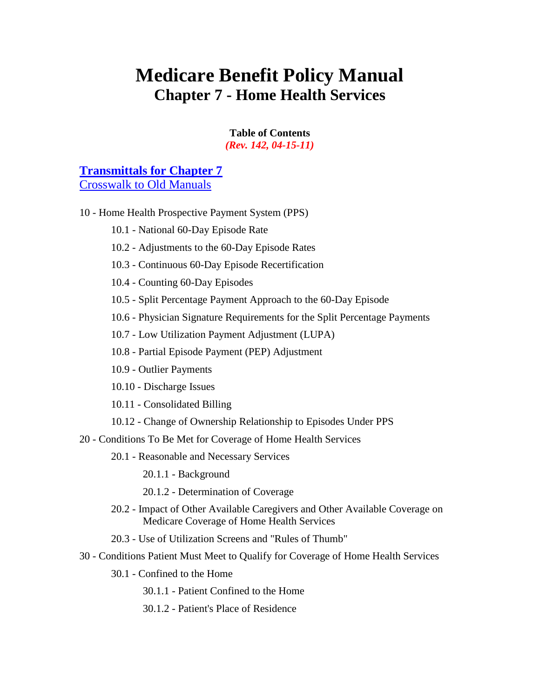# **Medicare Benefit Policy Manual Chapter 7 - Home Health Services**

**Table of Contents** *(Rev. 142, 04-15-11)*

#### **[Transmittals for Chapter 7](#page-92-0)**

[Crosswalk to Old Manuals](#page-92-0)

- 10 [Home Health Prospective Payment System \(PPS\)](#page-4-0)
	- 10.1 [National 60-Day Episode Rate](#page-4-1)
	- 10.2 [Adjustments to the 60-Day Episode Rates](#page-5-0)
	- 10.3 [Continuous 60-Day Episode Recertification](#page-5-1)
	- 10.4 [Counting 60-Day Episodes](#page-6-0)
	- 10.5 [Split Percentage Payment Approach to the 60-Day Episode](#page-6-1)
	- 10.6 [Physician Signature Requirements for the Split Percentage Payments](#page-7-0)
	- 10.7 [Low Utilization Payment Adjustment](#page-7-1) (LUPA)
	- 10.8 [Partial Episode Payment \(PEP\) Adjustment](#page-8-0)
	- 10.9 [Outlier Payments](#page-9-0)
	- 10.10 [Discharge Issues](#page-10-0)
	- 10.11 [Consolidated Billing](#page-12-0)
	- 10.12 [Change of Ownership Relationship to Episodes Under PPS](#page-15-0)
- 20 [Conditions To Be Met for Coverage of Home Health Services](#page-16-0)
	- 20.1 [Reasonable and Necessary Services](#page-16-1)
		- 20.1.1 [Background](#page-16-2)
		- 20.1.2 [Determination of Coverage](#page-17-0)
	- 20.2 [Impact of Other Available Caregivers and Other Available Coverage on](#page-17-1)  [Medicare Coverage of Home Health Services](#page-17-1)
	- 20.3 [Use of Utilization Screens and "Rules of Thumb"](#page-18-0)
- 30 [Conditions Patient Must Meet to Qualify for Coverage of Home Health Services](#page-18-1)
	- 30.1 [Confined to the Home](#page-19-0)
		- 30.1.1 [Patient Confined to the Home](#page-19-1)
		- 30.1.2 [Patient's Place of Residence](#page-21-0)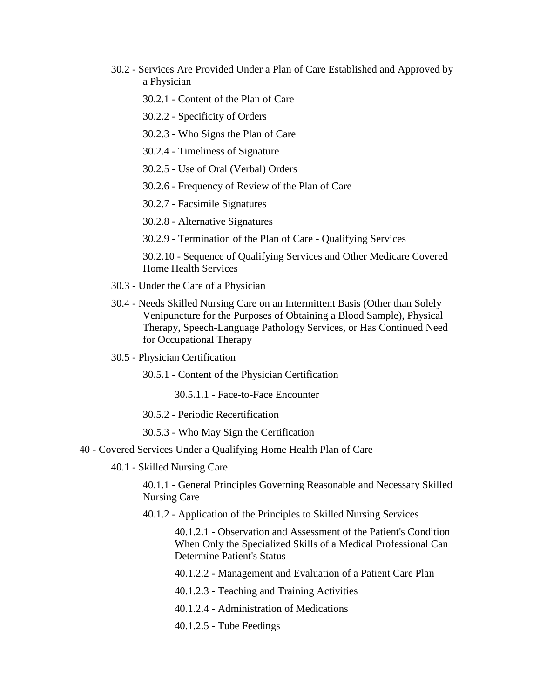- 30.2 [Services Are Provided Under a Plan of](#page-23-0) Care Established and Approved by [a Physician](#page-23-0)
	- 30.2.1 [Content of the Plan of Care](#page-24-0)
	- 30.2.2 [Specificity of Orders](#page-25-0)
	- 30.2.3 [Who Signs the Plan of Care](#page-25-1)
	- 30.2.4 [Timeliness of Signature](#page-25-2)
	- 30.2.5 [Use of Oral \(Verbal\) Orders](#page-26-0)
	- 30.2.6 [Frequency of Review of the Plan of Care](#page-27-0)
	- 30.2.7 [Facsimile Signatures](#page-27-1)
	- 30.2.8 [Alternative Signatures](#page-28-0)
	- 30.2.9 [Termination of the Plan of Care -](#page-28-1) Qualifying Services

30.2.10 - [Sequence of Qualifying Services and Other Medicare Covered](#page-28-2)  [Home Health Services](#page-28-2)

- 30.3 [Under the Care of a Physician](#page-29-0)
- 30.4 [Needs Skilled Nursing Care on an Intermittent Basis \(Other than Solely](#page-29-1)  Venipuncture for the Purposes [of Obtaining a Blood Sample\), Physical](#page-29-1)  [Therapy, Speech-Language Pathology Services, or Has Continued Need](#page-29-1)  [for Occupational Therapy](#page-29-1)
- 30.5 [Physician Certification](#page-30-0)
	- 30.5.1 [Content of the Physician Certification](#page-30-1)

30.5.1.1 - Face-to-Face Encounter

- 30.5.2 [Periodic Recertification](#page-33-0)
- 30.5.3 [Who May Sign the Certification](#page-33-1)
- 40 [Covered Services Under a Qualifying Home Health Plan of Care](#page-33-2)
	- 40.1 [Skilled Nursing Care](#page-34-0)

40.1.1 - [General Principles Governing Reasonable and Necessary Skilled](#page-35-0)  [Nursing Care](#page-35-0)

40.1.2 - [Application of the Principles to Skilled Nursing Services](#page-38-0)

40.1.2.1 - [Observation and Assessment of the Patient's Condition](#page-38-1)  [When Only the Specialized Skills of a Medical Professional Can](#page-38-1)  [Determine Patient's Status](#page-38-1)

- 40.1.2.2 [Management and Evaluation of a Patient Care Plan](#page-39-0)
- 40.1.2.3 [Teaching and Training Activities](#page-41-0)
- 40.1.2.4 [Administration of Medications](#page-44-0)
- 40.1.2.5 [Tube Feedings](#page-46-0)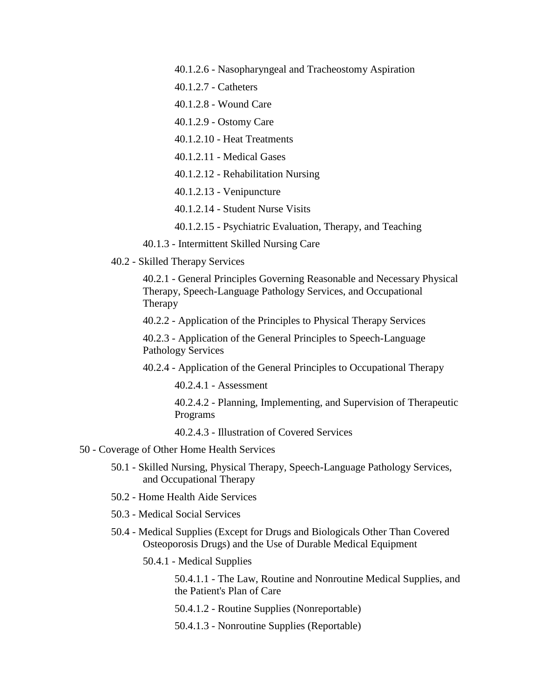40.1.2.6 - [Nasopharyngeal and Tracheostomy Aspiration](#page-46-1)

- [40.1.2.7 -](#page-47-0) Catheters
- 40.1.2.8 [Wound Care](#page-47-1)
- 40.1.2.9 [Ostomy Care](#page-49-0)
- 40.1.2.10 [Heat Treatments](#page-49-1)
- 40.1.2.11 [Medical Gases](#page-49-2)
- 40.1.2.12 [Rehabilitation Nursing](#page-50-0)
- 40.1.2.13 [Venipuncture](#page-50-1)
- 40.1.2.14 [Student Nurse Visits](#page-52-0)
- 40.1.2.15 [Psychiatric Evaluation, Therapy, and Teaching](#page-52-1)
- 40.1.3 [Intermittent Skilled Nursing Care](#page-53-0)
- 40.2 [Skilled Therapy Services](#page-55-0)

40.2.1 - [General Principles Governing Reasonable and Necessary Physical](#page-55-1)  [Therapy, Speech-Language Pathology Services, and Occupational](#page-55-1)  [Therapy](#page-55-1)

40.2.2 - [Application of the Principles to Physical Therapy Services](#page-60-0)

40.2.3 - [Application of the General Principles to Speech-Language](#page-63-0)  [Pathology Services](#page-63-0)

40.2.4 - [Application of the General Principles to Occupational Therapy](#page-64-0)

40.2.4.1 - [Assessment](#page-65-0)

40.2.4.2 - [Planning, Implementing, and Supervision of Therapeutic](#page-65-1)  [Programs](#page-65-1)

40.2.4.3 - [Illustration of Covered Services](#page-66-0)

- 50 [Coverage of Other Home Health Services](#page-67-0)
	- 50.1 [Skilled Nursing, Physical Therapy, Speech-Language Pathology Services,](#page-67-1)  [and Occupational Therapy](#page-67-1)
	- 50.2 [Home Health Aide Services](#page-67-2)
	- 50.3 [Medical Social Services](#page-70-0)
	- 50.4 [Medical Supplies \(Except for Drugs and Biologicals Other Than Covered](#page-74-0)  [Osteoporosis Drugs\) and the Use](#page-74-0) of Durable Medical Equipment
		- 50.4.1 [Medical Supplies](#page-74-1)

50.4.1.1 - [The Law, Routine and Nonroutine Medical Supplies, and](#page-75-0)  [the Patient's Plan of Care](#page-75-0)

- 50.4.1.2 [Routine Supplies \(Nonreportable\)](#page-76-0)
- 50.4.1.3 [Nonroutine Supplies \(Reportable\)](#page-77-0)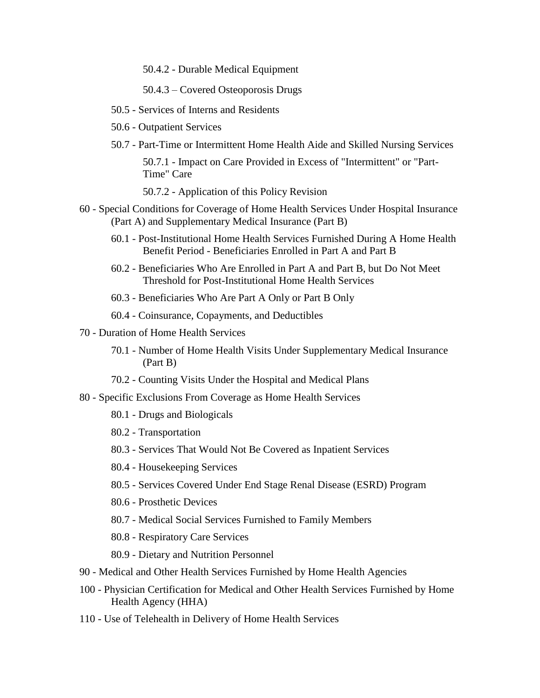50.4.2 - [Durable Medical Equipment](#page-79-0)

50.4.3 – [Covered Osteoporosis Drugs](#page-79-1)

- 50.5 [Services of Interns and Residents](#page-80-0)
- 50.6 [Outpatient Services](#page-80-1)
- 50.7 [Part-Time or Intermittent Home Health Aide and Skilled Nursing Services](#page-81-0)

50.7.1 - [Impact on Care Provided in Excess of "Intermittent" or "Part-](#page-81-1)[Time" Care](#page-81-1)

50.7.2 - [Application of this Policy Revision](#page-81-2)

- 60 [Special Conditions for Coverage of Home Health Services Under Hospital Insurance](#page-82-0)  [\(Part A\) and Supplementary Medical Insurance \(Part B\)](#page-82-0)
	- 60.1 [Post-Institutional Home Health Services Furnished During A Home Health](#page-82-1)  Benefit Period - [Beneficiaries Enrolled in Part A and Part B](#page-82-1)
	- 60.2 [Beneficiaries Who Are Enrolled in Part A and Part B, but Do Not Meet](#page-84-0)  [Threshold for Post-Institutional Home Health Services](#page-84-0)
	- 60.3 [Beneficiaries Who Are Part A Only or Part B Only](#page-84-1)
	- 60.4 [Coinsurance, Copayments, and Deductibles](#page-84-2)
- 70 [Duration of Home Health Services](#page-85-0)
	- 70.1 [Number of Home Health Visits Under Supplementary Medical Insurance](#page-85-1)  [\(Part B\)](#page-85-1)
	- 70.2 [Counting Visits Under the Hospital and Medical Plans](#page-85-2)
- 80 [Specific Exclusions From Coverage as Home Health Services](#page-87-0)
	- 80.1 [Drugs and Biologicals](#page-87-1)
	- 80.2 [Transportation](#page-87-2)
	- 80.3 [Services That Would Not Be Covered as Inpatient Services](#page-87-3)
	- 80.4 [Housekeeping Services](#page-88-0)
	- 80.5 [Services Covered Under End Stage Renal Disease \(ESRD\) Program](#page-88-1)
	- 80.6 [Prosthetic Devices](#page-88-2)
	- 80.7 [Medical Social Services Furnished to Family Members](#page-88-3)
	- 80.8 [Respiratory Care Services](#page-89-0)
	- 80.9 [Dietary and Nutrition Personnel](#page-89-1)
- 90 [Medical and Other Health Services Furnished by Home Health Agencies](#page-89-2)
- 100 [Physician Certification for Medical and Other Health Services Furnished by Home](#page-91-0)  [Health Agency \(HHA\)](#page-91-0)
- 110 [Use of Telehealth in Delivery of Home Health Services](#page-91-1)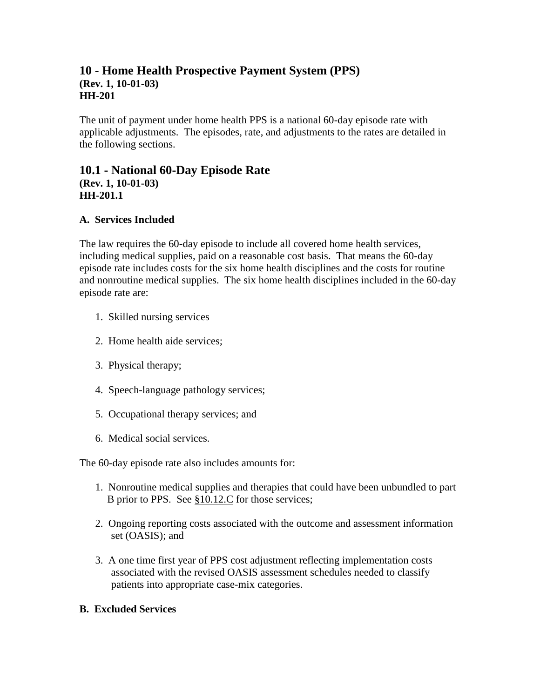#### <span id="page-4-0"></span>**10 - Home Health Prospective Payment System (PPS) (Rev. 1, 10-01-03) HH-201**

The unit of payment under home health PPS is a national 60-day episode rate with applicable adjustments. The episodes, rate, and adjustments to the rates are detailed in the following sections.

#### <span id="page-4-1"></span>**10.1 - National 60-Day Episode Rate (Rev. 1, 10-01-03) HH-201.1**

#### **A. Services Included**

The law requires the 60-day episode to include all covered home health services, including medical supplies, paid on a reasonable cost basis. That means the 60-day episode rate includes costs for the six home health disciplines and the costs for routine and nonroutine medical supplies. The six home health disciplines included in the 60-day episode rate are:

- 1. Skilled nursing services
- 2. Home health aide services;
- 3. Physical therapy;
- 4. Speech-language pathology services;
- 5. Occupational therapy services; and
- 6. Medical social services.

The 60-day episode rate also includes amounts for:

- 1. Nonroutine medical supplies and therapies that could have been unbundled to part B prior to PPS. See §10.12.C for those services;
- 2. Ongoing reporting costs associated with the outcome and assessment information set (OASIS); and
- 3. A one time first year of PPS cost adjustment reflecting implementation costs associated with the revised OASIS assessment schedules needed to classify patients into appropriate case-mix categories.

#### **B. Excluded Services**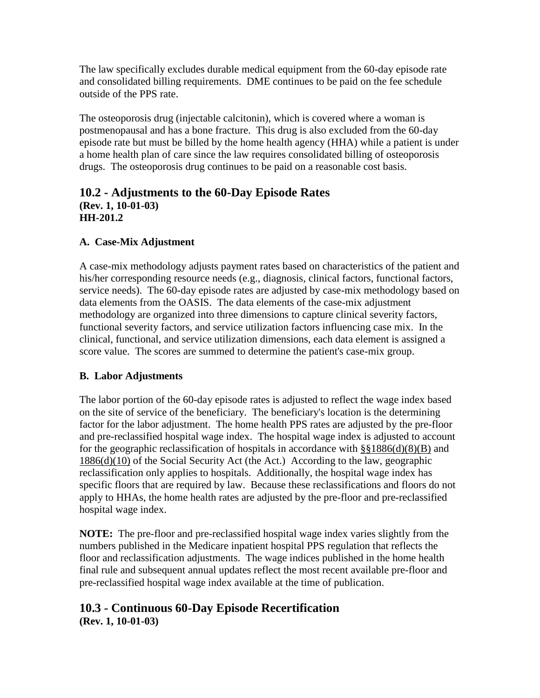The law specifically excludes durable medical equipment from the 60-day episode rate and consolidated billing requirements. DME continues to be paid on the fee schedule outside of the PPS rate.

The osteoporosis drug (injectable calcitonin), which is covered where a woman is postmenopausal and has a bone fracture. This drug is also excluded from the 60-day episode rate but must be billed by the home health agency (HHA) while a patient is under a home health plan of care since the law requires consolidated billing of osteoporosis drugs. The osteoporosis drug continues to be paid on a reasonable cost basis.

#### <span id="page-5-0"></span>**10.2 - Adjustments to the 60-Day Episode Rates (Rev. 1, 10-01-03) HH-201.2**

#### **A. Case-Mix Adjustment**

A case-mix methodology adjusts payment rates based on characteristics of the patient and his/her corresponding resource needs (e.g., diagnosis, clinical factors, functional factors, service needs). The 60-day episode rates are adjusted by case-mix methodology based on data elements from the OASIS. The data elements of the case-mix adjustment methodology are organized into three dimensions to capture clinical severity factors, functional severity factors, and service utilization factors influencing case mix. In the clinical, functional, and service utilization dimensions, each data element is assigned a score value. The scores are summed to determine the patient's case-mix group.

#### **B. Labor Adjustments**

The labor portion of the 60-day episode rates is adjusted to reflect the wage index based on the site of service of the beneficiary. The beneficiary's location is the determining factor for the labor adjustment. The home health PPS rates are adjusted by the pre-floor and pre-reclassified hospital wage index. The hospital wage index is adjusted to account for the geographic reclassification of hospitals in accordance with [§§1886\(d\)\(8\)\(B\)](http://www.cms.hhs.gov/regulations/) and [1886\(d\)\(10\)](http://www.cms.hhs.gov/regulations/) of the Social Security Act (the Act.) According to the law, geographic reclassification only applies to hospitals. Additionally, the hospital wage index has specific floors that are required by law. Because these reclassifications and floors do not apply to HHAs, the home health rates are adjusted by the pre-floor and pre-reclassified hospital wage index.

**NOTE:** The pre-floor and pre-reclassified hospital wage index varies slightly from the numbers published in the Medicare inpatient hospital PPS regulation that reflects the floor and reclassification adjustments. The wage indices published in the home health final rule and subsequent annual updates reflect the most recent available pre-floor and pre-reclassified hospital wage index available at the time of publication.

#### <span id="page-5-1"></span>**10.3 - Continuous 60-Day Episode Recertification (Rev. 1, 10-01-03)**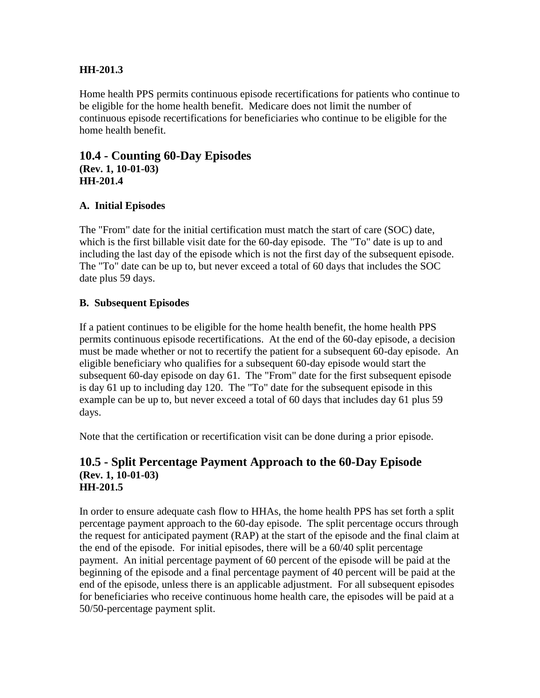#### **HH-201.3**

Home health PPS permits continuous episode recertifications for patients who continue to be eligible for the home health benefit. Medicare does not limit the number of continuous episode recertifications for beneficiaries who continue to be eligible for the home health benefit.

#### <span id="page-6-0"></span>**10.4 - Counting 60-Day Episodes (Rev. 1, 10-01-03) HH-201.4**

#### **A. Initial Episodes**

The "From" date for the initial certification must match the start of care (SOC) date, which is the first billable visit date for the 60-day episode. The "To" date is up to and including the last day of the episode which is not the first day of the subsequent episode. The "To" date can be up to, but never exceed a total of 60 days that includes the SOC date plus 59 days.

#### **B. Subsequent Episodes**

If a patient continues to be eligible for the home health benefit, the home health PPS permits continuous episode recertifications. At the end of the 60-day episode, a decision must be made whether or not to recertify the patient for a subsequent 60-day episode. An eligible beneficiary who qualifies for a subsequent 60-day episode would start the subsequent 60-day episode on day 61. The "From" date for the first subsequent episode is day 61 up to including day 120. The "To" date for the subsequent episode in this example can be up to, but never exceed a total of 60 days that includes day 61 plus 59 days.

Note that the certification or recertification visit can be done during a prior episode.

#### <span id="page-6-1"></span>**10.5 - Split Percentage Payment Approach to the 60-Day Episode (Rev. 1, 10-01-03) HH-201.5**

In order to ensure adequate cash flow to HHAs, the home health PPS has set forth a split percentage payment approach to the 60-day episode. The split percentage occurs through the request for anticipated payment (RAP) at the start of the episode and the final claim at the end of the episode. For initial episodes, there will be a 60/40 split percentage payment. An initial percentage payment of 60 percent of the episode will be paid at the beginning of the episode and a final percentage payment of 40 percent will be paid at the end of the episode, unless there is an applicable adjustment. For all subsequent episodes for beneficiaries who receive continuous home health care, the episodes will be paid at a 50/50-percentage payment split.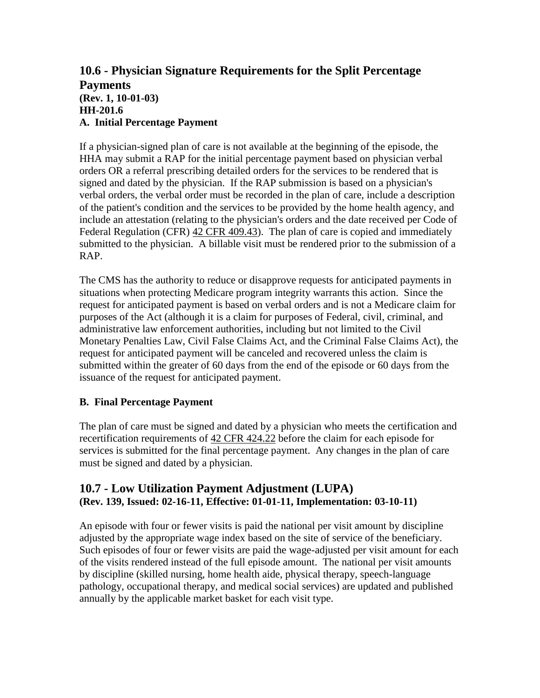#### <span id="page-7-0"></span>**10.6 - Physician Signature Requirements for the Split Percentage Payments (Rev. 1, 10-01-03) HH-201.6 A. Initial Percentage Payment**

If a physician-signed plan of care is not available at the beginning of the episode, the HHA may submit a RAP for the initial percentage payment based on physician verbal orders OR a referral prescribing detailed orders for the services to be rendered that is signed and dated by the physician. If the RAP submission is based on a physician's verbal orders, the verbal order must be recorded in the plan of care, include a description of the patient's condition and the services to be provided by the home health agency, and include an attestation (relating to the physician's orders and the date received per Code of Federal Regulation (CFR)  $42$  CFR 409.43). The plan of care is copied and immediately submitted to the physician. A billable visit must be rendered prior to the submission of a RAP.

The CMS has the authority to reduce or disapprove requests for anticipated payments in situations when protecting Medicare program integrity warrants this action. Since the request for anticipated payment is based on verbal orders and is not a Medicare claim for purposes of the Act (although it is a claim for purposes of Federal, civil, criminal, and administrative law enforcement authorities, including but not limited to the Civil Monetary Penalties Law, Civil False Claims Act, and the Criminal False Claims Act), the request for anticipated payment will be canceled and recovered unless the claim is submitted within the greater of 60 days from the end of the episode or 60 days from the issuance of the request for anticipated payment.

#### **B. Final Percentage Payment**

The plan of care must be signed and dated by a physician who meets the certification and recertification requirements of [42 CFR 424.22](http://www.cms.hhs.gov/regulations/) before the claim for each episode for services is submitted for the final percentage payment. Any changes in the plan of care must be signed and dated by a physician.

#### <span id="page-7-1"></span>**10.7 - Low Utilization Payment Adjustment (LUPA) (Rev. 139, Issued: 02-16-11, Effective: 01-01-11, Implementation: 03-10-11)**

An episode with four or fewer visits is paid the national per visit amount by discipline adjusted by the appropriate wage index based on the site of service of the beneficiary. Such episodes of four or fewer visits are paid the wage-adjusted per visit amount for each of the visits rendered instead of the full episode amount. The national per visit amounts by discipline (skilled nursing, home health aide, physical therapy, speech-language pathology, occupational therapy, and medical social services) are updated and published annually by the applicable market basket for each visit type.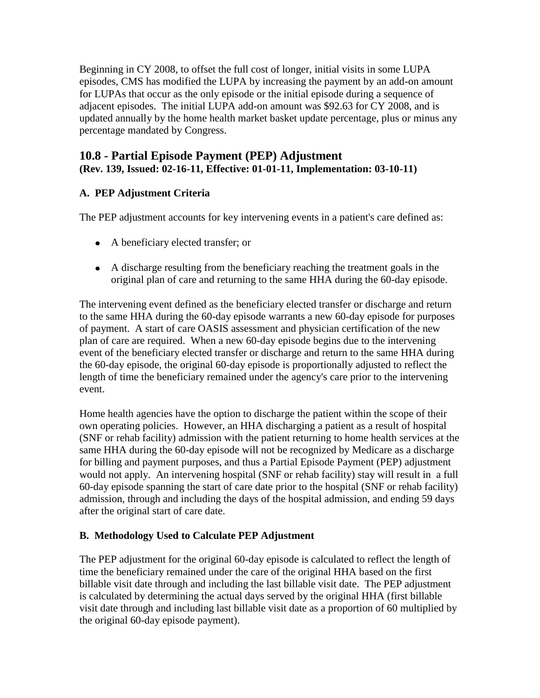Beginning in CY 2008, to offset the full cost of longer, initial visits in some LUPA episodes, CMS has modified the LUPA by increasing the payment by an add-on amount for LUPAs that occur as the only episode or the initial episode during a sequence of adjacent episodes. The initial LUPA add-on amount was \$92.63 for CY 2008, and is updated annually by the home health market basket update percentage, plus or minus any percentage mandated by Congress.

#### <span id="page-8-0"></span>**10.8 - Partial Episode Payment (PEP) Adjustment (Rev. 139, Issued: 02-16-11, Effective: 01-01-11, Implementation: 03-10-11)**

#### **A. PEP Adjustment Criteria**

The PEP adjustment accounts for key intervening events in a patient's care defined as:

- A beneficiary elected transfer; or
- A discharge resulting from the beneficiary reaching the treatment goals in the original plan of care and returning to the same HHA during the 60-day episode.

The intervening event defined as the beneficiary elected transfer or discharge and return to the same HHA during the 60-day episode warrants a new 60-day episode for purposes of payment. A start of care OASIS assessment and physician certification of the new plan of care are required. When a new 60-day episode begins due to the intervening event of the beneficiary elected transfer or discharge and return to the same HHA during the 60-day episode, the original 60-day episode is proportionally adjusted to reflect the length of time the beneficiary remained under the agency's care prior to the intervening event.

Home health agencies have the option to discharge the patient within the scope of their own operating policies. However, an HHA discharging a patient as a result of hospital (SNF or rehab facility) admission with the patient returning to home health services at the same HHA during the 60-day episode will not be recognized by Medicare as a discharge for billing and payment purposes, and thus a Partial Episode Payment (PEP) adjustment would not apply. An intervening hospital (SNF or rehab facility) stay will result in a full 60-day episode spanning the start of care date prior to the hospital (SNF or rehab facility) admission, through and including the days of the hospital admission, and ending 59 days after the original start of care date.

#### **B. Methodology Used to Calculate PEP Adjustment**

The PEP adjustment for the original 60-day episode is calculated to reflect the length of time the beneficiary remained under the care of the original HHA based on the first billable visit date through and including the last billable visit date. The PEP adjustment is calculated by determining the actual days served by the original HHA (first billable visit date through and including last billable visit date as a proportion of 60 multiplied by the original 60-day episode payment).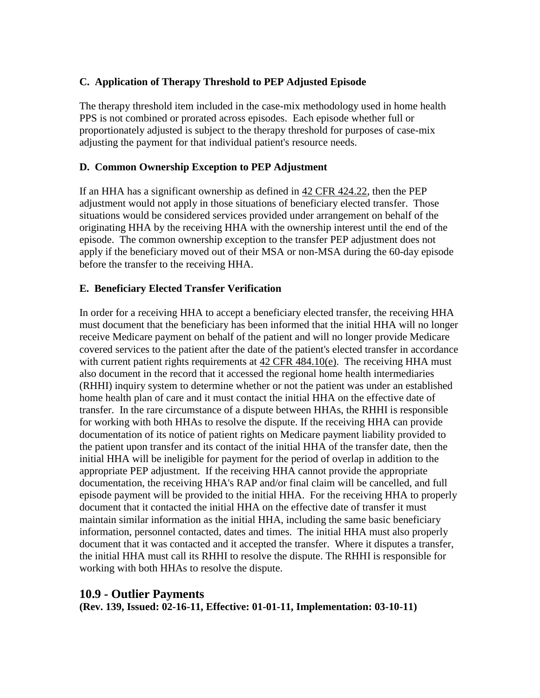#### **C. Application of Therapy Threshold to PEP Adjusted Episode**

The therapy threshold item included in the case-mix methodology used in home health PPS is not combined or prorated across episodes. Each episode whether full or proportionately adjusted is subject to the therapy threshold for purposes of case-mix adjusting the payment for that individual patient's resource needs.

#### **D. Common Ownership Exception to PEP Adjustment**

If an HHA has a significant ownership as defined in [42 CFR 424.22,](http://ecfr.gpoaccess.gov/cgi/t/text/text-idx?c=ecfr&sid=55c35f165abc46f8f68c123a55875a40&rgn=div8&view=text&node=42:3.0.1.1.11.2.6.8&idno=42) then the PEP adjustment would not apply in those situations of beneficiary elected transfer. Those situations would be considered services provided under arrangement on behalf of the originating HHA by the receiving HHA with the ownership interest until the end of the episode. The common ownership exception to the transfer PEP adjustment does not apply if the beneficiary moved out of their MSA or non-MSA during the 60-day episode before the transfer to the receiving HHA.

#### **E. Beneficiary Elected Transfer Verification**

In order for a receiving HHA to accept a beneficiary elected transfer, the receiving HHA must document that the beneficiary has been informed that the initial HHA will no longer receive Medicare payment on behalf of the patient and will no longer provide Medicare covered services to the patient after the date of the patient's elected transfer in accordance with current patient rights requirements at [42 CFR 484.10\(e\).](http://ecfr.gpoaccess.gov/cgi/t/text/text-idx?c=ecfr&sid=c41b82f01e68abbdcf399040c9fecff8&rgn=div8&view=text&node=42:5.0.1.1.3.2.7.1&idno=42) The receiving HHA must also document in the record that it accessed the regional home health intermediaries (RHHI) inquiry system to determine whether or not the patient was under an established home health plan of care and it must contact the initial HHA on the effective date of transfer. In the rare circumstance of a dispute between HHAs, the RHHI is responsible for working with both HHAs to resolve the dispute. If the receiving HHA can provide documentation of its notice of patient rights on Medicare payment liability provided to the patient upon transfer and its contact of the initial HHA of the transfer date, then the initial HHA will be ineligible for payment for the period of overlap in addition to the appropriate PEP adjustment. If the receiving HHA cannot provide the appropriate documentation, the receiving HHA's RAP and/or final claim will be cancelled, and full episode payment will be provided to the initial HHA. For the receiving HHA to properly document that it contacted the initial HHA on the effective date of transfer it must maintain similar information as the initial HHA, including the same basic beneficiary information, personnel contacted, dates and times. The initial HHA must also properly document that it was contacted and it accepted the transfer. Where it disputes a transfer, the initial HHA must call its RHHI to resolve the dispute. The RHHI is responsible for working with both HHAs to resolve the dispute.

#### <span id="page-9-0"></span>**10.9 - Outlier Payments**

**(Rev. 139, Issued: 02-16-11, Effective: 01-01-11, Implementation: 03-10-11)**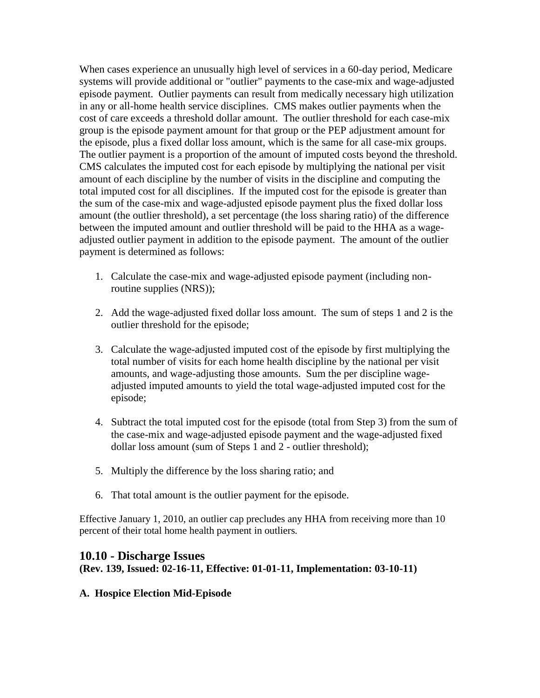When cases experience an unusually high level of services in a 60-day period, Medicare systems will provide additional or "outlier" payments to the case-mix and wage-adjusted episode payment. Outlier payments can result from medically necessary high utilization in any or all-home health service disciplines. CMS makes outlier payments when the cost of care exceeds a threshold dollar amount. The outlier threshold for each case-mix group is the episode payment amount for that group or the PEP adjustment amount for the episode, plus a fixed dollar loss amount, which is the same for all case-mix groups. The outlier payment is a proportion of the amount of imputed costs beyond the threshold. CMS calculates the imputed cost for each episode by multiplying the national per visit amount of each discipline by the number of visits in the discipline and computing the total imputed cost for all disciplines. If the imputed cost for the episode is greater than the sum of the case-mix and wage-adjusted episode payment plus the fixed dollar loss amount (the outlier threshold), a set percentage (the loss sharing ratio) of the difference between the imputed amount and outlier threshold will be paid to the HHA as a wageadjusted outlier payment in addition to the episode payment. The amount of the outlier payment is determined as follows:

- 1. Calculate the case-mix and wage-adjusted episode payment (including nonroutine supplies (NRS));
- 2. Add the wage-adjusted fixed dollar loss amount. The sum of steps 1 and 2 is the outlier threshold for the episode;
- 3. Calculate the wage-adjusted imputed cost of the episode by first multiplying the total number of visits for each home health discipline by the national per visit amounts, and wage-adjusting those amounts. Sum the per discipline wageadjusted imputed amounts to yield the total wage-adjusted imputed cost for the episode;
- 4. Subtract the total imputed cost for the episode (total from Step 3) from the sum of the case-mix and wage-adjusted episode payment and the wage-adjusted fixed dollar loss amount (sum of Steps 1 and 2 - outlier threshold);
- 5. Multiply the difference by the loss sharing ratio; and
- 6. That total amount is the outlier payment for the episode.

Effective January 1, 2010, an outlier cap precludes any HHA from receiving more than 10 percent of their total home health payment in outliers.

#### <span id="page-10-0"></span>**10.10 - Discharge Issues**

**(Rev. 139, Issued: 02-16-11, Effective: 01-01-11, Implementation: 03-10-11)**

**A. Hospice Election Mid-Episode**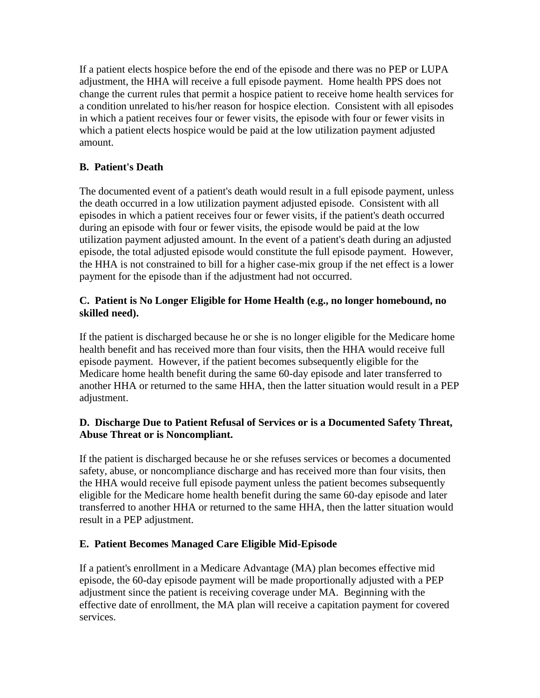If a patient elects hospice before the end of the episode and there was no PEP or LUPA adjustment, the HHA will receive a full episode payment. Home health PPS does not change the current rules that permit a hospice patient to receive home health services for a condition unrelated to his/her reason for hospice election. Consistent with all episodes in which a patient receives four or fewer visits, the episode with four or fewer visits in which a patient elects hospice would be paid at the low utilization payment adjusted amount.

#### **B. Patient's Death**

The documented event of a patient's death would result in a full episode payment, unless the death occurred in a low utilization payment adjusted episode. Consistent with all episodes in which a patient receives four or fewer visits, if the patient's death occurred during an episode with four or fewer visits, the episode would be paid at the low utilization payment adjusted amount. In the event of a patient's death during an adjusted episode, the total adjusted episode would constitute the full episode payment. However, the HHA is not constrained to bill for a higher case-mix group if the net effect is a lower payment for the episode than if the adjustment had not occurred.

#### **C. Patient is No Longer Eligible for Home Health (e.g., no longer homebound, no skilled need).**

If the patient is discharged because he or she is no longer eligible for the Medicare home health benefit and has received more than four visits, then the HHA would receive full episode payment. However, if the patient becomes subsequently eligible for the Medicare home health benefit during the same 60-day episode and later transferred to another HHA or returned to the same HHA, then the latter situation would result in a PEP adjustment.

#### **D. Discharge Due to Patient Refusal of Services or is a Documented Safety Threat, Abuse Threat or is Noncompliant.**

If the patient is discharged because he or she refuses services or becomes a documented safety, abuse, or noncompliance discharge and has received more than four visits, then the HHA would receive full episode payment unless the patient becomes subsequently eligible for the Medicare home health benefit during the same 60-day episode and later transferred to another HHA or returned to the same HHA, then the latter situation would result in a PEP adjustment.

#### **E. Patient Becomes Managed Care Eligible Mid-Episode**

If a patient's enrollment in a Medicare Advantage (MA) plan becomes effective mid episode, the 60-day episode payment will be made proportionally adjusted with a PEP adjustment since the patient is receiving coverage under MA. Beginning with the effective date of enrollment, the MA plan will receive a capitation payment for covered services.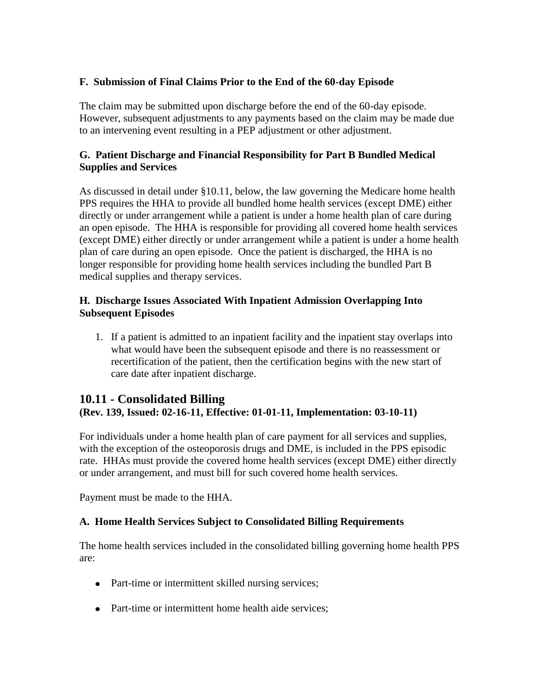#### **F. Submission of Final Claims Prior to the End of the 60-day Episode**

The claim may be submitted upon discharge before the end of the 60-day episode. However, subsequent adjustments to any payments based on the claim may be made due to an intervening event resulting in a PEP adjustment or other adjustment.

#### **G. Patient Discharge and Financial Responsibility for Part B Bundled Medical Supplies and Services**

As discussed in detail under §10.11, below, the law governing the Medicare home health PPS requires the HHA to provide all bundled home health services (except DME) either directly or under arrangement while a patient is under a home health plan of care during an open episode. The HHA is responsible for providing all covered home health services (except DME) either directly or under arrangement while a patient is under a home health plan of care during an open episode. Once the patient is discharged, the HHA is no longer responsible for providing home health services including the bundled Part B medical supplies and therapy services.

#### **H. Discharge Issues Associated With Inpatient Admission Overlapping Into Subsequent Episodes**

1. If a patient is admitted to an inpatient facility and the inpatient stay overlaps into what would have been the subsequent episode and there is no reassessment or recertification of the patient, then the certification begins with the new start of care date after inpatient discharge.

#### <span id="page-12-0"></span>**10.11 - Consolidated Billing (Rev. 139, Issued: 02-16-11, Effective: 01-01-11, Implementation: 03-10-11)**

For individuals under a home health plan of care payment for all services and supplies, with the exception of the osteoporosis drugs and DME, is included in the PPS episodic rate. HHAs must provide the covered home health services (except DME) either directly or under arrangement, and must bill for such covered home health services.

Payment must be made to the HHA.

#### **A. Home Health Services Subject to Consolidated Billing Requirements**

The home health services included in the consolidated billing governing home health PPS are:

- Part-time or intermittent skilled nursing services;
- Part-time or intermittent home health aide services;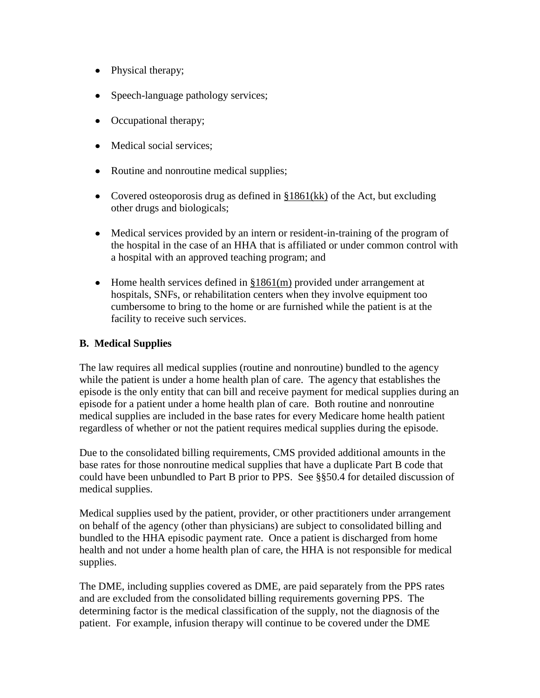- Physical therapy;
- Speech-language pathology services;
- Occupational therapy;
- Medical social services;
- Routine and nonroutine medical supplies;
- Covered osteoporosis drug as defined in  $\S 1861(kk)$  of the Act, but excluding other drugs and biologicals;
- Medical services provided by an intern or resident-in-training of the program of the hospital in the case of an HHA that is affiliated or under common control with a hospital with an approved teaching program; and
- Home health services defined in [§1861\(m\)](http://www.ssa.gov/OP_Home/ssact/title18/1861.htm) provided under arrangement at hospitals, SNFs, or rehabilitation centers when they involve equipment too cumbersome to bring to the home or are furnished while the patient is at the facility to receive such services.

#### **B. Medical Supplies**

The law requires all medical supplies (routine and nonroutine) bundled to the agency while the patient is under a home health plan of care. The agency that establishes the episode is the only entity that can bill and receive payment for medical supplies during an episode for a patient under a home health plan of care. Both routine and nonroutine medical supplies are included in the base rates for every Medicare home health patient regardless of whether or not the patient requires medical supplies during the episode.

Due to the consolidated billing requirements, CMS provided additional amounts in the base rates for those nonroutine medical supplies that have a duplicate Part B code that could have been unbundled to Part B prior to PPS. See §§50.4 for detailed discussion of medical supplies.

Medical supplies used by the patient, provider, or other practitioners under arrangement on behalf of the agency (other than physicians) are subject to consolidated billing and bundled to the HHA episodic payment rate. Once a patient is discharged from home health and not under a home health plan of care, the HHA is not responsible for medical supplies.

The DME, including supplies covered as DME, are paid separately from the PPS rates and are excluded from the consolidated billing requirements governing PPS. The determining factor is the medical classification of the supply, not the diagnosis of the patient. For example, infusion therapy will continue to be covered under the DME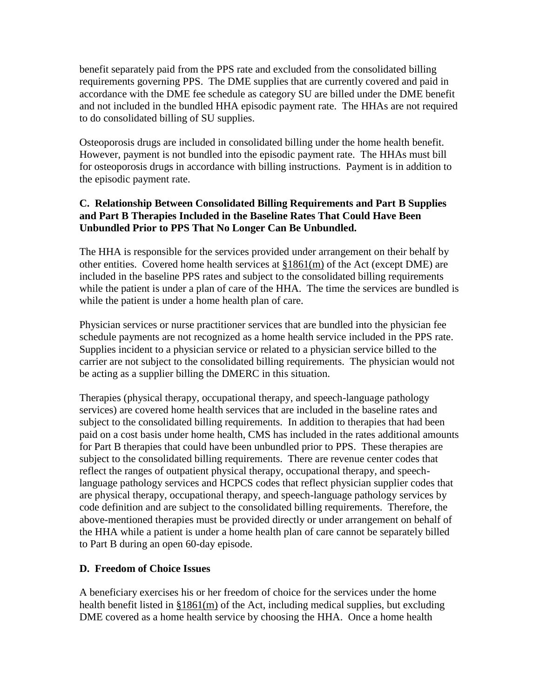benefit separately paid from the PPS rate and excluded from the consolidated billing requirements governing PPS. The DME supplies that are currently covered and paid in accordance with the DME fee schedule as category SU are billed under the DME benefit and not included in the bundled HHA episodic payment rate. The HHAs are not required to do consolidated billing of SU supplies.

Osteoporosis drugs are included in consolidated billing under the home health benefit. However, payment is not bundled into the episodic payment rate. The HHAs must bill for osteoporosis drugs in accordance with billing instructions. Payment is in addition to the episodic payment rate.

#### **C. Relationship Between Consolidated Billing Requirements and Part B Supplies and Part B Therapies Included in the Baseline Rates That Could Have Been Unbundled Prior to PPS That No Longer Can Be Unbundled.**

The HHA is responsible for the services provided under arrangement on their behalf by other entities. Covered home health services at [§1861\(m\)](http://www.ssa.gov/OP_Home/ssact/title18/1861.htm) of the Act (except DME) are included in the baseline PPS rates and subject to the consolidated billing requirements while the patient is under a plan of care of the HHA. The time the services are bundled is while the patient is under a home health plan of care.

Physician services or nurse practitioner services that are bundled into the physician fee schedule payments are not recognized as a home health service included in the PPS rate. Supplies incident to a physician service or related to a physician service billed to the carrier are not subject to the consolidated billing requirements. The physician would not be acting as a supplier billing the DMERC in this situation.

Therapies (physical therapy, occupational therapy, and speech-language pathology services) are covered home health services that are included in the baseline rates and subject to the consolidated billing requirements. In addition to therapies that had been paid on a cost basis under home health, CMS has included in the rates additional amounts for Part B therapies that could have been unbundled prior to PPS. These therapies are subject to the consolidated billing requirements. There are revenue center codes that reflect the ranges of outpatient physical therapy, occupational therapy, and speechlanguage pathology services and HCPCS codes that reflect physician supplier codes that are physical therapy, occupational therapy, and speech-language pathology services by code definition and are subject to the consolidated billing requirements. Therefore, the above-mentioned therapies must be provided directly or under arrangement on behalf of the HHA while a patient is under a home health plan of care cannot be separately billed to Part B during an open 60-day episode.

#### **D. Freedom of Choice Issues**

A beneficiary exercises his or her freedom of choice for the services under the home health benefit listed in [§1861\(m\)](http://www.ssa.gov/OP_Home/ssact/title18/1861.htm) of the Act, including medical supplies, but excluding DME covered as a home health service by choosing the HHA. Once a home health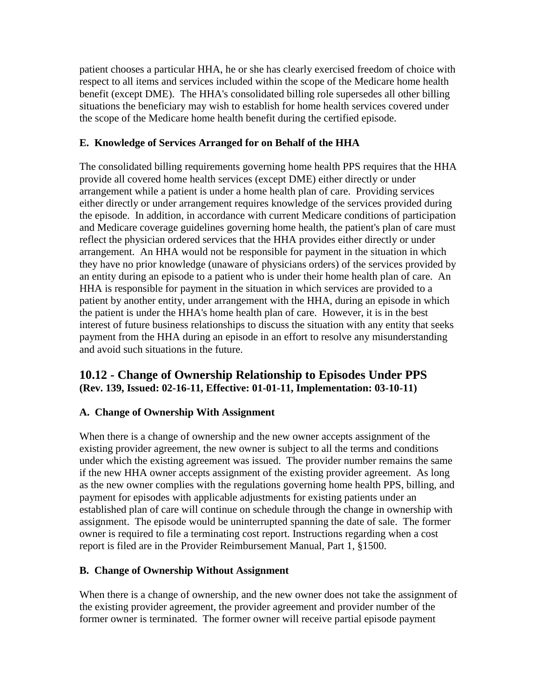patient chooses a particular HHA, he or she has clearly exercised freedom of choice with respect to all items and services included within the scope of the Medicare home health benefit (except DME). The HHA's consolidated billing role supersedes all other billing situations the beneficiary may wish to establish for home health services covered under the scope of the Medicare home health benefit during the certified episode.

#### **E. Knowledge of Services Arranged for on Behalf of the HHA**

The consolidated billing requirements governing home health PPS requires that the HHA provide all covered home health services (except DME) either directly or under arrangement while a patient is under a home health plan of care. Providing services either directly or under arrangement requires knowledge of the services provided during the episode. In addition, in accordance with current Medicare conditions of participation and Medicare coverage guidelines governing home health, the patient's plan of care must reflect the physician ordered services that the HHA provides either directly or under arrangement. An HHA would not be responsible for payment in the situation in which they have no prior knowledge (unaware of physicians orders) of the services provided by an entity during an episode to a patient who is under their home health plan of care. An HHA is responsible for payment in the situation in which services are provided to a patient by another entity, under arrangement with the HHA, during an episode in which the patient is under the HHA's home health plan of care. However, it is in the best interest of future business relationships to discuss the situation with any entity that seeks payment from the HHA during an episode in an effort to resolve any misunderstanding and avoid such situations in the future.

#### <span id="page-15-0"></span>**10.12 - Change of Ownership Relationship to Episodes Under PPS (Rev. 139, Issued: 02-16-11, Effective: 01-01-11, Implementation: 03-10-11)**

#### **A. Change of Ownership With Assignment**

When there is a change of ownership and the new owner accepts assignment of the existing provider agreement, the new owner is subject to all the terms and conditions under which the existing agreement was issued. The provider number remains the same if the new HHA owner accepts assignment of the existing provider agreement. As long as the new owner complies with the regulations governing home health PPS, billing, and payment for episodes with applicable adjustments for existing patients under an established plan of care will continue on schedule through the change in ownership with assignment. The episode would be uninterrupted spanning the date of sale. The former owner is required to file a terminating cost report. Instructions regarding when a cost report is filed are in the Provider Reimbursement Manual, Part 1, §1500.

#### **B. Change of Ownership Without Assignment**

When there is a change of ownership, and the new owner does not take the assignment of the existing provider agreement, the provider agreement and provider number of the former owner is terminated. The former owner will receive partial episode payment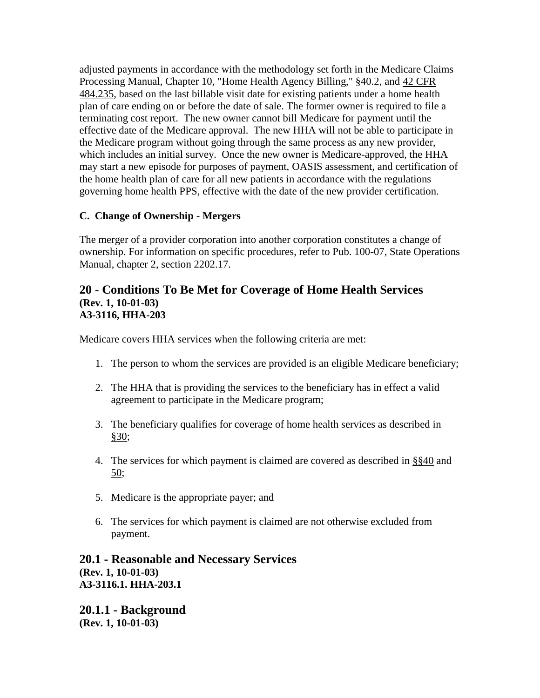adjusted payments in accordance with the methodology set forth in the Medicare Claims Processing Manual, Chapter 10, "Home Health Agency Billing," §40.2, and [42 CFR](http://ecfr.gpoaccess.gov/cgi/t/text/text-idx?c=ecfr&sid=c41b82f01e68abbdcf399040c9fecff8&rgn=div8&view=text&node=42:5.0.1.1.3.5.7.9&idno=42)  [484.235,](http://ecfr.gpoaccess.gov/cgi/t/text/text-idx?c=ecfr&sid=c41b82f01e68abbdcf399040c9fecff8&rgn=div8&view=text&node=42:5.0.1.1.3.5.7.9&idno=42) based on the last billable visit date for existing patients under a home health plan of care ending on or before the date of sale. The former owner is required to file a terminating cost report. The new owner cannot bill Medicare for payment until the effective date of the Medicare approval. The new HHA will not be able to participate in the Medicare program without going through the same process as any new provider, which includes an initial survey. Once the new owner is Medicare-approved, the HHA may start a new episode for purposes of payment, OASIS assessment, and certification of the home health plan of care for all new patients in accordance with the regulations governing home health PPS, effective with the date of the new provider certification.

#### **C. Change of Ownership - Mergers**

The merger of a provider corporation into another corporation constitutes a change of ownership. For information on specific procedures, refer to Pub. 100-07, State Operations Manual, chapter 2, section 2202.17.

#### <span id="page-16-0"></span>**20 - Conditions To Be Met for Coverage of Home Health Services (Rev. 1, 10-01-03) A3-3116, HHA-203**

Medicare covers HHA services when the following criteria are met:

- 1. The person to whom the services are provided is an eligible Medicare beneficiary;
- 2. The HHA that is providing the services to the beneficiary has in effect a valid agreement to participate in the Medicare program;
- 3. The beneficiary qualifies for coverage of home health services as described in [§30;](#page-18-1)
- 4. The services for which payment is claimed are covered as described in [§§40](#page-33-2) and [50;](#page-67-0)
- 5. Medicare is the appropriate payer; and
- 6. The services for which payment is claimed are not otherwise excluded from payment.

<span id="page-16-1"></span>**20.1 - Reasonable and Necessary Services (Rev. 1, 10-01-03) A3-3116.1. HHA-203.1**

<span id="page-16-2"></span>**20.1.1 - Background (Rev. 1, 10-01-03)**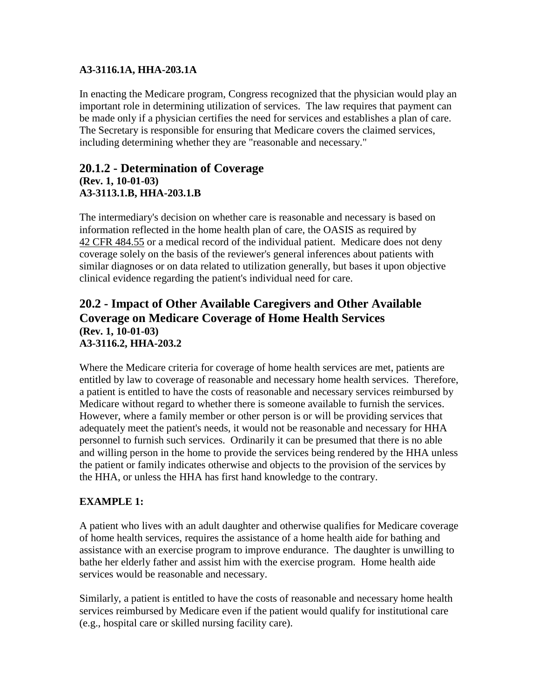#### **A3-3116.1A, HHA-203.1A**

In enacting the Medicare program, Congress recognized that the physician would play an important role in determining utilization of services. The law requires that payment can be made only if a physician certifies the need for services and establishes a plan of care. The Secretary is responsible for ensuring that Medicare covers the claimed services, including determining whether they are "reasonable and necessary."

#### <span id="page-17-0"></span>**20.1.2 - Determination of Coverage (Rev. 1, 10-01-03) A3-3113.1.B, HHA-203.1.B**

The intermediary's decision on whether care is reasonable and necessary is based on information reflected in the home health plan of care, the OASIS as required by 42 CFR [484.55](http://www.cms.hhs.gov/regulations/) or a medical record of the individual patient. Medicare does not deny coverage solely on the basis of the reviewer's general inferences about patients with similar diagnoses or on data related to utilization generally, but bases it upon objective clinical evidence regarding the patient's individual need for care.

#### <span id="page-17-1"></span>**20.2 - Impact of Other Available Caregivers and Other Available Coverage on Medicare Coverage of Home Health Services (Rev. 1, 10-01-03) A3-3116.2, HHA-203.2**

Where the Medicare criteria for coverage of home health services are met, patients are entitled by law to coverage of reasonable and necessary home health services. Therefore, a patient is entitled to have the costs of reasonable and necessary services reimbursed by Medicare without regard to whether there is someone available to furnish the services. However, where a family member or other person is or will be providing services that adequately meet the patient's needs, it would not be reasonable and necessary for HHA personnel to furnish such services. Ordinarily it can be presumed that there is no able and willing person in the home to provide the services being rendered by the HHA unless the patient or family indicates otherwise and objects to the provision of the services by the HHA, or unless the HHA has first hand knowledge to the contrary.

#### **EXAMPLE 1:**

A patient who lives with an adult daughter and otherwise qualifies for Medicare coverage of home health services, requires the assistance of a home health aide for bathing and assistance with an exercise program to improve endurance. The daughter is unwilling to bathe her elderly father and assist him with the exercise program. Home health aide services would be reasonable and necessary.

Similarly, a patient is entitled to have the costs of reasonable and necessary home health services reimbursed by Medicare even if the patient would qualify for institutional care (e.g., hospital care or skilled nursing facility care).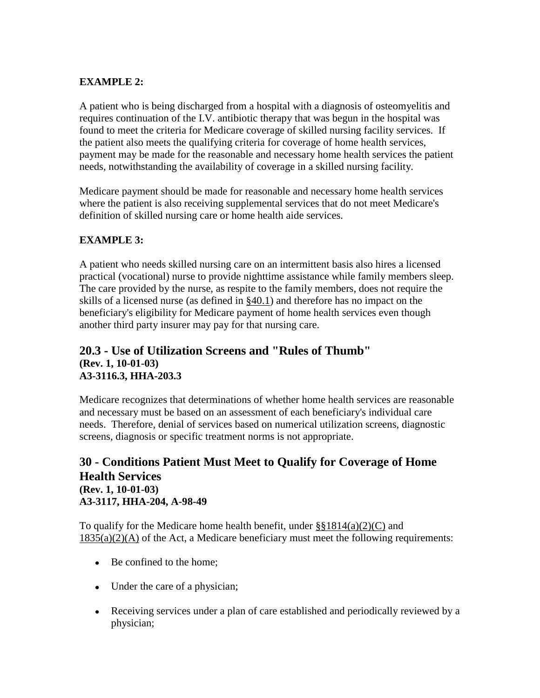#### **EXAMPLE 2:**

A patient who is being discharged from a hospital with a diagnosis of osteomyelitis and requires continuation of the I.V. antibiotic therapy that was begun in the hospital was found to meet the criteria for Medicare coverage of skilled nursing facility services. If the patient also meets the qualifying criteria for coverage of home health services, payment may be made for the reasonable and necessary home health services the patient needs, notwithstanding the availability of coverage in a skilled nursing facility.

Medicare payment should be made for reasonable and necessary home health services where the patient is also receiving supplemental services that do not meet Medicare's definition of skilled nursing care or home health aide services.

#### **EXAMPLE 3:**

A patient who needs skilled nursing care on an intermittent basis also hires a licensed practical (vocational) nurse to provide nighttime assistance while family members sleep. The care provided by the nurse, as respite to the family members, does not require the skills of a licensed nurse (as defined in  $§40.1$ ) and therefore has no impact on the beneficiary's eligibility for Medicare payment of home health services even though another third party insurer may pay for that nursing care.

#### <span id="page-18-0"></span>**20.3 - Use of Utilization Screens and "Rules of Thumb" (Rev. 1, 10-01-03) A3-3116.3, HHA-203.3**

Medicare recognizes that determinations of whether home health services are reasonable and necessary must be based on an assessment of each beneficiary's individual care needs. Therefore, denial of services based on numerical utilization screens, diagnostic screens, diagnosis or specific treatment norms is not appropriate.

#### <span id="page-18-1"></span>**30 - Conditions Patient Must Meet to Qualify for Coverage of Home Health Services (Rev. 1, 10-01-03) A3-3117, HHA-204, A-98-49**

To qualify for the Medicare home health benefit, under  $\S$ §1814(a)(2)(C) and  $1835(a)(2)(A)$  of the Act, a Medicare beneficiary must meet the following requirements:

- Be confined to the home;
- Under the care of a physician;
- Receiving services under a plan of care established and periodically reviewed by a physician;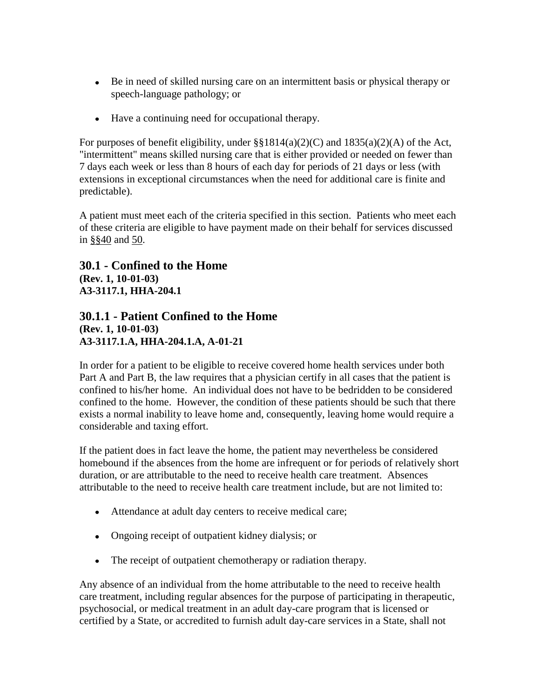- Be in need of skilled nursing care on an intermittent basis or physical therapy or speech-language pathology; or
- Have a continuing need for occupational therapy.

For purposes of benefit eligibility, under §§1814(a)(2)(C) and 1835(a)(2)(A) of the Act, "intermittent" means skilled nursing care that is either provided or needed on fewer than 7 days each week or less than 8 hours of each day for periods of 21 days or less (with extensions in exceptional circumstances when the need for additional care is finite and predictable).

A patient must meet each of the criteria specified in this section. Patients who meet each of these criteria are eligible to have payment made on their behalf for services discussed in [§§40](#page-33-2) and [50.](#page-67-0)

<span id="page-19-0"></span>**30.1 - Confined to the Home (Rev. 1, 10-01-03) A3-3117.1, HHA-204.1**

#### <span id="page-19-1"></span>**30.1.1 - Patient Confined to the Home (Rev. 1, 10-01-03) A3-3117.1.A, HHA-204.1.A, A-01-21**

In order for a patient to be eligible to receive covered home health services under both Part A and Part B, the law requires that a physician certify in all cases that the patient is confined to his/her home. An individual does not have to be bedridden to be considered confined to the home. However, the condition of these patients should be such that there exists a normal inability to leave home and, consequently, leaving home would require a considerable and taxing effort.

If the patient does in fact leave the home, the patient may nevertheless be considered homebound if the absences from the home are infrequent or for periods of relatively short duration, or are attributable to the need to receive health care treatment. Absences attributable to the need to receive health care treatment include, but are not limited to:

- Attendance at adult day centers to receive medical care;
- Ongoing receipt of outpatient kidney dialysis; or
- The receipt of outpatient chemotherapy or radiation therapy.

Any absence of an individual from the home attributable to the need to receive health care treatment, including regular absences for the purpose of participating in therapeutic, psychosocial, or medical treatment in an adult day-care program that is licensed or certified by a State, or accredited to furnish adult day-care services in a State, shall not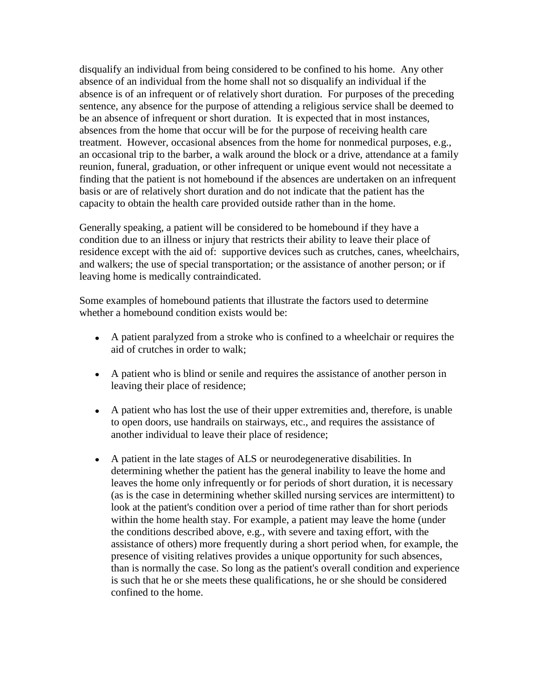disqualify an individual from being considered to be confined to his home. Any other absence of an individual from the home shall not so disqualify an individual if the absence is of an infrequent or of relatively short duration. For purposes of the preceding sentence, any absence for the purpose of attending a religious service shall be deemed to be an absence of infrequent or short duration. It is expected that in most instances, absences from the home that occur will be for the purpose of receiving health care treatment. However, occasional absences from the home for nonmedical purposes, e.g., an occasional trip to the barber, a walk around the block or a drive, attendance at a family reunion, funeral, graduation, or other infrequent or unique event would not necessitate a finding that the patient is not homebound if the absences are undertaken on an infrequent basis or are of relatively short duration and do not indicate that the patient has the capacity to obtain the health care provided outside rather than in the home.

Generally speaking, a patient will be considered to be homebound if they have a condition due to an illness or injury that restricts their ability to leave their place of residence except with the aid of: supportive devices such as crutches, canes, wheelchairs, and walkers; the use of special transportation; or the assistance of another person; or if leaving home is medically contraindicated.

Some examples of homebound patients that illustrate the factors used to determine whether a homebound condition exists would be:

- A patient paralyzed from a stroke who is confined to a wheelchair or requires the aid of crutches in order to walk;
- A patient who is blind or senile and requires the assistance of another person in leaving their place of residence;
- A patient who has lost the use of their upper extremities and, therefore, is unable to open doors, use handrails on stairways, etc., and requires the assistance of another individual to leave their place of residence;
- A patient in the late stages of ALS or neurodegenerative disabilities. In determining whether the patient has the general inability to leave the home and leaves the home only infrequently or for periods of short duration, it is necessary (as is the case in determining whether skilled nursing services are intermittent) to look at the patient's condition over a period of time rather than for short periods within the home health stay. For example, a patient may leave the home (under the conditions described above, e.g., with severe and taxing effort, with the assistance of others) more frequently during a short period when, for example, the presence of visiting relatives provides a unique opportunity for such absences, than is normally the case. So long as the patient's overall condition and experience is such that he or she meets these qualifications, he or she should be considered confined to the home.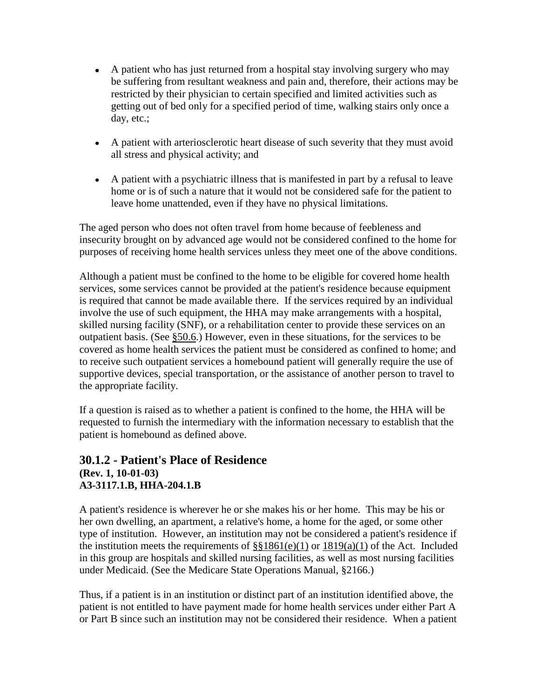- A patient who has just returned from a hospital stay involving surgery who may be suffering from resultant weakness and pain and, therefore, their actions may be restricted by their physician to certain specified and limited activities such as getting out of bed only for a specified period of time, walking stairs only once a day, etc.;
- A patient with arteriosclerotic heart disease of such severity that they must avoid all stress and physical activity; and
- A patient with a psychiatric illness that is manifested in part by a refusal to leave home or is of such a nature that it would not be considered safe for the patient to leave home unattended, even if they have no physical limitations.

The aged person who does not often travel from home because of feebleness and insecurity brought on by advanced age would not be considered confined to the home for purposes of receiving home health services unless they meet one of the above conditions.

Although a patient must be confined to the home to be eligible for covered home health services, some services cannot be provided at the patient's residence because equipment is required that cannot be made available there. If the services required by an individual involve the use of such equipment, the HHA may make arrangements with a hospital, skilled nursing facility (SNF), or a rehabilitation center to provide these services on an outpatient basis. (See [§50.6.](#page-80-1)) However, even in these situations, for the services to be covered as home health services the patient must be considered as confined to home; and to receive such outpatient services a homebound patient will generally require the use of supportive devices, special transportation, or the assistance of another person to travel to the appropriate facility.

If a question is raised as to whether a patient is confined to the home, the HHA will be requested to furnish the intermediary with the information necessary to establish that the patient is homebound as defined above.

#### <span id="page-21-0"></span>**30.1.2 - Patient's Place of Residence (Rev. 1, 10-01-03) A3-3117.1.B, HHA-204.1.B**

A patient's residence is wherever he or she makes his or her home. This may be his or her own dwelling, an apartment, a relative's home, a home for the aged, or some other type of institution. However, an institution may not be considered a patient's residence if the institution meets the requirements of  $\S$  $1861(e)(1)$  or  $1819(a)(1)$  of the Act. Included in this group are hospitals and skilled nursing facilities, as well as most nursing facilities under Medicaid. (See the Medicare State Operations Manual, §2166.)

Thus, if a patient is in an institution or distinct part of an institution identified above, the patient is not entitled to have payment made for home health services under either Part A or Part B since such an institution may not be considered their residence. When a patient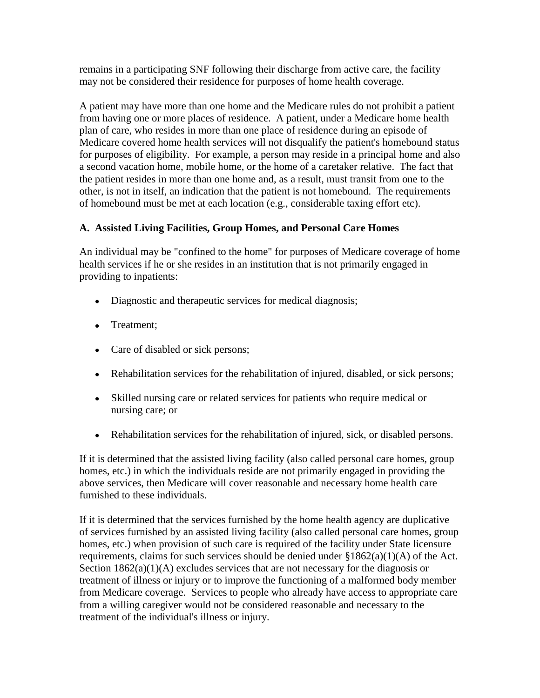remains in a participating SNF following their discharge from active care, the facility may not be considered their residence for purposes of home health coverage.

A patient may have more than one home and the Medicare rules do not prohibit a patient from having one or more places of residence. A patient, under a Medicare home health plan of care, who resides in more than one place of residence during an episode of Medicare covered home health services will not disqualify the patient's homebound status for purposes of eligibility. For example, a person may reside in a principal home and also a second vacation home, mobile home, or the home of a caretaker relative. The fact that the patient resides in more than one home and, as a result, must transit from one to the other, is not in itself, an indication that the patient is not homebound. The requirements of homebound must be met at each location (e.g., considerable taxing effort etc).

#### **A. Assisted Living Facilities, Group Homes, and Personal Care Homes**

An individual may be "confined to the home" for purposes of Medicare coverage of home health services if he or she resides in an institution that is not primarily engaged in providing to inpatients:

- Diagnostic and therapeutic services for medical diagnosis;
- Treatment;
- Care of disabled or sick persons;
- Rehabilitation services for the rehabilitation of injured, disabled, or sick persons;
- Skilled nursing care or related services for patients who require medical or nursing care; or
- Rehabilitation services for the rehabilitation of injured, sick, or disabled persons.

If it is determined that the assisted living facility (also called personal care homes, group homes, etc.) in which the individuals reside are not primarily engaged in providing the above services, then Medicare will cover reasonable and necessary home health care furnished to these individuals.

If it is determined that the services furnished by the home health agency are duplicative of services furnished by an assisted living facility (also called personal care homes, group homes, etc.) when provision of such care is required of the facility under State licensure requirements, claims for such services should be denied under  $$1862(a)(1)(A)$  of the Act. Section 1862(a)(1)(A) excludes services that are not necessary for the diagnosis or treatment of illness or injury or to improve the functioning of a malformed body member from Medicare coverage. Services to people who already have access to appropriate care from a willing caregiver would not be considered reasonable and necessary to the treatment of the individual's illness or injury.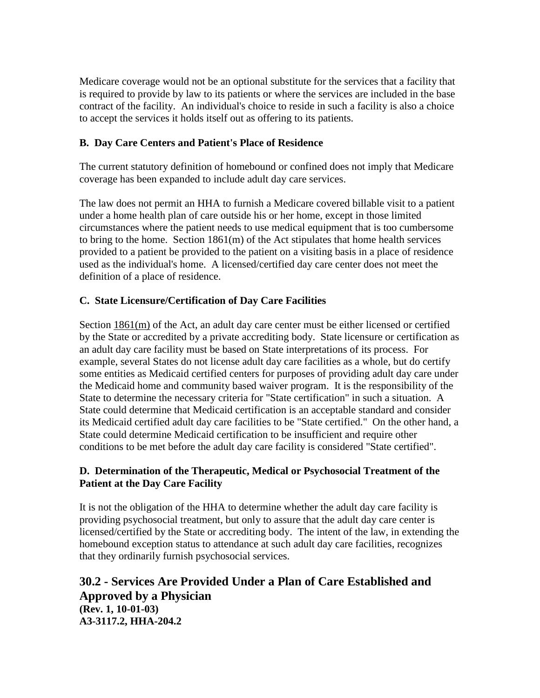Medicare coverage would not be an optional substitute for the services that a facility that is required to provide by law to its patients or where the services are included in the base contract of the facility. An individual's choice to reside in such a facility is also a choice to accept the services it holds itself out as offering to its patients.

#### **B. Day Care Centers and Patient's Place of Residence**

The current statutory definition of homebound or confined does not imply that Medicare coverage has been expanded to include adult day care services.

The law does not permit an HHA to furnish a Medicare covered billable visit to a patient under a home health plan of care outside his or her home, except in those limited circumstances where the patient needs to use medical equipment that is too cumbersome to bring to the home. Section 1861(m) of the Act stipulates that home health services provided to a patient be provided to the patient on a visiting basis in a place of residence used as the individual's home. A licensed/certified day care center does not meet the definition of a place of residence.

#### **C. State Licensure/Certification of Day Care Facilities**

Section [1861\(m\)](http://www.cms.hhs.gov/regulations/) of the Act, an adult day care center must be either licensed or certified by the State or accredited by a private accrediting body. State licensure or certification as an adult day care facility must be based on State interpretations of its process. For example, several States do not license adult day care facilities as a whole, but do certify some entities as Medicaid certified centers for purposes of providing adult day care under the Medicaid home and community based waiver program. It is the responsibility of the State to determine the necessary criteria for "State certification" in such a situation. A State could determine that Medicaid certification is an acceptable standard and consider its Medicaid certified adult day care facilities to be "State certified." On the other hand, a State could determine Medicaid certification to be insufficient and require other conditions to be met before the adult day care facility is considered "State certified".

#### **D. Determination of the Therapeutic, Medical or Psychosocial Treatment of the Patient at the Day Care Facility**

It is not the obligation of the HHA to determine whether the adult day care facility is providing psychosocial treatment, but only to assure that the adult day care center is licensed/certified by the State or accrediting body. The intent of the law, in extending the homebound exception status to attendance at such adult day care facilities, recognizes that they ordinarily furnish psychosocial services.

<span id="page-23-0"></span>**30.2 - Services Are Provided Under a Plan of Care Established and Approved by a Physician (Rev. 1, 10-01-03) A3-3117.2, HHA-204.2**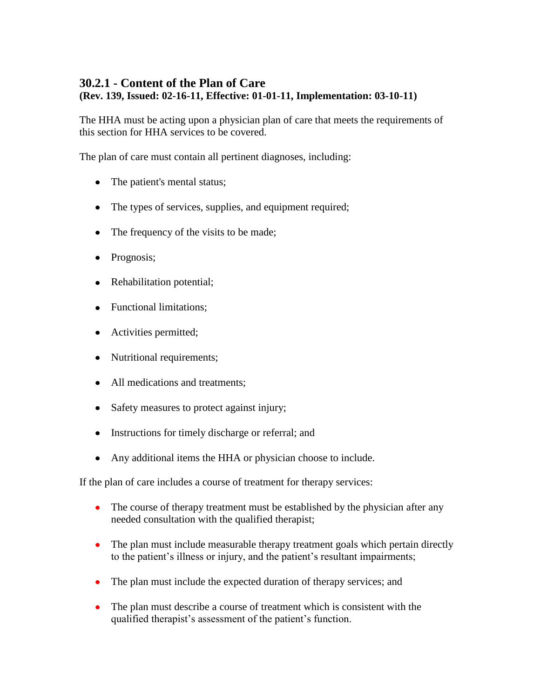#### <span id="page-24-0"></span>**30.2.1 - Content of the Plan of Care (Rev. 139, Issued: 02-16-11, Effective: 01-01-11, Implementation: 03-10-11)**

The HHA must be acting upon a physician plan of care that meets the requirements of this section for HHA services to be covered.

The plan of care must contain all pertinent diagnoses, including:

- The patient's mental status;
- The types of services, supplies, and equipment required;
- The frequency of the visits to be made;
- Prognosis;
- Rehabilitation potential;
- Functional limitations:
- $\bullet$ Activities permitted;
- Nutritional requirements;
- All medications and treatments;
- Safety measures to protect against injury;  $\bullet$
- Instructions for timely discharge or referral; and  $\bullet$
- Any additional items the HHA or physician choose to include.

If the plan of care includes a course of treatment for therapy services:

- The course of therapy treatment must be established by the physician after any needed consultation with the qualified therapist;
- The plan must include measurable therapy treatment goals which pertain directly to the patient's illness or injury, and the patient's resultant impairments;
- The plan must include the expected duration of therapy services; and
- The plan must describe a course of treatment which is consistent with the qualified therapist's assessment of the patient's function.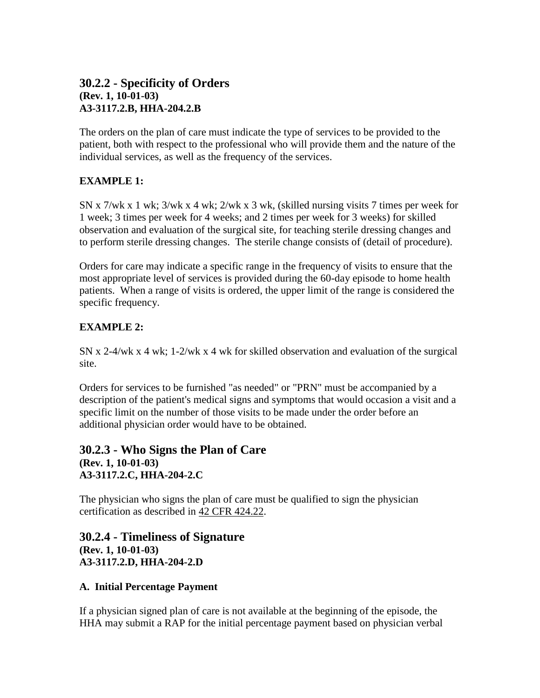#### <span id="page-25-0"></span>**30.2.2 - Specificity of Orders (Rev. 1, 10-01-03) A3-3117.2.B, HHA-204.2.B**

The orders on the plan of care must indicate the type of services to be provided to the patient, both with respect to the professional who will provide them and the nature of the individual services, as well as the frequency of the services.

#### **EXAMPLE 1:**

SN x  $7$ /wk x 1 wk;  $3$ /wk x 4 wk;  $2$ /wk x 3 wk, (skilled nursing visits 7 times per week for 1 week; 3 times per week for 4 weeks; and 2 times per week for 3 weeks) for skilled observation and evaluation of the surgical site, for teaching sterile dressing changes and to perform sterile dressing changes. The sterile change consists of (detail of procedure).

Orders for care may indicate a specific range in the frequency of visits to ensure that the most appropriate level of services is provided during the 60-day episode to home health patients. When a range of visits is ordered, the upper limit of the range is considered the specific frequency.

#### **EXAMPLE 2:**

SN x 2-4/wk x 4 wk; 1-2/wk x 4 wk for skilled observation and evaluation of the surgical site.

Orders for services to be furnished "as needed" or "PRN" must be accompanied by a description of the patient's medical signs and symptoms that would occasion a visit and a specific limit on the number of those visits to be made under the order before an additional physician order would have to be obtained.

#### <span id="page-25-1"></span>**30.2.3 - Who Signs the Plan of Care (Rev. 1, 10-01-03) A3-3117.2.C, HHA-204-2.C**

The physician who signs the plan of care must be qualified to sign the physician certification as described in [42 CFR 424.22.](http://www.cms.hhs.gov/regulations/)

<span id="page-25-2"></span>**30.2.4 - Timeliness of Signature (Rev. 1, 10-01-03) A3-3117.2.D, HHA-204-2.D**

#### **A. Initial Percentage Payment**

If a physician signed plan of care is not available at the beginning of the episode, the HHA may submit a RAP for the initial percentage payment based on physician verbal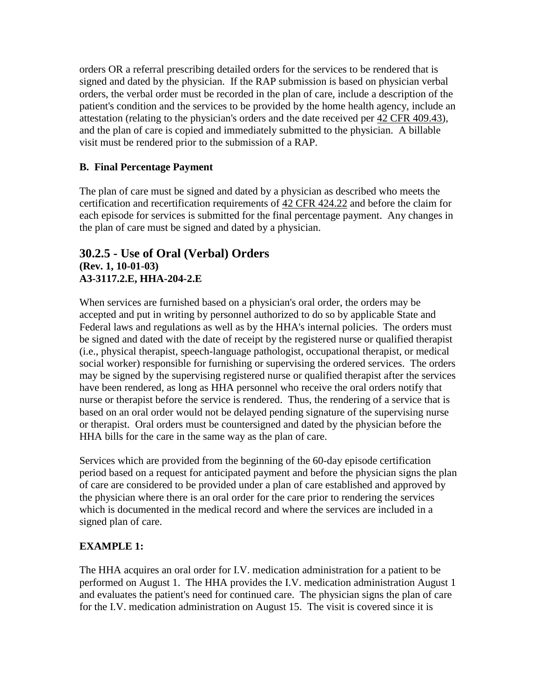orders OR a referral prescribing detailed orders for the services to be rendered that is signed and dated by the physician. If the RAP submission is based on physician verbal orders, the verbal order must be recorded in the plan of care, include a description of the patient's condition and the services to be provided by the home health agency, include an attestation (relating to the physician's orders and the date received per [42 CFR 409.43\)](http://www.cms.hhs.gov/regulations/), and the plan of care is copied and immediately submitted to the physician. A billable visit must be rendered prior to the submission of a RAP.

#### **B. Final Percentage Payment**

The plan of care must be signed and dated by a physician as described who meets the certification and recertification requirements of [42 CFR 424.22](http://www.cms.hhs.gov/regulations/) and before the claim for each episode for services is submitted for the final percentage payment. Any changes in the plan of care must be signed and dated by a physician.

#### <span id="page-26-0"></span>**30.2.5 - Use of Oral (Verbal) Orders (Rev. 1, 10-01-03) A3-3117.2.E, HHA-204-2.E**

When services are furnished based on a physician's oral order, the orders may be accepted and put in writing by personnel authorized to do so by applicable State and Federal laws and regulations as well as by the HHA's internal policies. The orders must be signed and dated with the date of receipt by the registered nurse or qualified therapist (i.e., physical therapist, speech-language pathologist, occupational therapist, or medical social worker) responsible for furnishing or supervising the ordered services. The orders may be signed by the supervising registered nurse or qualified therapist after the services have been rendered, as long as HHA personnel who receive the oral orders notify that nurse or therapist before the service is rendered. Thus, the rendering of a service that is based on an oral order would not be delayed pending signature of the supervising nurse or therapist. Oral orders must be countersigned and dated by the physician before the HHA bills for the care in the same way as the plan of care.

Services which are provided from the beginning of the 60-day episode certification period based on a request for anticipated payment and before the physician signs the plan of care are considered to be provided under a plan of care established and approved by the physician where there is an oral order for the care prior to rendering the services which is documented in the medical record and where the services are included in a signed plan of care.

#### **EXAMPLE 1:**

The HHA acquires an oral order for I.V. medication administration for a patient to be performed on August 1. The HHA provides the I.V. medication administration August 1 and evaluates the patient's need for continued care. The physician signs the plan of care for the I.V. medication administration on August 15. The visit is covered since it is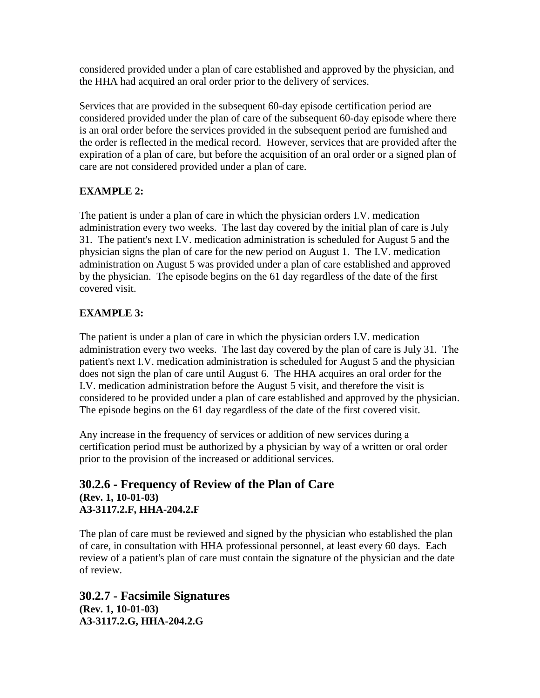considered provided under a plan of care established and approved by the physician, and the HHA had acquired an oral order prior to the delivery of services.

Services that are provided in the subsequent 60-day episode certification period are considered provided under the plan of care of the subsequent 60-day episode where there is an oral order before the services provided in the subsequent period are furnished and the order is reflected in the medical record. However, services that are provided after the expiration of a plan of care, but before the acquisition of an oral order or a signed plan of care are not considered provided under a plan of care.

#### **EXAMPLE 2:**

The patient is under a plan of care in which the physician orders I.V. medication administration every two weeks. The last day covered by the initial plan of care is July 31. The patient's next I.V. medication administration is scheduled for August 5 and the physician signs the plan of care for the new period on August 1. The I.V. medication administration on August 5 was provided under a plan of care established and approved by the physician. The episode begins on the 61 day regardless of the date of the first covered visit.

#### **EXAMPLE 3:**

The patient is under a plan of care in which the physician orders I.V. medication administration every two weeks. The last day covered by the plan of care is July 31. The patient's next I.V. medication administration is scheduled for August 5 and the physician does not sign the plan of care until August 6. The HHA acquires an oral order for the I.V. medication administration before the August 5 visit, and therefore the visit is considered to be provided under a plan of care established and approved by the physician. The episode begins on the 61 day regardless of the date of the first covered visit.

Any increase in the frequency of services or addition of new services during a certification period must be authorized by a physician by way of a written or oral order prior to the provision of the increased or additional services.

#### <span id="page-27-0"></span>**30.2.6 - Frequency of Review of the Plan of Care (Rev. 1, 10-01-03) A3-3117.2.F, HHA-204.2.F**

The plan of care must be reviewed and signed by the physician who established the plan of care, in consultation with HHA professional personnel, at least every 60 days. Each review of a patient's plan of care must contain the signature of the physician and the date of review.

<span id="page-27-1"></span>**30.2.7 - Facsimile Signatures (Rev. 1, 10-01-03) A3-3117.2.G, HHA-204.2.G**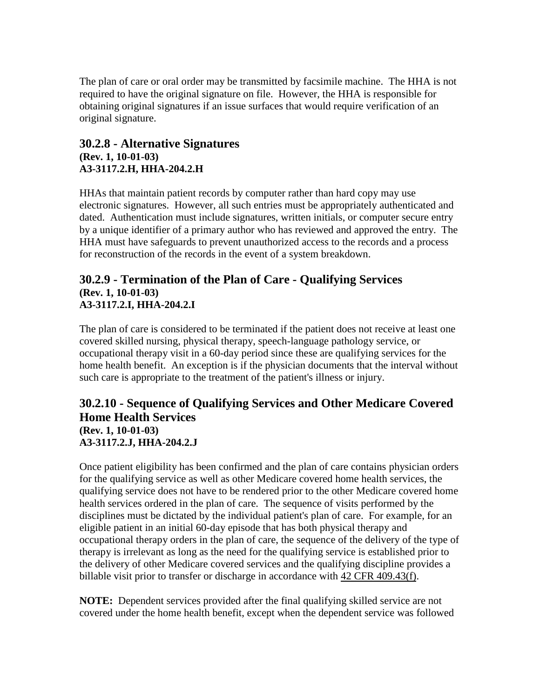The plan of care or oral order may be transmitted by facsimile machine. The HHA is not required to have the original signature on file. However, the HHA is responsible for obtaining original signatures if an issue surfaces that would require verification of an original signature.

#### <span id="page-28-0"></span>**30.2.8 - Alternative Signatures (Rev. 1, 10-01-03) A3-3117.2.H, HHA-204.2.H**

HHAs that maintain patient records by computer rather than hard copy may use electronic signatures. However, all such entries must be appropriately authenticated and dated. Authentication must include signatures, written initials, or computer secure entry by a unique identifier of a primary author who has reviewed and approved the entry. The HHA must have safeguards to prevent unauthorized access to the records and a process for reconstruction of the records in the event of a system breakdown.

#### <span id="page-28-1"></span>**30.2.9 - Termination of the Plan of Care - Qualifying Services (Rev. 1, 10-01-03) A3-3117.2.I, HHA-204.2.I**

The plan of care is considered to be terminated if the patient does not receive at least one covered skilled nursing, physical therapy, speech-language pathology service, or occupational therapy visit in a 60-day period since these are qualifying services for the home health benefit. An exception is if the physician documents that the interval without such care is appropriate to the treatment of the patient's illness or injury.

#### <span id="page-28-2"></span>**30.2.10 - Sequence of Qualifying Services and Other Medicare Covered Home Health Services (Rev. 1, 10-01-03) A3-3117.2.J, HHA-204.2.J**

Once patient eligibility has been confirmed and the plan of care contains physician orders for the qualifying service as well as other Medicare covered home health services, the qualifying service does not have to be rendered prior to the other Medicare covered home health services ordered in the plan of care. The sequence of visits performed by the disciplines must be dictated by the individual patient's plan of care. For example, for an eligible patient in an initial 60-day episode that has both physical therapy and occupational therapy orders in the plan of care, the sequence of the delivery of the type of therapy is irrelevant as long as the need for the qualifying service is established prior to the delivery of other Medicare covered services and the qualifying discipline provides a billable visit prior to transfer or discharge in accordance with [42 CFR 409.43\(f\).](http://www.cms.hhs.gov/regulations/)

**NOTE:** Dependent services provided after the final qualifying skilled service are not covered under the home health benefit, except when the dependent service was followed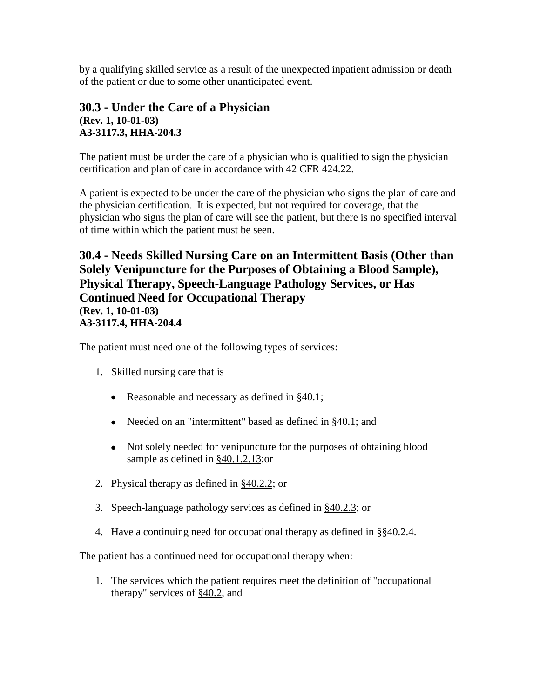by a qualifying skilled service as a result of the unexpected inpatient admission or death of the patient or due to some other unanticipated event.

#### <span id="page-29-0"></span>**30.3 - Under the Care of a Physician (Rev. 1, 10-01-03) A3-3117.3, HHA-204.3**

The patient must be under the care of a physician who is qualified to sign the physician certification and plan of care in accordance with [42 CFR 424.22.](http://www.cms.hhs.gov/regulations/)

A patient is expected to be under the care of the physician who signs the plan of care and the physician certification. It is expected, but not required for coverage, that the physician who signs the plan of care will see the patient, but there is no specified interval of time within which the patient must be seen.

#### <span id="page-29-1"></span>**30.4 - Needs Skilled Nursing Care on an Intermittent Basis (Other than Solely Venipuncture for the Purposes of Obtaining a Blood Sample), Physical Therapy, Speech-Language Pathology Services, or Has Continued Need for Occupational Therapy (Rev. 1, 10-01-03) A3-3117.4, HHA-204.4**

The patient must need one of the following types of services:

- 1. Skilled nursing care that is
	- Reasonable and necessary as defined in  $§40.1;$
	- Needed on an "intermittent" based as defined in §40.1; and
	- Not solely needed for venipuncture for the purposes of obtaining blood sample as defined in [§40.1.2.13;](#page-50-1)or
- 2. Physical therapy as defined in [§40.2.2;](#page-60-0) or
- 3. Speech-language pathology services as defined in [§40.2.3;](#page-63-0) or
- 4. Have a continuing need for occupational therapy as defined in [§§40.2.4.](#page-64-0)

The patient has a continued need for occupational therapy when:

1. The services which the patient requires meet the definition of "occupational therapy" services of [§40.2,](#page-55-0) and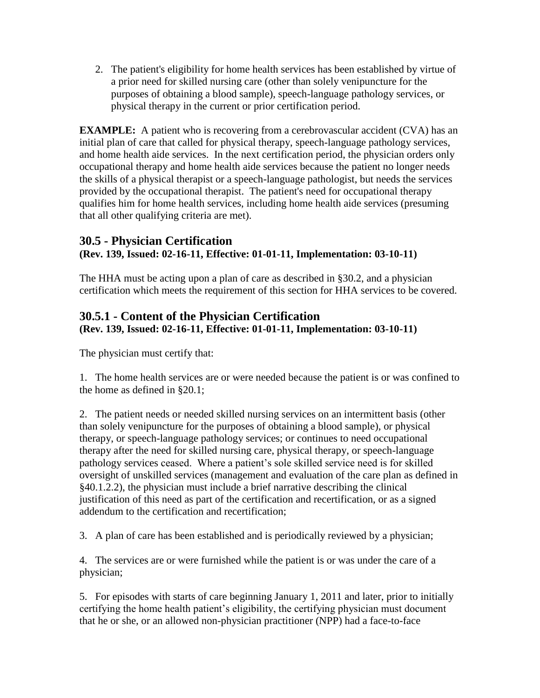2. The patient's eligibility for home health services has been established by virtue of a prior need for skilled nursing care (other than solely venipuncture for the purposes of obtaining a blood sample), speech-language pathology services, or physical therapy in the current or prior certification period.

**EXAMPLE:** A patient who is recovering from a cerebrovascular accident (CVA) has an initial plan of care that called for physical therapy, speech-language pathology services, and home health aide services. In the next certification period, the physician orders only occupational therapy and home health aide services because the patient no longer needs the skills of a physical therapist or a speech-language pathologist, but needs the services provided by the occupational therapist. The patient's need for occupational therapy qualifies him for home health services, including home health aide services (presuming that all other qualifying criteria are met).

#### <span id="page-30-0"></span>**30.5 - Physician Certification**

#### **(Rev. 139, Issued: 02-16-11, Effective: 01-01-11, Implementation: 03-10-11)**

The HHA must be acting upon a plan of care as described in §30.2, and a physician certification which meets the requirement of this section for HHA services to be covered.

#### <span id="page-30-1"></span>**30.5.1 - Content of the Physician Certification (Rev. 139, Issued: 02-16-11, Effective: 01-01-11, Implementation: 03-10-11)**

The physician must certify that:

1. The home health services are or were needed because the patient is or was confined to the home as defined in §20.1;

2. The patient needs or needed skilled nursing services on an intermittent basis (other than solely venipuncture for the purposes of obtaining a blood sample), or physical therapy, or speech-language pathology services; or continues to need occupational therapy after the need for skilled nursing care, physical therapy, or speech-language pathology services ceased. Where a patient's sole skilled service need is for skilled oversight of unskilled services (management and evaluation of the care plan as defined in §40.1.2.2), the physician must include a brief narrative describing the clinical justification of this need as part of the certification and recertification, or as a signed addendum to the certification and recertification;

3. A plan of care has been established and is periodically reviewed by a physician;

4. The services are or were furnished while the patient is or was under the care of a physician;

5. For episodes with starts of care beginning January 1, 2011 and later, prior to initially certifying the home health patient's eligibility, the certifying physician must document that he or she, or an allowed non-physician practitioner (NPP) had a face-to-face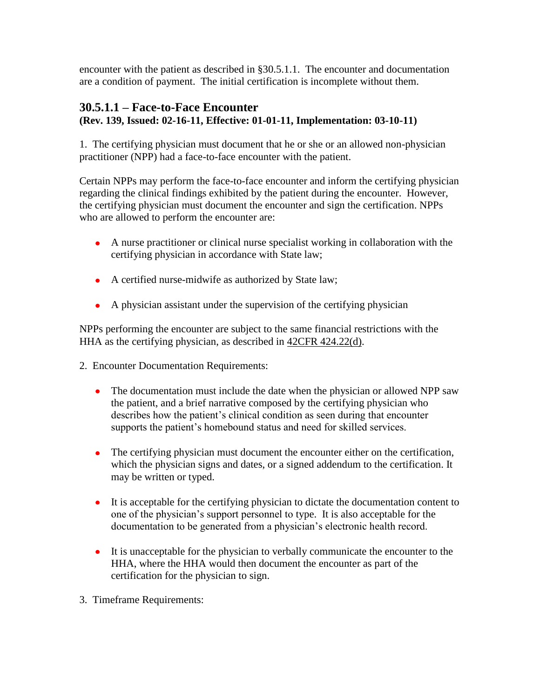encounter with the patient as described in §30.5.1.1. The encounter and documentation are a condition of payment. The initial certification is incomplete without them.

#### **30.5.1.1 – Face-to-Face Encounter (Rev. 139, Issued: 02-16-11, Effective: 01-01-11, Implementation: 03-10-11)**

1. The certifying physician must document that he or she or an allowed non-physician practitioner (NPP) had a face-to-face encounter with the patient.

Certain NPPs may perform the face-to-face encounter and inform the certifying physician regarding the clinical findings exhibited by the patient during the encounter. However, the certifying physician must document the encounter and sign the certification. NPPs who are allowed to perform the encounter are:

- A nurse practitioner or clinical nurse specialist working in collaboration with the certifying physician in accordance with State law;
- A certified nurse-midwife as authorized by State law;
- A physician assistant under the supervision of the certifying physician

NPPs performing the encounter are subject to the same financial restrictions with the HHA as the certifying physician, as described in [42CFR 424.22\(d\).](http://ecfr.gpoaccess.gov/cgi/t/text/text-idx?c=ecfr&sid=2902f2cc48720225f7898fdd16dd16c3&rgn=div8&view=text&node=42:3.0.1.1.11.2.6.8&idno=42)

- 2. Encounter Documentation Requirements:
	- The documentation must include the date when the physician or allowed NPP saw the patient, and a brief narrative composed by the certifying physician who describes how the patient's clinical condition as seen during that encounter supports the patient's homebound status and need for skilled services.
	- The certifying physician must document the encounter either on the certification, which the physician signs and dates, or a signed addendum to the certification. It may be written or typed.
	- It is acceptable for the certifying physician to dictate the documentation content to one of the physician's support personnel to type. It is also acceptable for the documentation to be generated from a physician's electronic health record.
	- It is unacceptable for the physician to verbally communicate the encounter to the HHA, where the HHA would then document the encounter as part of the certification for the physician to sign.
- 3. Timeframe Requirements: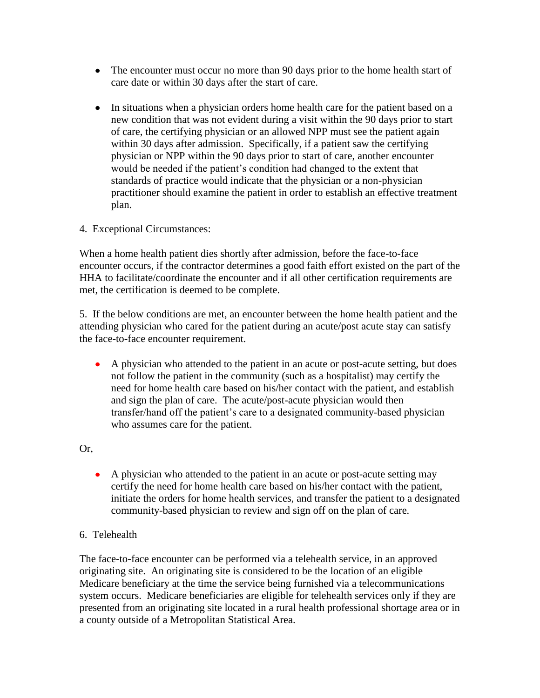- The encounter must occur no more than 90 days prior to the home health start of care date or within 30 days after the start of care.
- In situations when a physician orders home health care for the patient based on a new condition that was not evident during a visit within the 90 days prior to start of care, the certifying physician or an allowed NPP must see the patient again within 30 days after admission. Specifically, if a patient saw the certifying physician or NPP within the 90 days prior to start of care, another encounter would be needed if the patient's condition had changed to the extent that standards of practice would indicate that the physician or a non-physician practitioner should examine the patient in order to establish an effective treatment plan.
- 4. Exceptional Circumstances:

When a home health patient dies shortly after admission, before the face-to-face encounter occurs, if the contractor determines a good faith effort existed on the part of the HHA to facilitate/coordinate the encounter and if all other certification requirements are met, the certification is deemed to be complete.

5. If the below conditions are met, an encounter between the home health patient and the attending physician who cared for the patient during an acute/post acute stay can satisfy the face-to-face encounter requirement.

A physician who attended to the patient in an acute or post-acute setting, but does not follow the patient in the community (such as a hospitalist) may certify the need for home health care based on his/her contact with the patient, and establish and sign the plan of care. The acute/post-acute physician would then transfer/hand off the patient's care to a designated community-based physician who assumes care for the patient.

Or,

A physician who attended to the patient in an acute or post-acute setting may certify the need for home health care based on his/her contact with the patient, initiate the orders for home health services, and transfer the patient to a designated community-based physician to review and sign off on the plan of care.

#### 6. Telehealth

The face-to-face encounter can be performed via a telehealth service, in an approved originating site. An originating site is considered to be the location of an eligible Medicare beneficiary at the time the service being furnished via a telecommunications system occurs. Medicare beneficiaries are eligible for telehealth services only if they are presented from an originating site located in a rural health professional shortage area or in a county outside of a Metropolitan Statistical Area.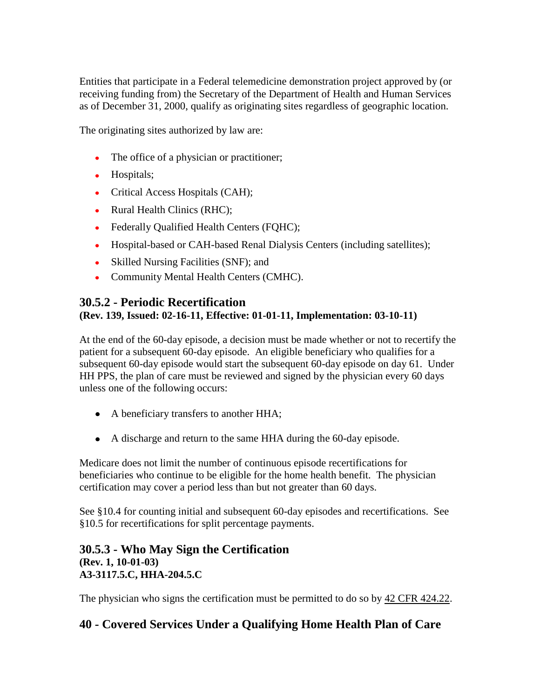Entities that participate in a Federal telemedicine demonstration project approved by (or receiving funding from) the Secretary of the Department of Health and Human Services as of December 31, 2000, qualify as originating sites regardless of geographic location.

The originating sites authorized by law are:

- The office of a physician or practitioner;
- Hospitals;
- Critical Access Hospitals (CAH);
- Rural Health Clinics (RHC);
- Federally Qualified Health Centers (FQHC);
- Hospital-based or CAH-based Renal Dialysis Centers (including satellites);
- Skilled Nursing Facilities (SNF); and
- Community Mental Health Centers (CMHC).

## <span id="page-33-0"></span>**30.5.2 - Periodic Recertification**

#### **(Rev. 139, Issued: 02-16-11, Effective: 01-01-11, Implementation: 03-10-11)**

At the end of the 60-day episode, a decision must be made whether or not to recertify the patient for a subsequent 60-day episode. An eligible beneficiary who qualifies for a subsequent 60-day episode would start the subsequent 60-day episode on day 61. Under HH PPS, the plan of care must be reviewed and signed by the physician every 60 days unless one of the following occurs:

- A beneficiary transfers to another HHA;
- A discharge and return to the same HHA during the 60-day episode.

Medicare does not limit the number of continuous episode recertifications for beneficiaries who continue to be eligible for the home health benefit. The physician certification may cover a period less than but not greater than 60 days.

See §10.4 for counting initial and subsequent 60-day episodes and recertifications. See §10.5 for recertifications for split percentage payments.

#### <span id="page-33-1"></span>**30.5.3 - Who May Sign the Certification (Rev. 1, 10-01-03) A3-3117.5.C, HHA-204.5.C**

The physician who signs the certification must be permitted to do so by [42 CFR 424.22.](http://www.cms.hhs.gov/regulations/)

### <span id="page-33-2"></span>**40 - Covered Services Under a Qualifying Home Health Plan of Care**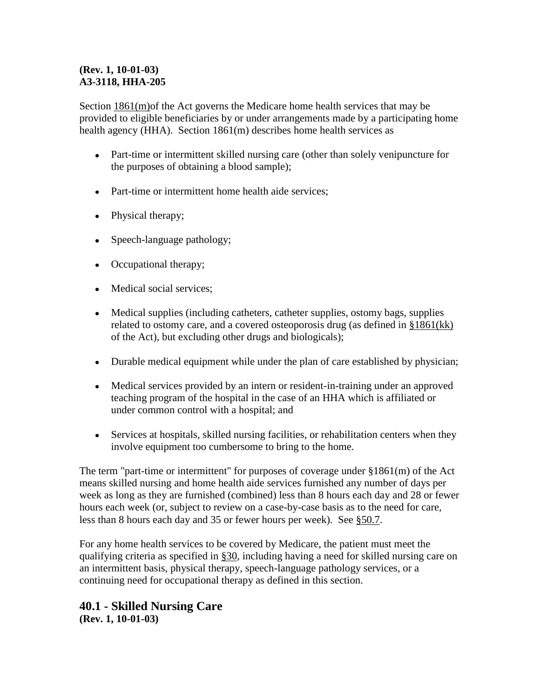#### **(Rev. 1, 10-01-03) A3-3118, HHA-205**

Section [1861\(m\)o](http://www.cms.hhs.gov/regulations/)f the Act governs the Medicare home health services that may be provided to eligible beneficiaries by or under arrangements made by a participating home health agency (HHA). Section 1861(m) describes home health services as

- Part-time or intermittent skilled nursing care (other than solely venipuncture for the purposes of obtaining a blood sample);
- Part-time or intermittent home health aide services:
- Physical therapy;
- Speech-language pathology;
- Occupational therapy;
- Medical social services;
- Medical supplies (including catheters, catheter supplies, ostomy bags, supplies related to ostomy care, and a covered osteoporosis drug (as defined in [§1861\(kk\)](http://www.cms.hhs.gov/regulations/) of the Act), but excluding other drugs and biologicals);
- Durable medical equipment while under the plan of care established by physician;
- Medical services provided by an intern or resident-in-training under an approved teaching program of the hospital in the case of an HHA which is affiliated or under common control with a hospital; and
- Services at hospitals, skilled nursing facilities, or rehabilitation centers when they involve equipment too cumbersome to bring to the home.

The term "part-time or intermittent" for purposes of coverage under §1861(m) of the Act means skilled nursing and home health aide services furnished any number of days per week as long as they are furnished (combined) less than 8 hours each day and 28 or fewer hours each week (or, subject to review on a case-by-case basis as to the need for care, less than 8 hours each day and 35 or fewer hours per week). See [§50.7.](#page-81-0)

For any home health services to be covered by Medicare, the patient must meet the qualifying criteria as specified in [§30,](#page-18-1) including having a need for skilled nursing care on an intermittent basis, physical therapy, speech-language pathology services, or a continuing need for occupational therapy as defined in this section.

#### <span id="page-34-0"></span>**40.1 - Skilled Nursing Care (Rev. 1, 10-01-03)**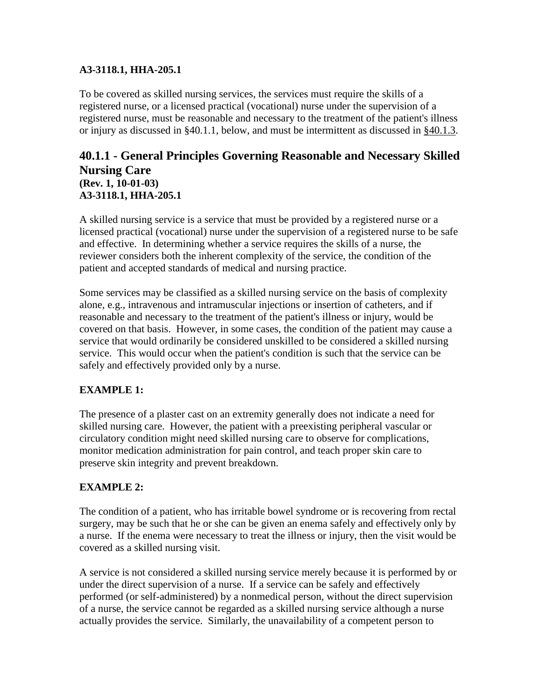#### **A3-3118.1, HHA-205.1**

To be covered as skilled nursing services, the services must require the skills of a registered nurse, or a licensed practical (vocational) nurse under the supervision of a registered nurse, must be reasonable and necessary to the treatment of the patient's illness or injury as discussed in §40.1.1, below, and must be intermittent as discussed in [§40.1.3.](#page-53-0)

#### <span id="page-35-0"></span>**40.1.1 - General Principles Governing Reasonable and Necessary Skilled Nursing Care (Rev. 1, 10-01-03) A3-3118.1, HHA-205.1**

A skilled nursing service is a service that must be provided by a registered nurse or a licensed practical (vocational) nurse under the supervision of a registered nurse to be safe and effective. In determining whether a service requires the skills of a nurse, the reviewer considers both the inherent complexity of the service, the condition of the patient and accepted standards of medical and nursing practice.

Some services may be classified as a skilled nursing service on the basis of complexity alone, e.g., intravenous and intramuscular injections or insertion of catheters, and if reasonable and necessary to the treatment of the patient's illness or injury, would be covered on that basis. However, in some cases, the condition of the patient may cause a service that would ordinarily be considered unskilled to be considered a skilled nursing service. This would occur when the patient's condition is such that the service can be safely and effectively provided only by a nurse.

#### **EXAMPLE 1:**

The presence of a plaster cast on an extremity generally does not indicate a need for skilled nursing care. However, the patient with a preexisting peripheral vascular or circulatory condition might need skilled nursing care to observe for complications, monitor medication administration for pain control, and teach proper skin care to preserve skin integrity and prevent breakdown.

#### **EXAMPLE 2:**

The condition of a patient, who has irritable bowel syndrome or is recovering from rectal surgery, may be such that he or she can be given an enema safely and effectively only by a nurse. If the enema were necessary to treat the illness or injury, then the visit would be covered as a skilled nursing visit.

A service is not considered a skilled nursing service merely because it is performed by or under the direct supervision of a nurse. If a service can be safely and effectively performed (or self-administered) by a nonmedical person, without the direct supervision of a nurse, the service cannot be regarded as a skilled nursing service although a nurse actually provides the service. Similarly, the unavailability of a competent person to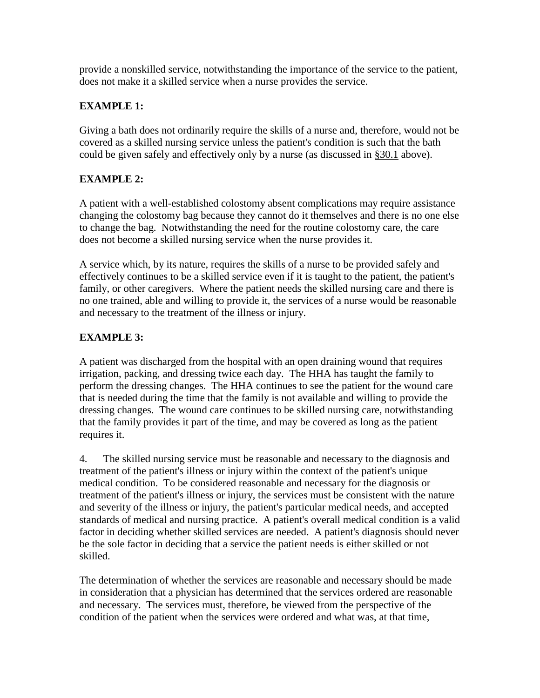provide a nonskilled service, notwithstanding the importance of the service to the patient, does not make it a skilled service when a nurse provides the service.

## **EXAMPLE 1:**

Giving a bath does not ordinarily require the skills of a nurse and, therefore, would not be covered as a skilled nursing service unless the patient's condition is such that the bath could be given safely and effectively only by a nurse (as discussed in [§30.1](#page-19-0) above).

## **EXAMPLE 2:**

A patient with a well-established colostomy absent complications may require assistance changing the colostomy bag because they cannot do it themselves and there is no one else to change the bag. Notwithstanding the need for the routine colostomy care, the care does not become a skilled nursing service when the nurse provides it.

A service which, by its nature, requires the skills of a nurse to be provided safely and effectively continues to be a skilled service even if it is taught to the patient, the patient's family, or other caregivers. Where the patient needs the skilled nursing care and there is no one trained, able and willing to provide it, the services of a nurse would be reasonable and necessary to the treatment of the illness or injury.

## **EXAMPLE 3:**

A patient was discharged from the hospital with an open draining wound that requires irrigation, packing, and dressing twice each day. The HHA has taught the family to perform the dressing changes. The HHA continues to see the patient for the wound care that is needed during the time that the family is not available and willing to provide the dressing changes. The wound care continues to be skilled nursing care, notwithstanding that the family provides it part of the time, and may be covered as long as the patient requires it.

4. The skilled nursing service must be reasonable and necessary to the diagnosis and treatment of the patient's illness or injury within the context of the patient's unique medical condition. To be considered reasonable and necessary for the diagnosis or treatment of the patient's illness or injury, the services must be consistent with the nature and severity of the illness or injury, the patient's particular medical needs, and accepted standards of medical and nursing practice. A patient's overall medical condition is a valid factor in deciding whether skilled services are needed. A patient's diagnosis should never be the sole factor in deciding that a service the patient needs is either skilled or not skilled.

The determination of whether the services are reasonable and necessary should be made in consideration that a physician has determined that the services ordered are reasonable and necessary. The services must, therefore, be viewed from the perspective of the condition of the patient when the services were ordered and what was, at that time,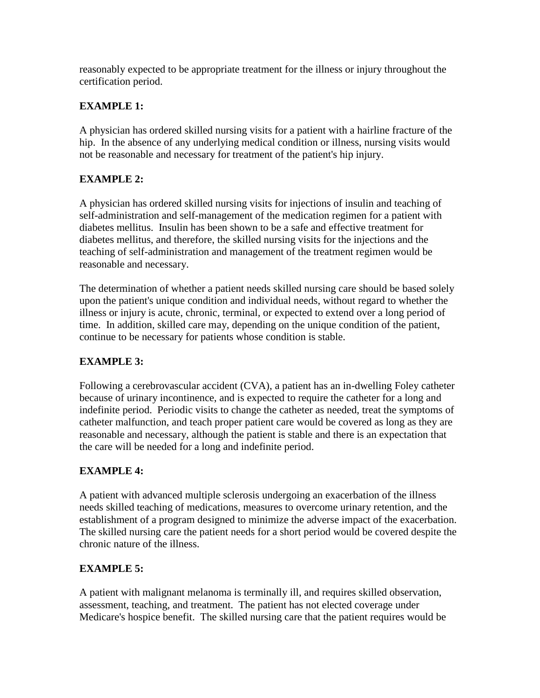reasonably expected to be appropriate treatment for the illness or injury throughout the certification period.

## **EXAMPLE 1:**

A physician has ordered skilled nursing visits for a patient with a hairline fracture of the hip. In the absence of any underlying medical condition or illness, nursing visits would not be reasonable and necessary for treatment of the patient's hip injury.

## **EXAMPLE 2:**

A physician has ordered skilled nursing visits for injections of insulin and teaching of self-administration and self-management of the medication regimen for a patient with diabetes mellitus. Insulin has been shown to be a safe and effective treatment for diabetes mellitus, and therefore, the skilled nursing visits for the injections and the teaching of self-administration and management of the treatment regimen would be reasonable and necessary.

The determination of whether a patient needs skilled nursing care should be based solely upon the patient's unique condition and individual needs, without regard to whether the illness or injury is acute, chronic, terminal, or expected to extend over a long period of time. In addition, skilled care may, depending on the unique condition of the patient, continue to be necessary for patients whose condition is stable.

### **EXAMPLE 3:**

Following a cerebrovascular accident (CVA), a patient has an in-dwelling Foley catheter because of urinary incontinence, and is expected to require the catheter for a long and indefinite period. Periodic visits to change the catheter as needed, treat the symptoms of catheter malfunction, and teach proper patient care would be covered as long as they are reasonable and necessary, although the patient is stable and there is an expectation that the care will be needed for a long and indefinite period.

### **EXAMPLE 4:**

A patient with advanced multiple sclerosis undergoing an exacerbation of the illness needs skilled teaching of medications, measures to overcome urinary retention, and the establishment of a program designed to minimize the adverse impact of the exacerbation. The skilled nursing care the patient needs for a short period would be covered despite the chronic nature of the illness.

### **EXAMPLE 5:**

A patient with malignant melanoma is terminally ill, and requires skilled observation, assessment, teaching, and treatment. The patient has not elected coverage under Medicare's hospice benefit. The skilled nursing care that the patient requires would be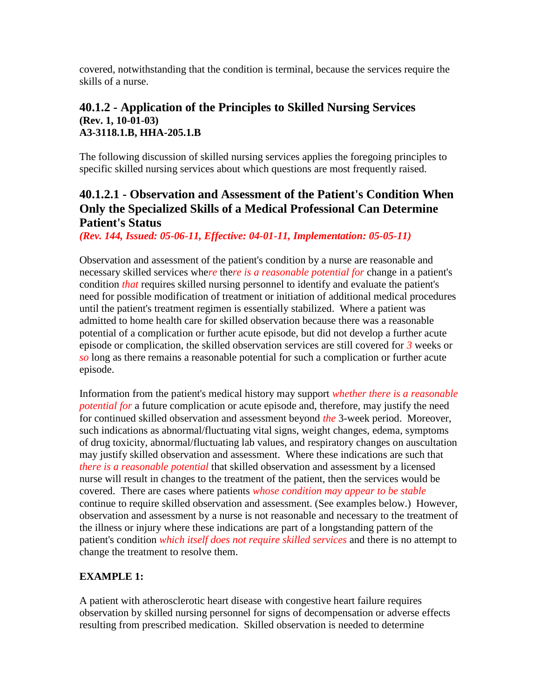covered, notwithstanding that the condition is terminal, because the services require the skills of a nurse.

### **40.1.2 - Application of the Principles to Skilled Nursing Services (Rev. 1, 10-01-03) A3-3118.1.B, HHA-205.1.B**

The following discussion of skilled nursing services applies the foregoing principles to specific skilled nursing services about which questions are most frequently raised.

# <span id="page-38-0"></span>**40.1.2.1 - Observation and Assessment of the Patient's Condition When Only the Specialized Skills of a Medical Professional Can Determine Patient's Status**

*(Rev. 144, Issued: 05-06-11, Effective: 04-01-11, Implementation: 05-05-11)*

Observation and assessment of the patient's condition by a nurse are reasonable and necessary skilled services whe*re* the*re is a reasonable potential for* change in a patient's condition *that* requires skilled nursing personnel to identify and evaluate the patient's need for possible modification of treatment or initiation of additional medical procedures until the patient's treatment regimen is essentially stabilized. Where a patient was admitted to home health care for skilled observation because there was a reasonable potential of a complication or further acute episode, but did not develop a further acute episode or complication, the skilled observation services are still covered for *3* weeks or *so* long as there remains a reasonable potential for such a complication or further acute episode.

Information from the patient's medical history may support *whether there is a reasonable potential for* a future complication or acute episode and, therefore, may justify the need for continued skilled observation and assessment beyond *the* 3-week period. Moreover, such indications as abnormal/fluctuating vital signs, weight changes, edema, symptoms of drug toxicity, abnormal/fluctuating lab values, and respiratory changes on auscultation may justify skilled observation and assessment. Where these indications are such that *there is a reasonable potential* that skilled observation and assessment by a licensed nurse will result in changes to the treatment of the patient, then the services would be covered. There are cases where patients *whose condition may appear to be stable* continue to require skilled observation and assessment. (See examples below.) However, observation and assessment by a nurse is not reasonable and necessary to the treatment of the illness or injury where these indications are part of a longstanding pattern of the patient's condition *which itself does not require skilled services* and there is no attempt to change the treatment to resolve them.

## **EXAMPLE 1:**

A patient with atherosclerotic heart disease with congestive heart failure requires observation by skilled nursing personnel for signs of decompensation or adverse effects resulting from prescribed medication. Skilled observation is needed to determine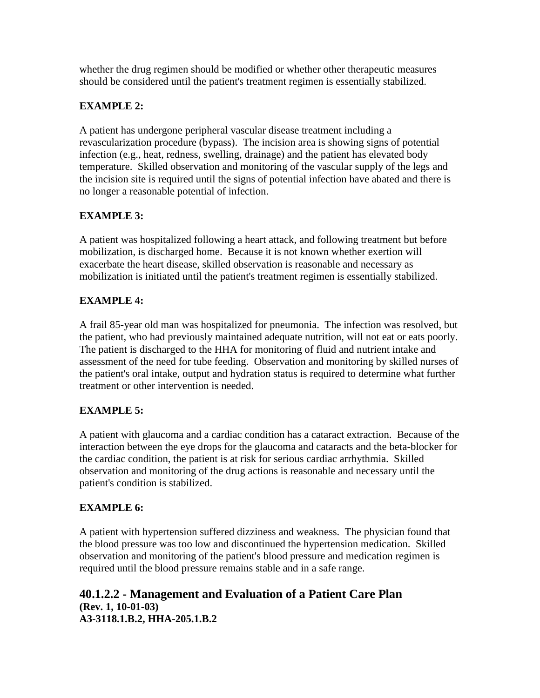whether the drug regimen should be modified or whether other therapeutic measures should be considered until the patient's treatment regimen is essentially stabilized.

# **EXAMPLE 2:**

A patient has undergone peripheral vascular disease treatment including a revascularization procedure (bypass). The incision area is showing signs of potential infection (e.g., heat, redness, swelling, drainage) and the patient has elevated body temperature. Skilled observation and monitoring of the vascular supply of the legs and the incision site is required until the signs of potential infection have abated and there is no longer a reasonable potential of infection.

## **EXAMPLE 3:**

A patient was hospitalized following a heart attack, and following treatment but before mobilization, is discharged home. Because it is not known whether exertion will exacerbate the heart disease, skilled observation is reasonable and necessary as mobilization is initiated until the patient's treatment regimen is essentially stabilized.

## **EXAMPLE 4:**

A frail 85-year old man was hospitalized for pneumonia. The infection was resolved, but the patient, who had previously maintained adequate nutrition, will not eat or eats poorly. The patient is discharged to the HHA for monitoring of fluid and nutrient intake and assessment of the need for tube feeding. Observation and monitoring by skilled nurses of the patient's oral intake, output and hydration status is required to determine what further treatment or other intervention is needed.

## **EXAMPLE 5:**

A patient with glaucoma and a cardiac condition has a cataract extraction. Because of the interaction between the eye drops for the glaucoma and cataracts and the beta-blocker for the cardiac condition, the patient is at risk for serious cardiac arrhythmia. Skilled observation and monitoring of the drug actions is reasonable and necessary until the patient's condition is stabilized.

## **EXAMPLE 6:**

A patient with hypertension suffered dizziness and weakness. The physician found that the blood pressure was too low and discontinued the hypertension medication. Skilled observation and monitoring of the patient's blood pressure and medication regimen is required until the blood pressure remains stable and in a safe range.

**40.1.2.2 - Management and Evaluation of a Patient Care Plan (Rev. 1, 10-01-03) A3-3118.1.B.2, HHA-205.1.B.2**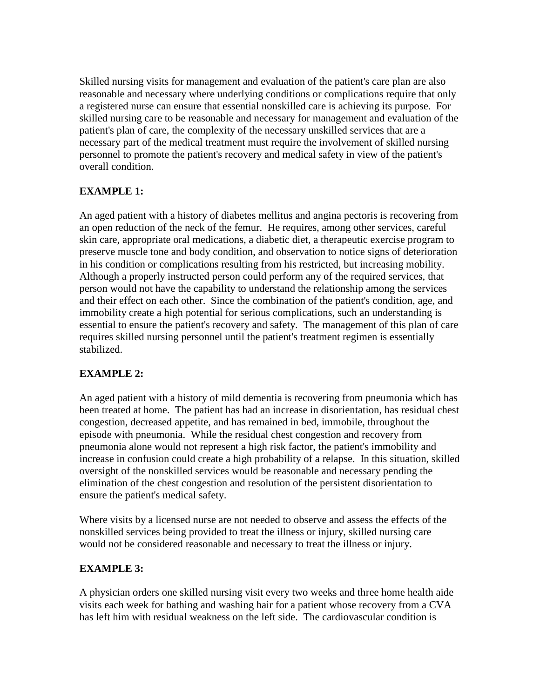Skilled nursing visits for management and evaluation of the patient's care plan are also reasonable and necessary where underlying conditions or complications require that only a registered nurse can ensure that essential nonskilled care is achieving its purpose. For skilled nursing care to be reasonable and necessary for management and evaluation of the patient's plan of care, the complexity of the necessary unskilled services that are a necessary part of the medical treatment must require the involvement of skilled nursing personnel to promote the patient's recovery and medical safety in view of the patient's overall condition.

## **EXAMPLE 1:**

An aged patient with a history of diabetes mellitus and angina pectoris is recovering from an open reduction of the neck of the femur. He requires, among other services, careful skin care, appropriate oral medications, a diabetic diet, a therapeutic exercise program to preserve muscle tone and body condition, and observation to notice signs of deterioration in his condition or complications resulting from his restricted, but increasing mobility. Although a properly instructed person could perform any of the required services, that person would not have the capability to understand the relationship among the services and their effect on each other. Since the combination of the patient's condition, age, and immobility create a high potential for serious complications, such an understanding is essential to ensure the patient's recovery and safety. The management of this plan of care requires skilled nursing personnel until the patient's treatment regimen is essentially stabilized.

## **EXAMPLE 2:**

An aged patient with a history of mild dementia is recovering from pneumonia which has been treated at home. The patient has had an increase in disorientation, has residual chest congestion, decreased appetite, and has remained in bed, immobile, throughout the episode with pneumonia. While the residual chest congestion and recovery from pneumonia alone would not represent a high risk factor, the patient's immobility and increase in confusion could create a high probability of a relapse. In this situation, skilled oversight of the nonskilled services would be reasonable and necessary pending the elimination of the chest congestion and resolution of the persistent disorientation to ensure the patient's medical safety.

Where visits by a licensed nurse are not needed to observe and assess the effects of the nonskilled services being provided to treat the illness or injury, skilled nursing care would not be considered reasonable and necessary to treat the illness or injury.

### **EXAMPLE 3:**

A physician orders one skilled nursing visit every two weeks and three home health aide visits each week for bathing and washing hair for a patient whose recovery from a CVA has left him with residual weakness on the left side. The cardiovascular condition is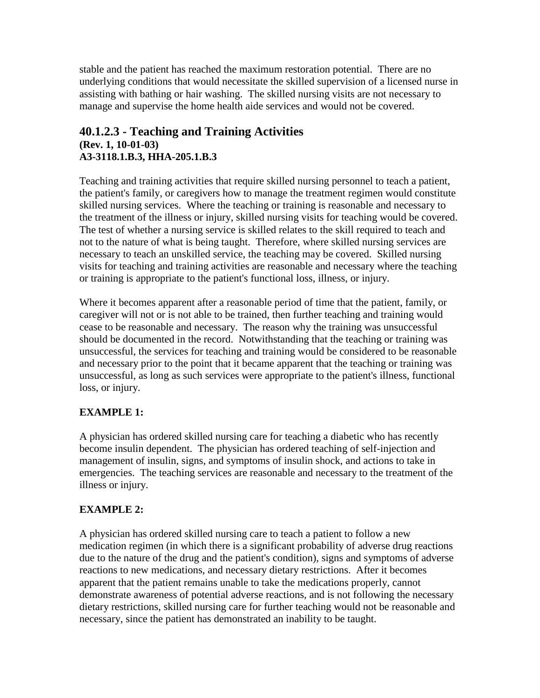stable and the patient has reached the maximum restoration potential. There are no underlying conditions that would necessitate the skilled supervision of a licensed nurse in assisting with bathing or hair washing. The skilled nursing visits are not necessary to manage and supervise the home health aide services and would not be covered.

## <span id="page-41-0"></span>**40.1.2.3 - Teaching and Training Activities (Rev. 1, 10-01-03) A3-3118.1.B.3, HHA-205.1.B.3**

Teaching and training activities that require skilled nursing personnel to teach a patient, the patient's family, or caregivers how to manage the treatment regimen would constitute skilled nursing services. Where the teaching or training is reasonable and necessary to the treatment of the illness or injury, skilled nursing visits for teaching would be covered. The test of whether a nursing service is skilled relates to the skill required to teach and not to the nature of what is being taught. Therefore, where skilled nursing services are necessary to teach an unskilled service, the teaching may be covered. Skilled nursing visits for teaching and training activities are reasonable and necessary where the teaching or training is appropriate to the patient's functional loss, illness, or injury.

Where it becomes apparent after a reasonable period of time that the patient, family, or caregiver will not or is not able to be trained, then further teaching and training would cease to be reasonable and necessary. The reason why the training was unsuccessful should be documented in the record. Notwithstanding that the teaching or training was unsuccessful, the services for teaching and training would be considered to be reasonable and necessary prior to the point that it became apparent that the teaching or training was unsuccessful, as long as such services were appropriate to the patient's illness, functional loss, or injury.

## **EXAMPLE 1:**

A physician has ordered skilled nursing care for teaching a diabetic who has recently become insulin dependent. The physician has ordered teaching of self-injection and management of insulin, signs, and symptoms of insulin shock, and actions to take in emergencies. The teaching services are reasonable and necessary to the treatment of the illness or injury.

### **EXAMPLE 2:**

A physician has ordered skilled nursing care to teach a patient to follow a new medication regimen (in which there is a significant probability of adverse drug reactions due to the nature of the drug and the patient's condition), signs and symptoms of adverse reactions to new medications, and necessary dietary restrictions. After it becomes apparent that the patient remains unable to take the medications properly, cannot demonstrate awareness of potential adverse reactions, and is not following the necessary dietary restrictions, skilled nursing care for further teaching would not be reasonable and necessary, since the patient has demonstrated an inability to be taught.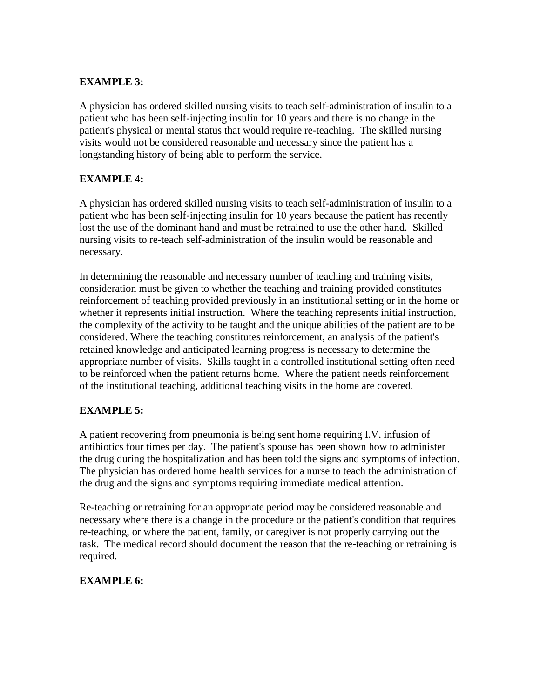## **EXAMPLE 3:**

A physician has ordered skilled nursing visits to teach self-administration of insulin to a patient who has been self-injecting insulin for 10 years and there is no change in the patient's physical or mental status that would require re-teaching. The skilled nursing visits would not be considered reasonable and necessary since the patient has a longstanding history of being able to perform the service.

## **EXAMPLE 4:**

A physician has ordered skilled nursing visits to teach self-administration of insulin to a patient who has been self-injecting insulin for 10 years because the patient has recently lost the use of the dominant hand and must be retrained to use the other hand. Skilled nursing visits to re-teach self-administration of the insulin would be reasonable and necessary.

In determining the reasonable and necessary number of teaching and training visits, consideration must be given to whether the teaching and training provided constitutes reinforcement of teaching provided previously in an institutional setting or in the home or whether it represents initial instruction. Where the teaching represents initial instruction, the complexity of the activity to be taught and the unique abilities of the patient are to be considered. Where the teaching constitutes reinforcement, an analysis of the patient's retained knowledge and anticipated learning progress is necessary to determine the appropriate number of visits. Skills taught in a controlled institutional setting often need to be reinforced when the patient returns home. Where the patient needs reinforcement of the institutional teaching, additional teaching visits in the home are covered.

### **EXAMPLE 5:**

A patient recovering from pneumonia is being sent home requiring I.V. infusion of antibiotics four times per day. The patient's spouse has been shown how to administer the drug during the hospitalization and has been told the signs and symptoms of infection. The physician has ordered home health services for a nurse to teach the administration of the drug and the signs and symptoms requiring immediate medical attention.

Re-teaching or retraining for an appropriate period may be considered reasonable and necessary where there is a change in the procedure or the patient's condition that requires re-teaching, or where the patient, family, or caregiver is not properly carrying out the task. The medical record should document the reason that the re-teaching or retraining is required.

### **EXAMPLE 6:**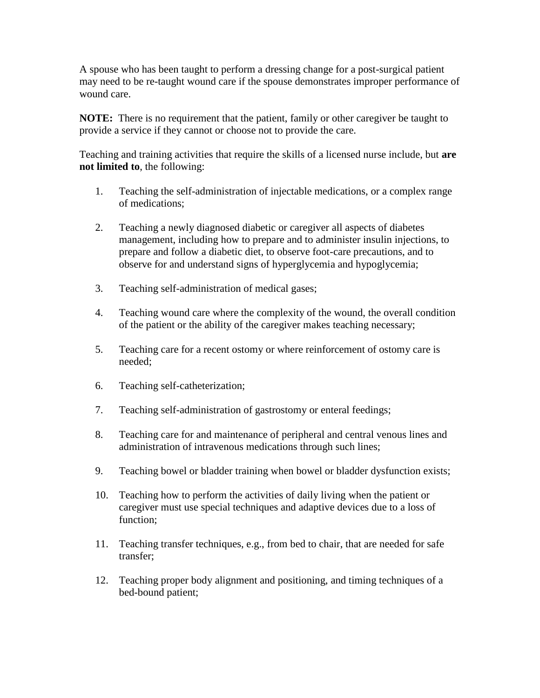A spouse who has been taught to perform a dressing change for a post-surgical patient may need to be re-taught wound care if the spouse demonstrates improper performance of wound care.

**NOTE:** There is no requirement that the patient, family or other caregiver be taught to provide a service if they cannot or choose not to provide the care.

Teaching and training activities that require the skills of a licensed nurse include, but **are not limited to**, the following:

- 1. Teaching the self-administration of injectable medications, or a complex range of medications;
- 2. Teaching a newly diagnosed diabetic or caregiver all aspects of diabetes management, including how to prepare and to administer insulin injections, to prepare and follow a diabetic diet, to observe foot-care precautions, and to observe for and understand signs of hyperglycemia and hypoglycemia;
- 3. Teaching self-administration of medical gases;
- 4. Teaching wound care where the complexity of the wound, the overall condition of the patient or the ability of the caregiver makes teaching necessary;
- 5. Teaching care for a recent ostomy or where reinforcement of ostomy care is needed;
- 6. Teaching self-catheterization;
- 7. Teaching self-administration of gastrostomy or enteral feedings;
- 8. Teaching care for and maintenance of peripheral and central venous lines and administration of intravenous medications through such lines;
- 9. Teaching bowel or bladder training when bowel or bladder dysfunction exists;
- 10. Teaching how to perform the activities of daily living when the patient or caregiver must use special techniques and adaptive devices due to a loss of function;
- 11. Teaching transfer techniques, e.g., from bed to chair, that are needed for safe transfer;
- 12. Teaching proper body alignment and positioning, and timing techniques of a bed-bound patient;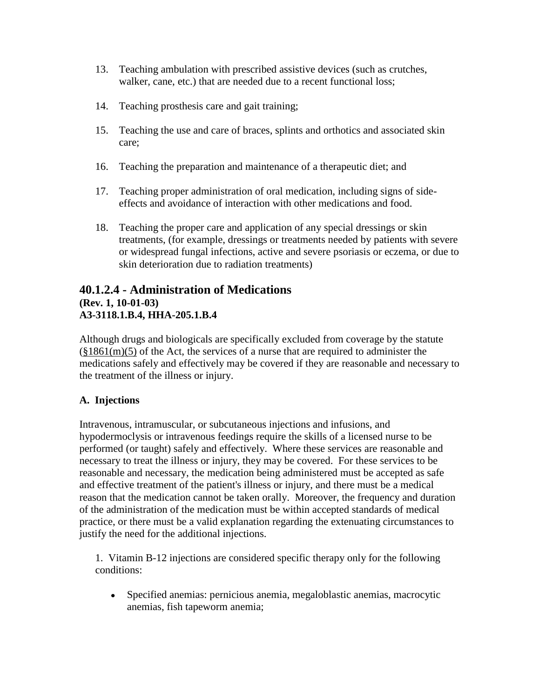- 13. Teaching ambulation with prescribed assistive devices (such as crutches, walker, cane, etc.) that are needed due to a recent functional loss;
- 14. Teaching prosthesis care and gait training;
- 15. Teaching the use and care of braces, splints and orthotics and associated skin care;
- 16. Teaching the preparation and maintenance of a therapeutic diet; and
- 17. Teaching proper administration of oral medication, including signs of sideeffects and avoidance of interaction with other medications and food.
- 18. Teaching the proper care and application of any special dressings or skin treatments, (for example, dressings or treatments needed by patients with severe or widespread fungal infections, active and severe psoriasis or eczema, or due to skin deterioration due to radiation treatments)

## **40.1.2.4 - Administration of Medications (Rev. 1, 10-01-03) A3-3118.1.B.4, HHA-205.1.B.4**

Although drugs and biologicals are specifically excluded from coverage by the statute  $(\S 1861(m)(5)$  of the Act, the services of a nurse that are required to administer the medications safely and effectively may be covered if they are reasonable and necessary to the treatment of the illness or injury.

## **A. Injections**

Intravenous, intramuscular, or subcutaneous injections and infusions, and hypodermoclysis or intravenous feedings require the skills of a licensed nurse to be performed (or taught) safely and effectively. Where these services are reasonable and necessary to treat the illness or injury, they may be covered. For these services to be reasonable and necessary, the medication being administered must be accepted as safe and effective treatment of the patient's illness or injury, and there must be a medical reason that the medication cannot be taken orally. Moreover, the frequency and duration of the administration of the medication must be within accepted standards of medical practice, or there must be a valid explanation regarding the extenuating circumstances to justify the need for the additional injections.

1. Vitamin B-12 injections are considered specific therapy only for the following conditions:

Specified anemias: pernicious anemia, megaloblastic anemias, macrocytic anemias, fish tapeworm anemia;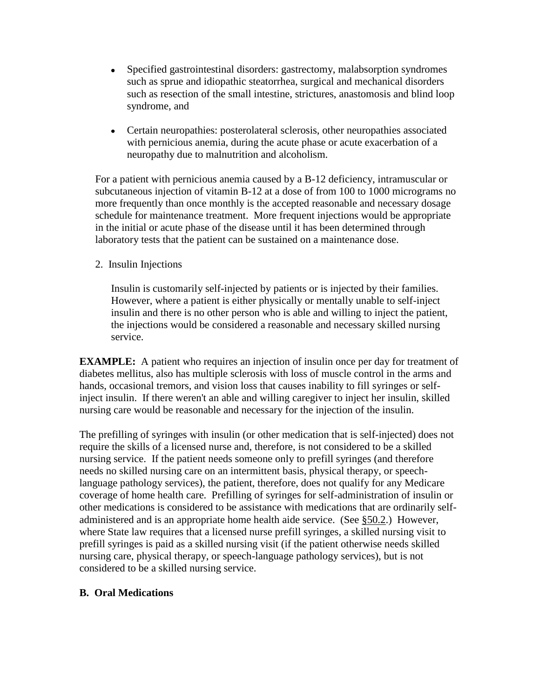- Specified gastrointestinal disorders: gastrectomy, malabsorption syndromes  $\bullet$ such as sprue and idiopathic steatorrhea, surgical and mechanical disorders such as resection of the small intestine, strictures, anastomosis and blind loop syndrome, and
- Certain neuropathies: posterolateral sclerosis, other neuropathies associated with pernicious anemia, during the acute phase or acute exacerbation of a neuropathy due to malnutrition and alcoholism.

For a patient with pernicious anemia caused by a B-12 deficiency, intramuscular or subcutaneous injection of vitamin B-12 at a dose of from 100 to 1000 micrograms no more frequently than once monthly is the accepted reasonable and necessary dosage schedule for maintenance treatment. More frequent injections would be appropriate in the initial or acute phase of the disease until it has been determined through laboratory tests that the patient can be sustained on a maintenance dose.

2. Insulin Injections

Insulin is customarily self-injected by patients or is injected by their families. However, where a patient is either physically or mentally unable to self-inject insulin and there is no other person who is able and willing to inject the patient, the injections would be considered a reasonable and necessary skilled nursing service.

**EXAMPLE:** A patient who requires an injection of insulin once per day for treatment of diabetes mellitus, also has multiple sclerosis with loss of muscle control in the arms and hands, occasional tremors, and vision loss that causes inability to fill syringes or selfinject insulin. If there weren't an able and willing caregiver to inject her insulin, skilled nursing care would be reasonable and necessary for the injection of the insulin.

The prefilling of syringes with insulin (or other medication that is self-injected) does not require the skills of a licensed nurse and, therefore, is not considered to be a skilled nursing service. If the patient needs someone only to prefill syringes (and therefore needs no skilled nursing care on an intermittent basis, physical therapy, or speechlanguage pathology services), the patient, therefore, does not qualify for any Medicare coverage of home health care. Prefilling of syringes for self-administration of insulin or other medications is considered to be assistance with medications that are ordinarily selfadministered and is an appropriate home health aide service. (See [§50.2.](#page-67-0)) However, where State law requires that a licensed nurse prefill syringes, a skilled nursing visit to prefill syringes is paid as a skilled nursing visit (if the patient otherwise needs skilled nursing care, physical therapy, or speech-language pathology services), but is not considered to be a skilled nursing service.

### **B. Oral Medications**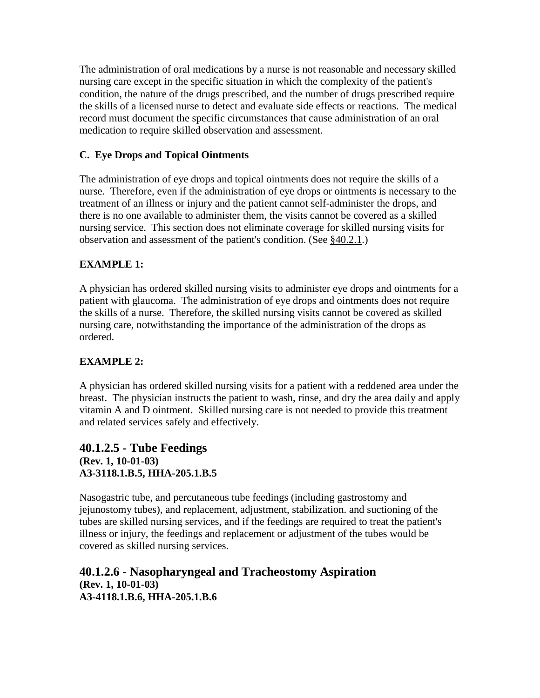The administration of oral medications by a nurse is not reasonable and necessary skilled nursing care except in the specific situation in which the complexity of the patient's condition, the nature of the drugs prescribed, and the number of drugs prescribed require the skills of a licensed nurse to detect and evaluate side effects or reactions. The medical record must document the specific circumstances that cause administration of an oral medication to require skilled observation and assessment.

## **C. Eye Drops and Topical Ointments**

The administration of eye drops and topical ointments does not require the skills of a nurse. Therefore, even if the administration of eye drops or ointments is necessary to the treatment of an illness or injury and the patient cannot self-administer the drops, and there is no one available to administer them, the visits cannot be covered as a skilled nursing service. This section does not eliminate coverage for skilled nursing visits for observation and assessment of the patient's condition. (See [§40.2.1.](#page-55-0))

## **EXAMPLE 1:**

A physician has ordered skilled nursing visits to administer eye drops and ointments for a patient with glaucoma. The administration of eye drops and ointments does not require the skills of a nurse. Therefore, the skilled nursing visits cannot be covered as skilled nursing care, notwithstanding the importance of the administration of the drops as ordered.

### **EXAMPLE 2:**

A physician has ordered skilled nursing visits for a patient with a reddened area under the breast. The physician instructs the patient to wash, rinse, and dry the area daily and apply vitamin A and D ointment. Skilled nursing care is not needed to provide this treatment and related services safely and effectively.

## **40.1.2.5 - Tube Feedings (Rev. 1, 10-01-03) A3-3118.1.B.5, HHA-205.1.B.5**

Nasogastric tube, and percutaneous tube feedings (including gastrostomy and jejunostomy tubes), and replacement, adjustment, stabilization. and suctioning of the tubes are skilled nursing services, and if the feedings are required to treat the patient's illness or injury, the feedings and replacement or adjustment of the tubes would be covered as skilled nursing services.

### **40.1.2.6 - Nasopharyngeal and Tracheostomy Aspiration (Rev. 1, 10-01-03) A3-4118.1.B.6, HHA-205.1.B.6**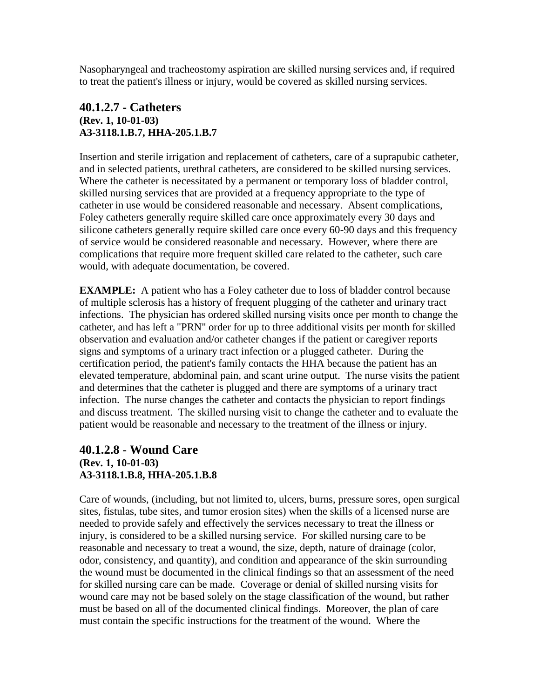Nasopharyngeal and tracheostomy aspiration are skilled nursing services and, if required to treat the patient's illness or injury, would be covered as skilled nursing services.

## **40.1.2.7 - Catheters (Rev. 1, 10-01-03) A3-3118.1.B.7, HHA-205.1.B.7**

Insertion and sterile irrigation and replacement of catheters, care of a suprapubic catheter, and in selected patients, urethral catheters, are considered to be skilled nursing services. Where the catheter is necessitated by a permanent or temporary loss of bladder control, skilled nursing services that are provided at a frequency appropriate to the type of catheter in use would be considered reasonable and necessary. Absent complications, Foley catheters generally require skilled care once approximately every 30 days and silicone catheters generally require skilled care once every 60-90 days and this frequency of service would be considered reasonable and necessary. However, where there are complications that require more frequent skilled care related to the catheter, such care would, with adequate documentation, be covered.

**EXAMPLE:** A patient who has a Foley catheter due to loss of bladder control because of multiple sclerosis has a history of frequent plugging of the catheter and urinary tract infections. The physician has ordered skilled nursing visits once per month to change the catheter, and has left a "PRN" order for up to three additional visits per month for skilled observation and evaluation and/or catheter changes if the patient or caregiver reports signs and symptoms of a urinary tract infection or a plugged catheter. During the certification period, the patient's family contacts the HHA because the patient has an elevated temperature, abdominal pain, and scant urine output. The nurse visits the patient and determines that the catheter is plugged and there are symptoms of a urinary tract infection. The nurse changes the catheter and contacts the physician to report findings and discuss treatment. The skilled nursing visit to change the catheter and to evaluate the patient would be reasonable and necessary to the treatment of the illness or injury.

## **40.1.2.8 - Wound Care (Rev. 1, 10-01-03) A3-3118.1.B.8, HHA-205.1.B.8**

Care of wounds, (including, but not limited to, ulcers, burns, pressure sores, open surgical sites, fistulas, tube sites, and tumor erosion sites) when the skills of a licensed nurse are needed to provide safely and effectively the services necessary to treat the illness or injury, is considered to be a skilled nursing service. For skilled nursing care to be reasonable and necessary to treat a wound, the size, depth, nature of drainage (color, odor, consistency, and quantity), and condition and appearance of the skin surrounding the wound must be documented in the clinical findings so that an assessment of the need for skilled nursing care can be made. Coverage or denial of skilled nursing visits for wound care may not be based solely on the stage classification of the wound, but rather must be based on all of the documented clinical findings. Moreover, the plan of care must contain the specific instructions for the treatment of the wound. Where the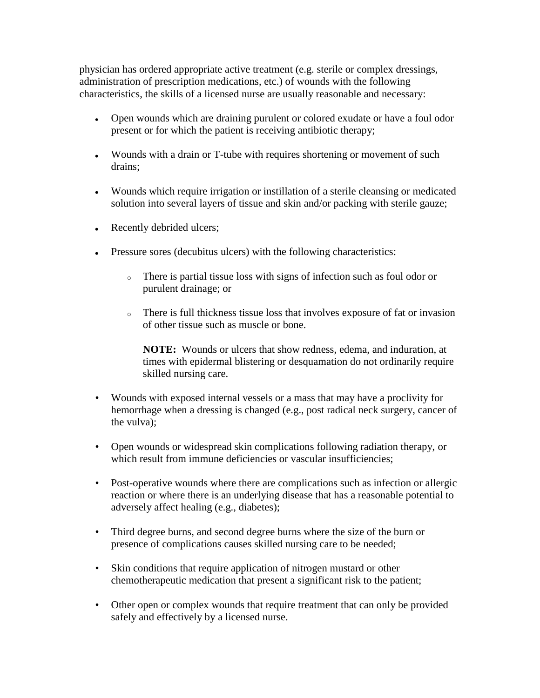physician has ordered appropriate active treatment (e.g. sterile or complex dressings, administration of prescription medications, etc.) of wounds with the following characteristics, the skills of a licensed nurse are usually reasonable and necessary:

- Open wounds which are draining purulent or colored exudate or have a foul odor  $\bullet$ present or for which the patient is receiving antibiotic therapy;
- Wounds with a drain or T-tube with requires shortening or movement of such drains;
- Wounds which require irrigation or instillation of a sterile cleansing or medicated solution into several layers of tissue and skin and/or packing with sterile gauze;
- Recently debrided ulcers;
- Pressure sores (decubitus ulcers) with the following characteristics:
	- <sup>o</sup> There is partial tissue loss with signs of infection such as foul odor or purulent drainage; or
	- <sup>o</sup> There is full thickness tissue loss that involves exposure of fat or invasion of other tissue such as muscle or bone.

**NOTE:** Wounds or ulcers that show redness, edema, and induration, at times with epidermal blistering or desquamation do not ordinarily require skilled nursing care.

- Wounds with exposed internal vessels or a mass that may have a proclivity for hemorrhage when a dressing is changed (e.g., post radical neck surgery, cancer of the vulva);
- Open wounds or widespread skin complications following radiation therapy, or which result from immune deficiencies or vascular insufficiencies:
- Post-operative wounds where there are complications such as infection or allergic reaction or where there is an underlying disease that has a reasonable potential to adversely affect healing (e.g., diabetes);
- Third degree burns, and second degree burns where the size of the burn or presence of complications causes skilled nursing care to be needed;
- Skin conditions that require application of nitrogen mustard or other chemotherapeutic medication that present a significant risk to the patient;
- Other open or complex wounds that require treatment that can only be provided safely and effectively by a licensed nurse.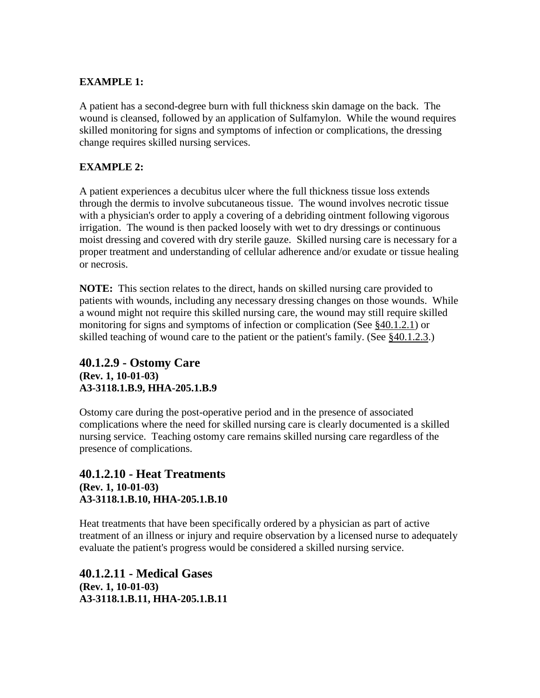## **EXAMPLE 1:**

A patient has a second-degree burn with full thickness skin damage on the back. The wound is cleansed, followed by an application of Sulfamylon. While the wound requires skilled monitoring for signs and symptoms of infection or complications, the dressing change requires skilled nursing services.

## **EXAMPLE 2:**

A patient experiences a decubitus ulcer where the full thickness tissue loss extends through the dermis to involve subcutaneous tissue. The wound involves necrotic tissue with a physician's order to apply a covering of a debriding ointment following vigorous irrigation. The wound is then packed loosely with wet to dry dressings or continuous moist dressing and covered with dry sterile gauze. Skilled nursing care is necessary for a proper treatment and understanding of cellular adherence and/or exudate or tissue healing or necrosis.

**NOTE:** This section relates to the direct, hands on skilled nursing care provided to patients with wounds, including any necessary dressing changes on those wounds. While a wound might not require this skilled nursing care, the wound may still require skilled monitoring for signs and symptoms of infection or complication (See [§40.1.2.1\)](#page-38-0) or skilled teaching of wound care to the patient or the patient's family. (See [§40.1.2.3.](#page-41-0))

## **40.1.2.9 - Ostomy Care (Rev. 1, 10-01-03) A3-3118.1.B.9, HHA-205.1.B.9**

Ostomy care during the post-operative period and in the presence of associated complications where the need for skilled nursing care is clearly documented is a skilled nursing service. Teaching ostomy care remains skilled nursing care regardless of the presence of complications.

## **40.1.2.10 - Heat Treatments (Rev. 1, 10-01-03) A3-3118.1.B.10, HHA-205.1.B.10**

Heat treatments that have been specifically ordered by a physician as part of active treatment of an illness or injury and require observation by a licensed nurse to adequately evaluate the patient's progress would be considered a skilled nursing service.

**40.1.2.11 - Medical Gases (Rev. 1, 10-01-03) A3-3118.1.B.11, HHA-205.1.B.11**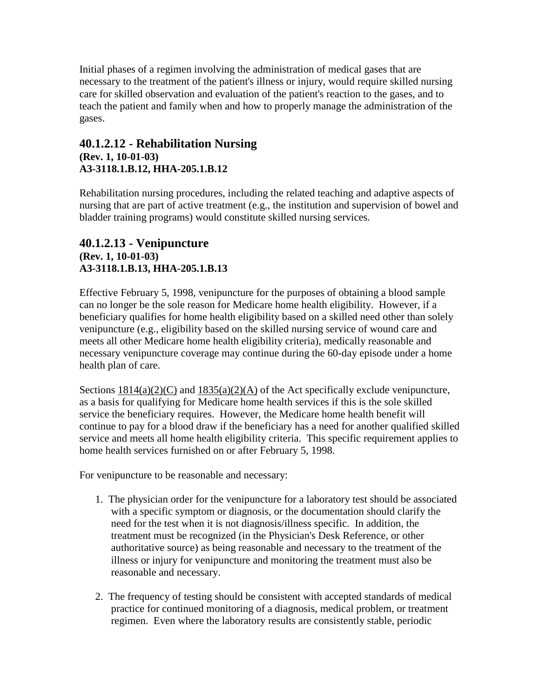Initial phases of a regimen involving the administration of medical gases that are necessary to the treatment of the patient's illness or injury, would require skilled nursing care for skilled observation and evaluation of the patient's reaction to the gases, and to teach the patient and family when and how to properly manage the administration of the gases.

## **40.1.2.12 - Rehabilitation Nursing (Rev. 1, 10-01-03) A3-3118.1.B.12, HHA-205.1.B.12**

Rehabilitation nursing procedures, including the related teaching and adaptive aspects of nursing that are part of active treatment (e.g., the institution and supervision of bowel and bladder training programs) would constitute skilled nursing services.

## **40.1.2.13 - Venipuncture (Rev. 1, 10-01-03) A3-3118.1.B.13, HHA-205.1.B.13**

Effective February 5, 1998, venipuncture for the purposes of obtaining a blood sample can no longer be the sole reason for Medicare home health eligibility. However, if a beneficiary qualifies for home health eligibility based on a skilled need other than solely venipuncture (e.g., eligibility based on the skilled nursing service of wound care and meets all other Medicare home health eligibility criteria), medically reasonable and necessary venipuncture coverage may continue during the 60-day episode under a home health plan of care.

Sections  $1814(a)(2)(C)$  and  $1835(a)(2)(A)$  of the Act specifically exclude venipuncture, as a basis for qualifying for Medicare home health services if this is the sole skilled service the beneficiary requires. However, the Medicare home health benefit will continue to pay for a blood draw if the beneficiary has a need for another qualified skilled service and meets all home health eligibility criteria. This specific requirement applies to home health services furnished on or after February 5, 1998.

For venipuncture to be reasonable and necessary:

- 1. The physician order for the venipuncture for a laboratory test should be associated with a specific symptom or diagnosis, or the documentation should clarify the need for the test when it is not diagnosis/illness specific. In addition, the treatment must be recognized (in the Physician's Desk Reference, or other authoritative source) as being reasonable and necessary to the treatment of the illness or injury for venipuncture and monitoring the treatment must also be reasonable and necessary.
- 2. The frequency of testing should be consistent with accepted standards of medical practice for continued monitoring of a diagnosis, medical problem, or treatment regimen. Even where the laboratory results are consistently stable, periodic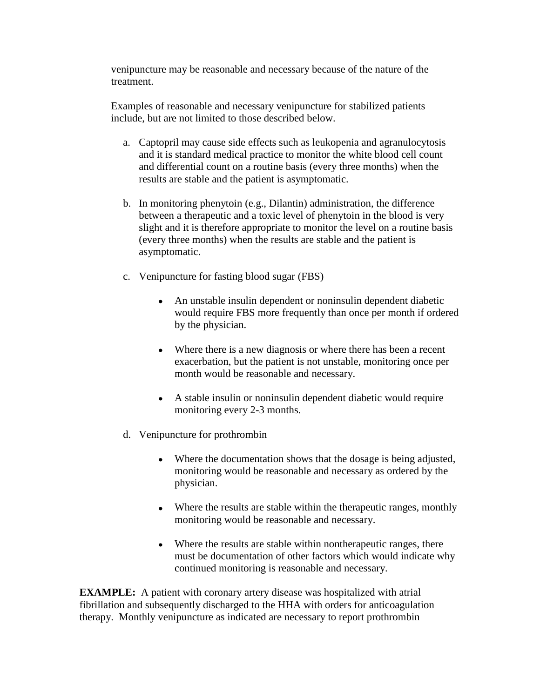venipuncture may be reasonable and necessary because of the nature of the treatment.

Examples of reasonable and necessary venipuncture for stabilized patients include, but are not limited to those described below.

- a. Captopril may cause side effects such as leukopenia and agranulocytosis and it is standard medical practice to monitor the white blood cell count and differential count on a routine basis (every three months) when the results are stable and the patient is asymptomatic.
- b. In monitoring phenytoin (e.g., Dilantin) administration, the difference between a therapeutic and a toxic level of phenytoin in the blood is very slight and it is therefore appropriate to monitor the level on a routine basis (every three months) when the results are stable and the patient is asymptomatic.
- c. Venipuncture for fasting blood sugar (FBS)
	- An unstable insulin dependent or noninsulin dependent diabetic would require FBS more frequently than once per month if ordered by the physician.
	- Where there is a new diagnosis or where there has been a recent exacerbation, but the patient is not unstable, monitoring once per month would be reasonable and necessary.
	- A stable insulin or noninsulin dependent diabetic would require monitoring every 2-3 months.
- d. Venipuncture for prothrombin
	- Where the documentation shows that the dosage is being adjusted, monitoring would be reasonable and necessary as ordered by the physician.
	- Where the results are stable within the therapeutic ranges, monthly monitoring would be reasonable and necessary.
	- Where the results are stable within nontherapeutic ranges, there must be documentation of other factors which would indicate why continued monitoring is reasonable and necessary.

**EXAMPLE:** A patient with coronary artery disease was hospitalized with atrial fibrillation and subsequently discharged to the HHA with orders for anticoagulation therapy. Monthly venipuncture as indicated are necessary to report prothrombin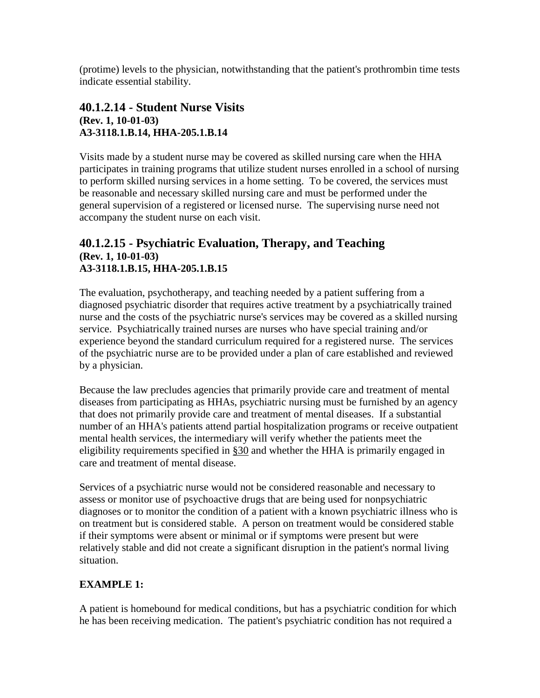(protime) levels to the physician, notwithstanding that the patient's prothrombin time tests indicate essential stability.

## **40.1.2.14 - Student Nurse Visits (Rev. 1, 10-01-03) A3-3118.1.B.14, HHA-205.1.B.14**

Visits made by a student nurse may be covered as skilled nursing care when the HHA participates in training programs that utilize student nurses enrolled in a school of nursing to perform skilled nursing services in a home setting. To be covered, the services must be reasonable and necessary skilled nursing care and must be performed under the general supervision of a registered or licensed nurse. The supervising nurse need not accompany the student nurse on each visit.

## **40.1.2.15 - Psychiatric Evaluation, Therapy, and Teaching (Rev. 1, 10-01-03) A3-3118.1.B.15, HHA-205.1.B.15**

The evaluation, psychotherapy, and teaching needed by a patient suffering from a diagnosed psychiatric disorder that requires active treatment by a psychiatrically trained nurse and the costs of the psychiatric nurse's services may be covered as a skilled nursing service. Psychiatrically trained nurses are nurses who have special training and/or experience beyond the standard curriculum required for a registered nurse. The services of the psychiatric nurse are to be provided under a plan of care established and reviewed by a physician.

Because the law precludes agencies that primarily provide care and treatment of mental diseases from participating as HHAs, psychiatric nursing must be furnished by an agency that does not primarily provide care and treatment of mental diseases. If a substantial number of an HHA's patients attend partial hospitalization programs or receive outpatient mental health services, the intermediary will verify whether the patients meet the eligibility requirements specified in [§30](#page-18-0) and whether the HHA is primarily engaged in care and treatment of mental disease.

Services of a psychiatric nurse would not be considered reasonable and necessary to assess or monitor use of psychoactive drugs that are being used for nonpsychiatric diagnoses or to monitor the condition of a patient with a known psychiatric illness who is on treatment but is considered stable. A person on treatment would be considered stable if their symptoms were absent or minimal or if symptoms were present but were relatively stable and did not create a significant disruption in the patient's normal living situation.

# **EXAMPLE 1:**

A patient is homebound for medical conditions, but has a psychiatric condition for which he has been receiving medication. The patient's psychiatric condition has not required a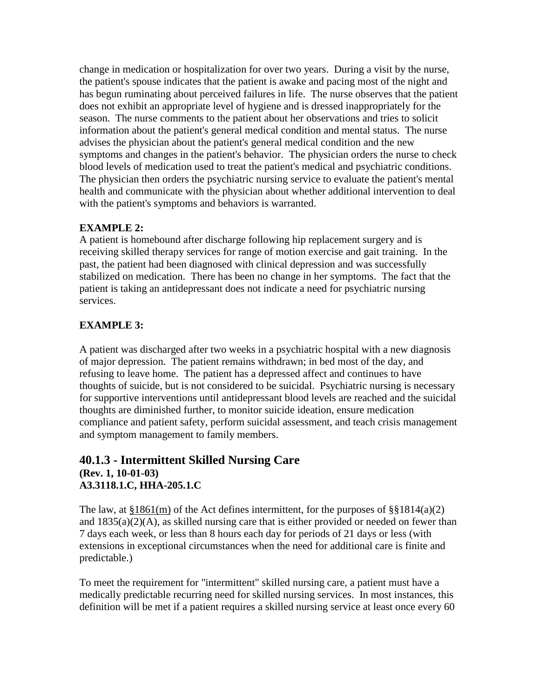change in medication or hospitalization for over two years. During a visit by the nurse, the patient's spouse indicates that the patient is awake and pacing most of the night and has begun ruminating about perceived failures in life. The nurse observes that the patient does not exhibit an appropriate level of hygiene and is dressed inappropriately for the season. The nurse comments to the patient about her observations and tries to solicit information about the patient's general medical condition and mental status. The nurse advises the physician about the patient's general medical condition and the new symptoms and changes in the patient's behavior. The physician orders the nurse to check blood levels of medication used to treat the patient's medical and psychiatric conditions. The physician then orders the psychiatric nursing service to evaluate the patient's mental health and communicate with the physician about whether additional intervention to deal with the patient's symptoms and behaviors is warranted.

## **EXAMPLE 2:**

A patient is homebound after discharge following hip replacement surgery and is receiving skilled therapy services for range of motion exercise and gait training. In the past, the patient had been diagnosed with clinical depression and was successfully stabilized on medication. There has been no change in her symptoms. The fact that the patient is taking an antidepressant does not indicate a need for psychiatric nursing services.

## **EXAMPLE 3:**

A patient was discharged after two weeks in a psychiatric hospital with a new diagnosis of major depression. The patient remains withdrawn; in bed most of the day, and refusing to leave home. The patient has a depressed affect and continues to have thoughts of suicide, but is not considered to be suicidal. Psychiatric nursing is necessary for supportive interventions until antidepressant blood levels are reached and the suicidal thoughts are diminished further, to monitor suicide ideation, ensure medication compliance and patient safety, perform suicidal assessment, and teach crisis management and symptom management to family members.

## **40.1.3 - Intermittent Skilled Nursing Care (Rev. 1, 10-01-03) A3.3118.1.C, HHA-205.1.C**

The law, at  $\S 1861(m)$  of the Act defines intermittent, for the purposes of  $\S 1814(a)(2)$ and 1835(a)(2)(A), as skilled nursing care that is either provided or needed on fewer than 7 days each week, or less than 8 hours each day for periods of 21 days or less (with extensions in exceptional circumstances when the need for additional care is finite and predictable.)

To meet the requirement for "intermittent" skilled nursing care, a patient must have a medically predictable recurring need for skilled nursing services. In most instances, this definition will be met if a patient requires a skilled nursing service at least once every 60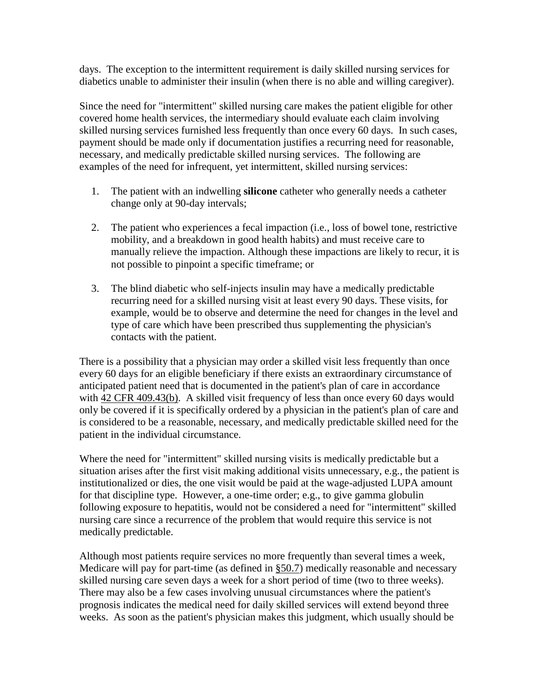days. The exception to the intermittent requirement is daily skilled nursing services for diabetics unable to administer their insulin (when there is no able and willing caregiver).

Since the need for "intermittent" skilled nursing care makes the patient eligible for other covered home health services, the intermediary should evaluate each claim involving skilled nursing services furnished less frequently than once every 60 days. In such cases, payment should be made only if documentation justifies a recurring need for reasonable, necessary, and medically predictable skilled nursing services. The following are examples of the need for infrequent, yet intermittent, skilled nursing services:

- 1. The patient with an indwelling **silicone** catheter who generally needs a catheter change only at 90-day intervals;
- 2. The patient who experiences a fecal impaction (i.e., loss of bowel tone, restrictive mobility, and a breakdown in good health habits) and must receive care to manually relieve the impaction. Although these impactions are likely to recur, it is not possible to pinpoint a specific timeframe; or
- 3. The blind diabetic who self-injects insulin may have a medically predictable recurring need for a skilled nursing visit at least every 90 days. These visits, for example, would be to observe and determine the need for changes in the level and type of care which have been prescribed thus supplementing the physician's contacts with the patient.

There is a possibility that a physician may order a skilled visit less frequently than once every 60 days for an eligible beneficiary if there exists an extraordinary circumstance of anticipated patient need that is documented in the patient's plan of care in accordance with [42 CFR 409.43\(b\).](http://www.cms.hhs.gov/regulations/) A skilled visit frequency of less than once every 60 days would only be covered if it is specifically ordered by a physician in the patient's plan of care and is considered to be a reasonable, necessary, and medically predictable skilled need for the patient in the individual circumstance.

Where the need for "intermittent" skilled nursing visits is medically predictable but a situation arises after the first visit making additional visits unnecessary, e.g., the patient is institutionalized or dies, the one visit would be paid at the wage-adjusted LUPA amount for that discipline type. However, a one-time order; e.g., to give gamma globulin following exposure to hepatitis, would not be considered a need for "intermittent" skilled nursing care since a recurrence of the problem that would require this service is not medically predictable.

Although most patients require services no more frequently than several times a week, Medicare will pay for part-time (as defined in [§50.7\)](#page-81-0) medically reasonable and necessary skilled nursing care seven days a week for a short period of time (two to three weeks). There may also be a few cases involving unusual circumstances where the patient's prognosis indicates the medical need for daily skilled services will extend beyond three weeks. As soon as the patient's physician makes this judgment, which usually should be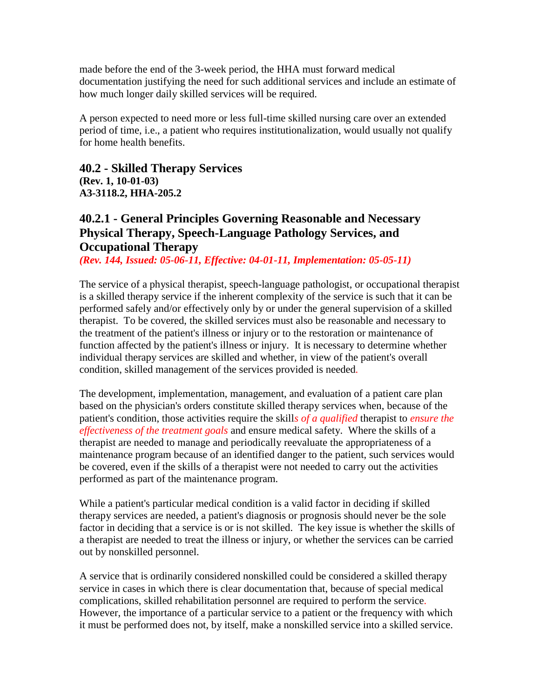made before the end of the 3-week period, the HHA must forward medical documentation justifying the need for such additional services and include an estimate of how much longer daily skilled services will be required.

A person expected to need more or less full-time skilled nursing care over an extended period of time, i.e., a patient who requires institutionalization, would usually not qualify for home health benefits.

### <span id="page-55-1"></span>**40.2 - Skilled Therapy Services (Rev. 1, 10-01-03) A3-3118.2, HHA-205.2**

# <span id="page-55-0"></span>**40.2.1 - General Principles Governing Reasonable and Necessary Physical Therapy, Speech-Language Pathology Services, and Occupational Therapy**

*(Rev. 144, Issued: 05-06-11, Effective: 04-01-11, Implementation: 05-05-11)*

The service of a physical therapist, speech-language pathologist, or occupational therapist is a skilled therapy service if the inherent complexity of the service is such that it can be performed safely and/or effectively only by or under the general supervision of a skilled therapist. To be covered, the skilled services must also be reasonable and necessary to the treatment of the patient's illness or injury or to the restoration or maintenance of function affected by the patient's illness or injury. It is necessary to determine whether individual therapy services are skilled and whether, in view of the patient's overall condition, skilled management of the services provided is needed*.*

The development, implementation, management, and evaluation of a patient care plan based on the physician's orders constitute skilled therapy services when, because of the patient's condition, those activities require the skill*s of a qualified* therapist to *ensure the effectiveness of the treatment goals* and ensure medical safety. Where the skills of a therapist are needed to manage and periodically reevaluate the appropriateness of a maintenance program because of an identified danger to the patient, such services would be covered, even if the skills of a therapist were not needed to carry out the activities performed as part of the maintenance program.

While a patient's particular medical condition is a valid factor in deciding if skilled therapy services are needed, a patient's diagnosis or prognosis should never be the sole factor in deciding that a service is or is not skilled. The key issue is whether the skills of a therapist are needed to treat the illness or injury, or whether the services can be carried out by nonskilled personnel.

A service that is ordinarily considered nonskilled could be considered a skilled therapy service in cases in which there is clear documentation that, because of special medical complications, skilled rehabilitation personnel are required to perform the service*.* However, the importance of a particular service to a patient or the frequency with which it must be performed does not, by itself, make a nonskilled service into a skilled service.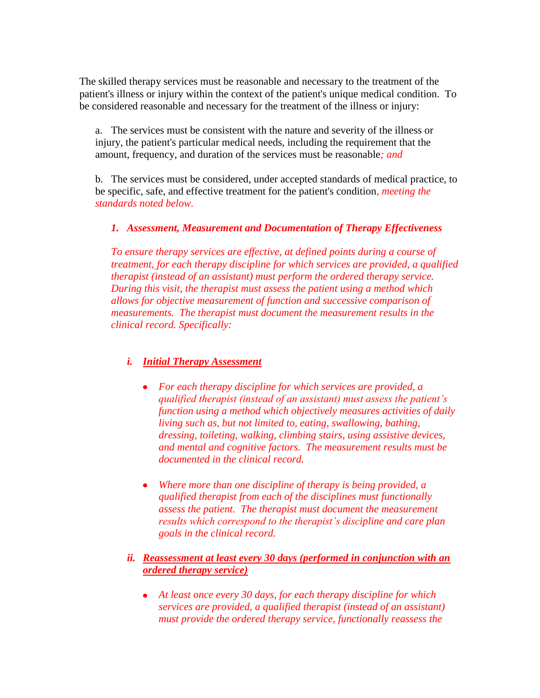The skilled therapy services must be reasonable and necessary to the treatment of the patient's illness or injury within the context of the patient's unique medical condition. To be considered reasonable and necessary for the treatment of the illness or injury:

a. The services must be consistent with the nature and severity of the illness or injury, the patient's particular medical needs, including the requirement that the amount, frequency, and duration of the services must be reasonable*; and*

b. The services must be considered, under accepted standards of medical practice, to be specific, safe, and effective treatment for the patient's condition, *meeting the standards noted below.*

#### *1. Assessment, Measurement and Documentation of Therapy Effectiveness*

*To ensure therapy services are effective, at defined points during a course of treatment, for each therapy discipline for which services are provided, a qualified therapist (instead of an assistant) must perform the ordered therapy service. During this visit, the therapist must assess the patient using a method which allows for objective measurement of function and successive comparison of measurements. The therapist must document the measurement results in the clinical record. Specifically:*

#### *i. Initial Therapy Assessment*

- *For each therapy discipline for which services are provided, a qualified therapist (instead of an assistant) must assess the patient's function using a method which objectively measures activities of daily living such as, but not limited to, eating, swallowing, bathing, dressing, toileting, walking, climbing stairs, using assistive devices, and mental and cognitive factors. The measurement results must be documented in the clinical record.*
- *Where more than one discipline of therapy is being provided, a qualified therapist from each of the disciplines must functionally assess the patient. The therapist must document the measurement results which correspond to the therapist's discipline and care plan goals in the clinical record.*

#### *ii. Reassessment at least every 30 days (performed in conjunction with an ordered therapy service)*

*At least once every 30 days, for each therapy discipline for which services are provided, a qualified therapist (instead of an assistant) must provide the ordered therapy service, functionally reassess the*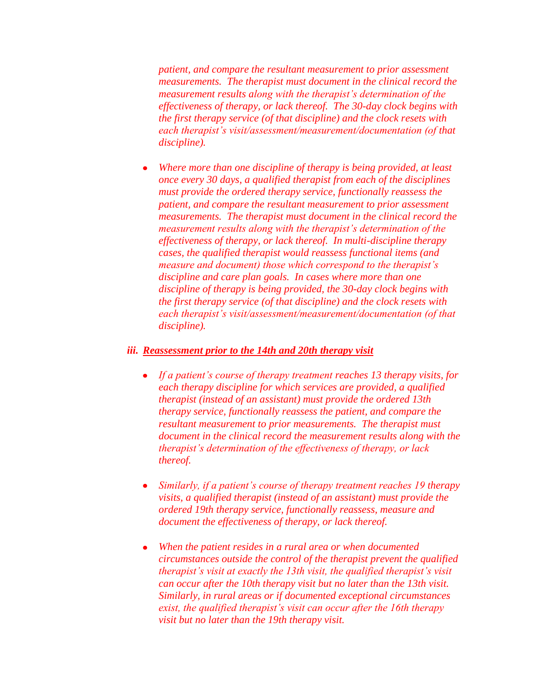*patient, and compare the resultant measurement to prior assessment measurements. The therapist must document in the clinical record the measurement results along with the therapist's determination of the effectiveness of therapy, or lack thereof. The 30-day clock begins with the first therapy service (of that discipline) and the clock resets with each therapist's visit/assessment/measurement/documentation (of that discipline).*

*Where more than one discipline of therapy is being provided, at least once every 30 days, a qualified therapist from each of the disciplines must provide the ordered therapy service, functionally reassess the patient, and compare the resultant measurement to prior assessment measurements. The therapist must document in the clinical record the measurement results along with the therapist's determination of the effectiveness of therapy, or lack thereof. In multi-discipline therapy cases, the qualified therapist would reassess functional items (and measure and document) those which correspond to the therapist's discipline and care plan goals. In cases where more than one discipline of therapy is being provided, the 30-day clock begins with the first therapy service (of that discipline) and the clock resets with each therapist's visit/assessment/measurement/documentation (of that discipline).*

#### *iii. Reassessment prior to the 14th and 20th therapy visit*

- *If a patient's course of therapy treatment reaches 13 therapy visits, for each therapy discipline for which services are provided, a qualified therapist (instead of an assistant) must provide the ordered 13th therapy service, functionally reassess the patient, and compare the resultant measurement to prior measurements. The therapist must document in the clinical record the measurement results along with the therapist's determination of the effectiveness of therapy, or lack thereof.*
- *Similarly, if a patient's course of therapy treatment reaches 19 therapy visits, a qualified therapist (instead of an assistant) must provide the ordered 19th therapy service, functionally reassess, measure and document the effectiveness of therapy, or lack thereof.*
- *When the patient resides in a rural area or when documented circumstances outside the control of the therapist prevent the qualified therapist's visit at exactly the 13th visit, the qualified therapist's visit can occur after the 10th therapy visit but no later than the 13th visit. Similarly, in rural areas or if documented exceptional circumstances exist, the qualified therapist's visit can occur after the 16th therapy visit but no later than the 19th therapy visit.*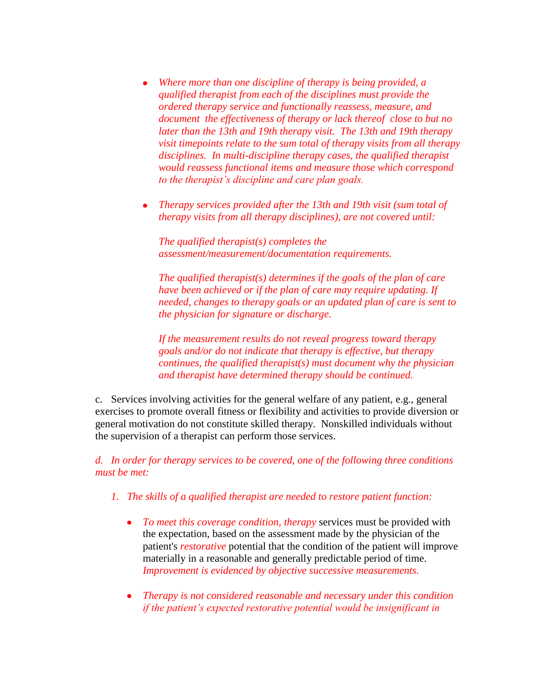- *Where more than one discipline of therapy is being provided, a qualified therapist from each of the disciplines must provide the ordered therapy service and functionally reassess, measure, and document the effectiveness of therapy or lack thereof close to but no later than the 13th and 19th therapy visit. The 13th and 19th therapy visit timepoints relate to the sum total of therapy visits from all therapy disciplines. In multi-discipline therapy cases, the qualified therapist would reassess functional items and measure those which correspond to the therapist's discipline and care plan goals.*
- *Therapy services provided after the 13th and 19th visit (sum total of therapy visits from all therapy disciplines), are not covered until:*

*The qualified therapist(s) completes the assessment/measurement/documentation requirements.*

*The qualified therapist(s) determines if the goals of the plan of care have been achieved or if the plan of care may require updating. If needed, changes to therapy goals or an updated plan of care is sent to the physician for signature or discharge.*

*If the measurement results do not reveal progress toward therapy goals and/or do not indicate that therapy is effective, but therapy continues, the qualified therapist(s) must document why the physician and therapist have determined therapy should be continued.*

c. Services involving activities for the general welfare of any patient, e.g., general exercises to promote overall fitness or flexibility and activities to provide diversion or general motivation do not constitute skilled therapy. Nonskilled individuals without the supervision of a therapist can perform those services.

*d. In order for therapy services to be covered, one of the following three conditions must be met:* 

- *1. The skills of a qualified therapist are needed to restore patient function:*
	- *To meet this coverage condition, therapy* services must be provided with  $\bullet$ the expectation, based on the assessment made by the physician of the patient's *restorative* potential that the condition of the patient will improve materially in a reasonable and generally predictable period of time. *Improvement is evidenced by objective successive measurements.*
	- *Therapy is not considered reasonable and necessary under this condition if the patient's expected restorative potential would be insignificant in*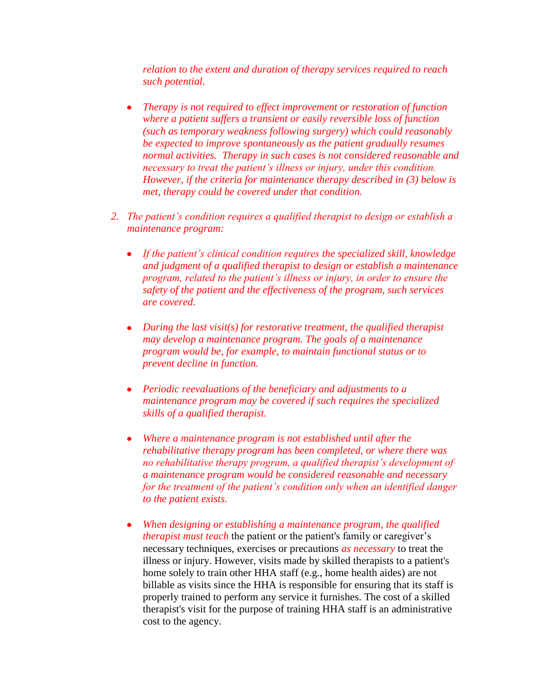*relation to the extent and duration of therapy services required to reach such potential.*

- *Therapy is not required to effect improvement or restoration of function*   $\bullet$ *where a patient suffers a transient or easily reversible loss of function (such as temporary weakness following surgery) which could reasonably be expected to improve spontaneously as the patient gradually resumes normal activities. Therapy in such cases is not considered reasonable and necessary to treat the patient's illness or injury, under this condition. However, if the criteria for maintenance therapy described in (3) below is met, therapy could be covered under that condition.*
- *2. The patient's condition requires a qualified therapist to design or establish a maintenance program:*
	- *If the patient's clinical condition requires the specialized skill, knowledge and judgment of a qualified therapist to design or establish a maintenance program, related to the patient's illness or injury, in order to ensure the safety of the patient and the effectiveness of the program, such services are covered.*
	- *During the last visit(s) for restorative treatment, the qualified therapist may develop a maintenance program. The goals of a maintenance program would be, for example, to maintain functional status or to prevent decline in function.*
	- *Periodic reevaluations of the beneficiary and adjustments to a maintenance program may be covered if such requires the specialized skills of a qualified therapist.*
	- *Where a maintenance program is not established until after the rehabilitative therapy program has been completed, or where there was no rehabilitative therapy program, a qualified therapist's development of a maintenance program would be considered reasonable and necessary for the treatment of the patient's condition only when an identified danger to the patient exists.*
	- *When designing or establishing a maintenance program, the qualified therapist must teach* the patient or the patient's family or caregiver's necessary techniques, exercises or precautions *as necessary* to treat the illness or injury. However, visits made by skilled therapists to a patient's home solely to train other HHA staff (e.g., home health aides) are not billable as visits since the HHA is responsible for ensuring that its staff is properly trained to perform any service it furnishes. The cost of a skilled therapist's visit for the purpose of training HHA staff is an administrative cost to the agency.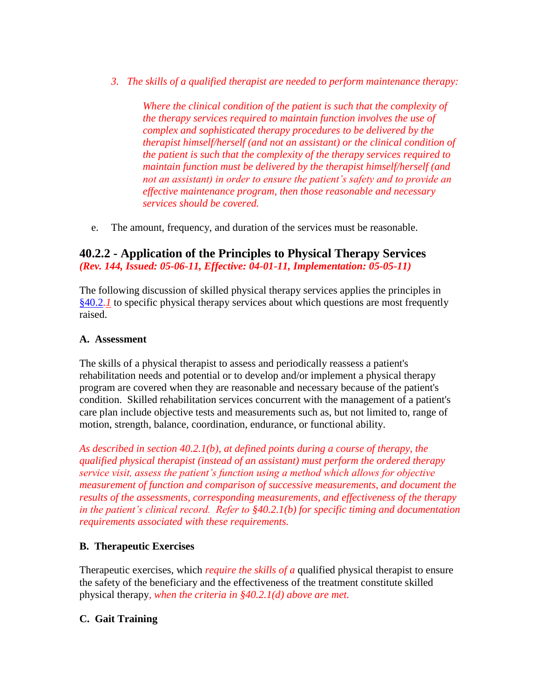*3. The skills of a qualified therapist are needed to perform maintenance therapy:*

*Where the clinical condition of the patient is such that the complexity of the therapy services required to maintain function involves the use of complex and sophisticated therapy procedures to be delivered by the therapist himself/herself (and not an assistant) or the clinical condition of the patient is such that the complexity of the therapy services required to maintain function must be delivered by the therapist himself/herself (and not an assistant) in order to ensure the patient's safety and to provide an effective maintenance program, then those reasonable and necessary services should be covered.*

e. The amount, frequency, and duration of the services must be reasonable.

## **40.2.2 - Application of the Principles to Physical Therapy Services** *(Rev. 144, Issued: 05-06-11, Effective: 04-01-11, Implementation: 05-05-11)*

The following discussion of skilled physical therapy services applies the principles in [§40.2](#page-55-1).1 to specific physical therapy services about which questions are most frequently raised.

#### **A. Assessment**

The skills of a physical therapist to assess and periodically reassess a patient's rehabilitation needs and potential or to develop and/or implement a physical therapy program are covered when they are reasonable and necessary because of the patient's condition. Skilled rehabilitation services concurrent with the management of a patient's care plan include objective tests and measurements such as, but not limited to, range of motion, strength, balance, coordination, endurance, or functional ability.

*As described in section 40.2.1(b), at defined points during a course of therapy, the qualified physical therapist (instead of an assistant) must perform the ordered therapy service visit, assess the patient's function using a method which allows for objective measurement of function and comparison of successive measurements, and document the results of the assessments, corresponding measurements, and effectiveness of the therapy in the patient's clinical record. Refer to §40.2.1(b) for specific timing and documentation requirements associated with these requirements.*

### **B. Therapeutic Exercises**

Therapeutic exercises, which *require the skills of a* qualified physical therapist to ensure the safety of the beneficiary and the effectiveness of the treatment constitute skilled physical therapy*, when the criteria in §40.2.1(d) above are met.*

### **C. Gait Training**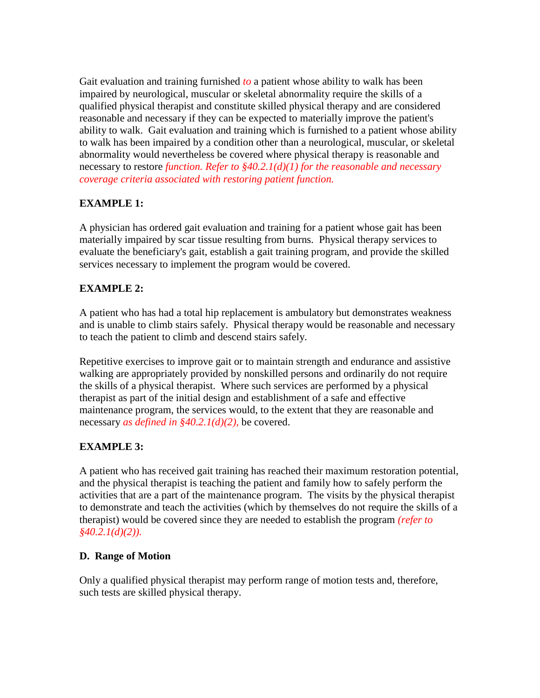Gait evaluation and training furnished *to* a patient whose ability to walk has been impaired by neurological, muscular or skeletal abnormality require the skills of a qualified physical therapist and constitute skilled physical therapy and are considered reasonable and necessary if they can be expected to materially improve the patient's ability to walk. Gait evaluation and training which is furnished to a patient whose ability to walk has been impaired by a condition other than a neurological, muscular, or skeletal abnormality would nevertheless be covered where physical therapy is reasonable and necessary to restore *function. Refer to §40.2.1(d)(1) for the reasonable and necessary coverage criteria associated with restoring patient function.*

## **EXAMPLE 1:**

A physician has ordered gait evaluation and training for a patient whose gait has been materially impaired by scar tissue resulting from burns. Physical therapy services to evaluate the beneficiary's gait, establish a gait training program, and provide the skilled services necessary to implement the program would be covered.

## **EXAMPLE 2:**

A patient who has had a total hip replacement is ambulatory but demonstrates weakness and is unable to climb stairs safely. Physical therapy would be reasonable and necessary to teach the patient to climb and descend stairs safely.

Repetitive exercises to improve gait or to maintain strength and endurance and assistive walking are appropriately provided by nonskilled persons and ordinarily do not require the skills of a physical therapist. Where such services are performed by a physical therapist as part of the initial design and establishment of a safe and effective maintenance program, the services would, to the extent that they are reasonable and necessary *as defined in §40.2.1(d)(2),* be covered.

## **EXAMPLE 3:**

A patient who has received gait training has reached their maximum restoration potential, and the physical therapist is teaching the patient and family how to safely perform the activities that are a part of the maintenance program. The visits by the physical therapist to demonstrate and teach the activities (which by themselves do not require the skills of a therapist) would be covered since they are needed to establish the program *(refer to §40.2.1(d)(2)).*

### **D. Range of Motion**

Only a qualified physical therapist may perform range of motion tests and, therefore, such tests are skilled physical therapy.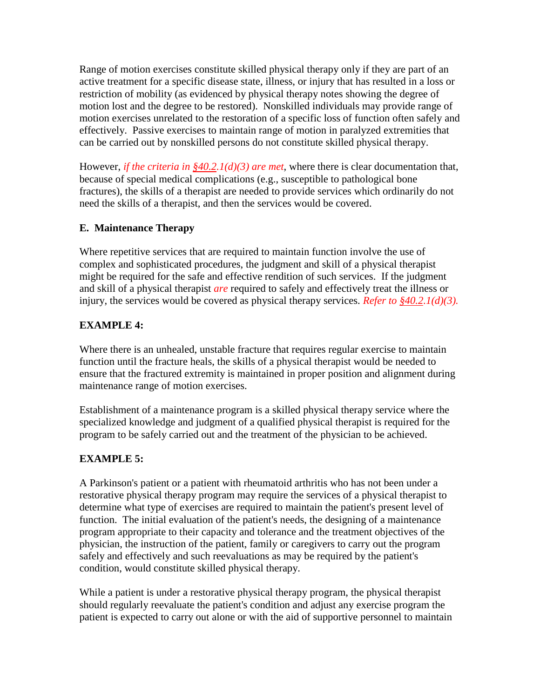Range of motion exercises constitute skilled physical therapy only if they are part of an active treatment for a specific disease state, illness, or injury that has resulted in a loss or restriction of mobility (as evidenced by physical therapy notes showing the degree of motion lost and the degree to be restored). Nonskilled individuals may provide range of motion exercises unrelated to the restoration of a specific loss of function often safely and effectively. Passive exercises to maintain range of motion in paralyzed extremities that can be carried out by nonskilled persons do not constitute skilled physical therapy.

However, *if the criteria in [§40.2.](#page-55-1)1(d)(3) are met*, where there is clear documentation that, because of special medical complications (e.g., susceptible to pathological bone fractures), the skills of a therapist are needed to provide services which ordinarily do not need the skills of a therapist, and then the services would be covered.

## **E. Maintenance Therapy**

Where repetitive services that are required to maintain function involve the use of complex and sophisticated procedures, the judgment and skill of a physical therapist might be required for the safe and effective rendition of such services. If the judgment and skill of a physical therapist *are* required to safely and effectively treat the illness or injury, the services would be covered as physical therapy services. *Refer to §40.2.1(d)(3).*

## **EXAMPLE 4:**

Where there is an unhealed, unstable fracture that requires regular exercise to maintain function until the fracture heals, the skills of a physical therapist would be needed to ensure that the fractured extremity is maintained in proper position and alignment during maintenance range of motion exercises.

Establishment of a maintenance program is a skilled physical therapy service where the specialized knowledge and judgment of a qualified physical therapist is required for the program to be safely carried out and the treatment of the physician to be achieved.

## **EXAMPLE 5:**

A Parkinson's patient or a patient with rheumatoid arthritis who has not been under a restorative physical therapy program may require the services of a physical therapist to determine what type of exercises are required to maintain the patient's present level of function. The initial evaluation of the patient's needs, the designing of a maintenance program appropriate to their capacity and tolerance and the treatment objectives of the physician, the instruction of the patient, family or caregivers to carry out the program safely and effectively and such reevaluations as may be required by the patient's condition, would constitute skilled physical therapy.

While a patient is under a restorative physical therapy program, the physical therapist should regularly reevaluate the patient's condition and adjust any exercise program the patient is expected to carry out alone or with the aid of supportive personnel to maintain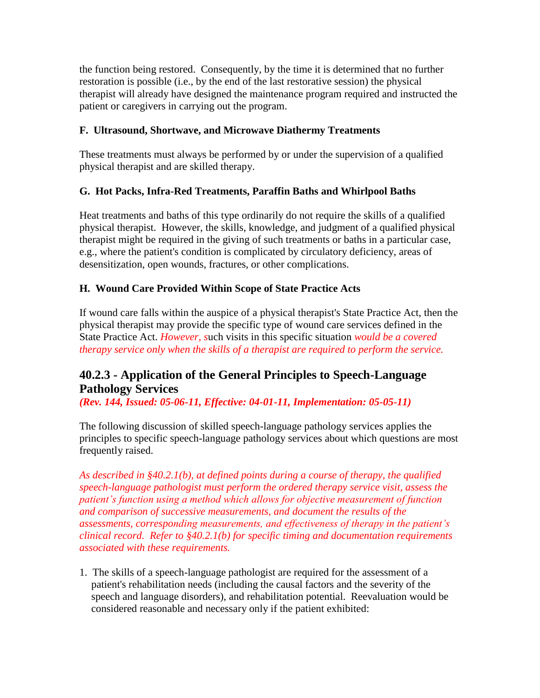the function being restored. Consequently, by the time it is determined that no further restoration is possible (i.e., by the end of the last restorative session) the physical therapist will already have designed the maintenance program required and instructed the patient or caregivers in carrying out the program.

## **F. Ultrasound, Shortwave, and Microwave Diathermy Treatments**

These treatments must always be performed by or under the supervision of a qualified physical therapist and are skilled therapy.

## **G. Hot Packs, Infra-Red Treatments, Paraffin Baths and Whirlpool Baths**

Heat treatments and baths of this type ordinarily do not require the skills of a qualified physical therapist. However, the skills, knowledge, and judgment of a qualified physical therapist might be required in the giving of such treatments or baths in a particular case, e.g., where the patient's condition is complicated by circulatory deficiency, areas of desensitization, open wounds, fractures, or other complications.

## **H. Wound Care Provided Within Scope of State Practice Acts**

If wound care falls within the auspice of a physical therapist's State Practice Act, then the physical therapist may provide the specific type of wound care services defined in the State Practice Act. *However, s*uch visits in this specific situation *would be a covered therapy service only when the skills of a therapist are required to perform the service.*

# **40.2.3 - Application of the General Principles to Speech-Language Pathology Services**

*(Rev. 144, Issued: 05-06-11, Effective: 04-01-11, Implementation: 05-05-11)*

The following discussion of skilled speech-language pathology services applies the principles to specific speech-language pathology services about which questions are most frequently raised.

*As described in §40.2.1(b), at defined points during a course of therapy, the qualified speech-language pathologist must perform the ordered therapy service visit, assess the patient's function using a method which allows for objective measurement of function and comparison of successive measurements, and document the results of the assessments, corresponding measurements, and effectiveness of therapy in the patient's clinical record. Refer to §40.2.1(b) for specific timing and documentation requirements associated with these requirements.*

1. The skills of a speech-language pathologist are required for the assessment of a patient's rehabilitation needs (including the causal factors and the severity of the speech and language disorders), and rehabilitation potential. Reevaluation would be considered reasonable and necessary only if the patient exhibited: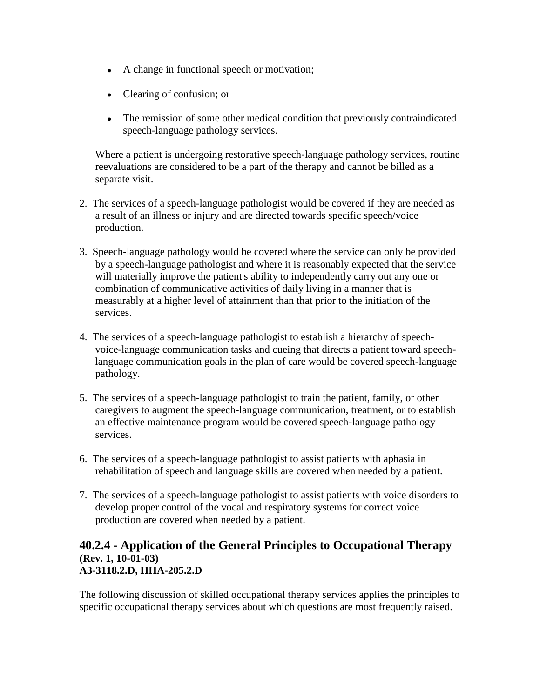- A change in functional speech or motivation;
- Clearing of confusion; or
- The remission of some other medical condition that previously contraindicated speech-language pathology services.

Where a patient is undergoing restorative speech-language pathology services, routine reevaluations are considered to be a part of the therapy and cannot be billed as a separate visit.

- 2. The services of a speech-language pathologist would be covered if they are needed as a result of an illness or injury and are directed towards specific speech/voice production.
- 3. Speech-language pathology would be covered where the service can only be provided by a speech-language pathologist and where it is reasonably expected that the service will materially improve the patient's ability to independently carry out any one or combination of communicative activities of daily living in a manner that is measurably at a higher level of attainment than that prior to the initiation of the services.
- 4. The services of a speech-language pathologist to establish a hierarchy of speechvoice-language communication tasks and cueing that directs a patient toward speechlanguage communication goals in the plan of care would be covered speech-language pathology.
- 5. The services of a speech-language pathologist to train the patient, family, or other caregivers to augment the speech-language communication, treatment, or to establish an effective maintenance program would be covered speech-language pathology services.
- 6. The services of a speech-language pathologist to assist patients with aphasia in rehabilitation of speech and language skills are covered when needed by a patient.
- 7. The services of a speech-language pathologist to assist patients with voice disorders to develop proper control of the vocal and respiratory systems for correct voice production are covered when needed by a patient.

### **40.2.4 - Application of the General Principles to Occupational Therapy (Rev. 1, 10-01-03) A3-3118.2.D, HHA-205.2.D**

The following discussion of skilled occupational therapy services applies the principles to specific occupational therapy services about which questions are most frequently raised.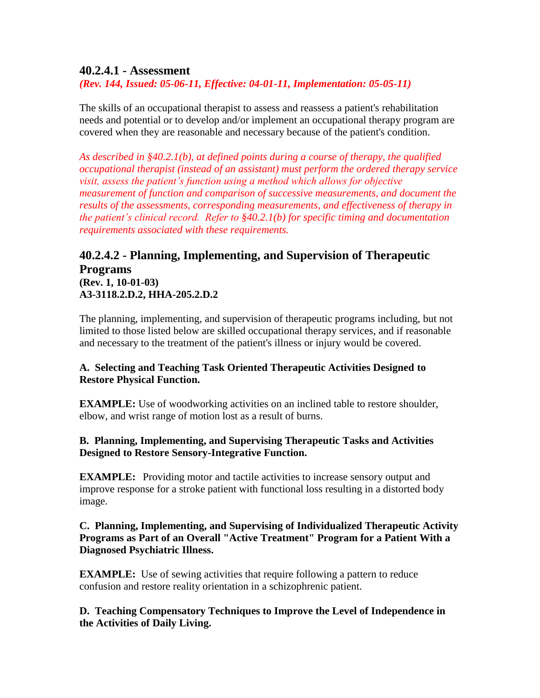## **40.2.4.1 - Assessment**

*(Rev. 144, Issued: 05-06-11, Effective: 04-01-11, Implementation: 05-05-11)*

The skills of an occupational therapist to assess and reassess a patient's rehabilitation needs and potential or to develop and/or implement an occupational therapy program are covered when they are reasonable and necessary because of the patient's condition.

*As described in §40.2.1(b), at defined points during a course of therapy, the qualified occupational therapist (instead of an assistant) must perform the ordered therapy service visit, assess the patient's function using a method which allows for objective measurement of function and comparison of successive measurements, and document the results of the assessments, corresponding measurements, and effectiveness of therapy in the patient's clinical record. Refer to §40.2.1(b) for specific timing and documentation requirements associated with these requirements.*

## **40.2.4.2 - Planning, Implementing, and Supervision of Therapeutic Programs (Rev. 1, 10-01-03) A3-3118.2.D.2, HHA-205.2.D.2**

The planning, implementing, and supervision of therapeutic programs including, but not limited to those listed below are skilled occupational therapy services, and if reasonable and necessary to the treatment of the patient's illness or injury would be covered.

### **A. Selecting and Teaching Task Oriented Therapeutic Activities Designed to Restore Physical Function.**

**EXAMPLE:** Use of woodworking activities on an inclined table to restore shoulder, elbow, and wrist range of motion lost as a result of burns.

### **B. Planning, Implementing, and Supervising Therapeutic Tasks and Activities Designed to Restore Sensory-Integrative Function.**

**EXAMPLE:** Providing motor and tactile activities to increase sensory output and improve response for a stroke patient with functional loss resulting in a distorted body image.

**C. Planning, Implementing, and Supervising of Individualized Therapeutic Activity Programs as Part of an Overall "Active Treatment" Program for a Patient With a Diagnosed Psychiatric Illness.**

**EXAMPLE:** Use of sewing activities that require following a pattern to reduce confusion and restore reality orientation in a schizophrenic patient.

**D. Teaching Compensatory Techniques to Improve the Level of Independence in the Activities of Daily Living.**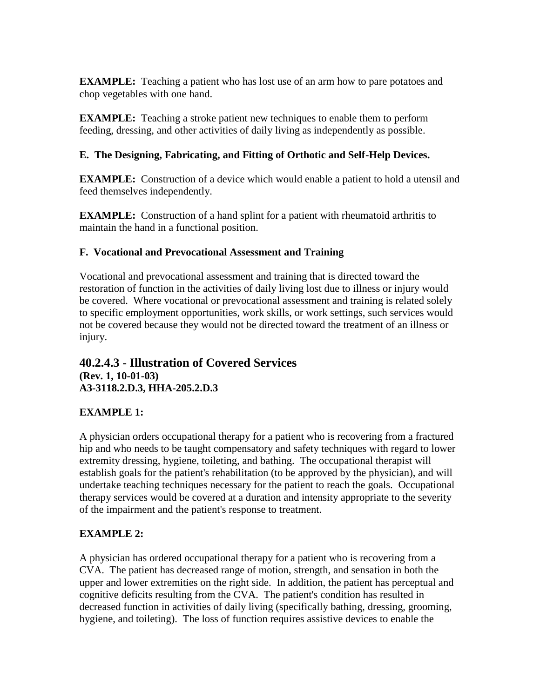**EXAMPLE:** Teaching a patient who has lost use of an arm how to pare potatoes and chop vegetables with one hand.

**EXAMPLE:** Teaching a stroke patient new techniques to enable them to perform feeding, dressing, and other activities of daily living as independently as possible.

## **E. The Designing, Fabricating, and Fitting of Orthotic and Self-Help Devices.**

**EXAMPLE:** Construction of a device which would enable a patient to hold a utensil and feed themselves independently.

**EXAMPLE:** Construction of a hand splint for a patient with rheumatoid arthritis to maintain the hand in a functional position.

### **F. Vocational and Prevocational Assessment and Training**

Vocational and prevocational assessment and training that is directed toward the restoration of function in the activities of daily living lost due to illness or injury would be covered. Where vocational or prevocational assessment and training is related solely to specific employment opportunities, work skills, or work settings, such services would not be covered because they would not be directed toward the treatment of an illness or injury.

## **40.2.4.3 - Illustration of Covered Services (Rev. 1, 10-01-03) A3-3118.2.D.3, HHA-205.2.D.3**

### **EXAMPLE 1:**

A physician orders occupational therapy for a patient who is recovering from a fractured hip and who needs to be taught compensatory and safety techniques with regard to lower extremity dressing, hygiene, toileting, and bathing. The occupational therapist will establish goals for the patient's rehabilitation (to be approved by the physician), and will undertake teaching techniques necessary for the patient to reach the goals. Occupational therapy services would be covered at a duration and intensity appropriate to the severity of the impairment and the patient's response to treatment.

## **EXAMPLE 2:**

A physician has ordered occupational therapy for a patient who is recovering from a CVA. The patient has decreased range of motion, strength, and sensation in both the upper and lower extremities on the right side. In addition, the patient has perceptual and cognitive deficits resulting from the CVA. The patient's condition has resulted in decreased function in activities of daily living (specifically bathing, dressing, grooming, hygiene, and toileting). The loss of function requires assistive devices to enable the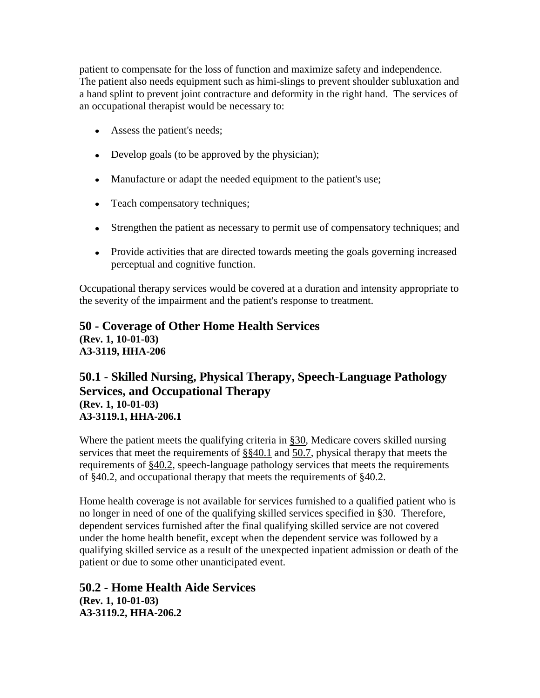patient to compensate for the loss of function and maximize safety and independence. The patient also needs equipment such as himi-slings to prevent shoulder subluxation and a hand splint to prevent joint contracture and deformity in the right hand. The services of an occupational therapist would be necessary to:

- Assess the patient's needs;
- Develop goals (to be approved by the physician);
- Manufacture or adapt the needed equipment to the patient's use;
- Teach compensatory techniques;
- Strengthen the patient as necessary to permit use of compensatory techniques; and
- Provide activities that are directed towards meeting the goals governing increased perceptual and cognitive function.

Occupational therapy services would be covered at a duration and intensity appropriate to the severity of the impairment and the patient's response to treatment.

**50 - Coverage of Other Home Health Services (Rev. 1, 10-01-03) A3-3119, HHA-206**

## **50.1 - Skilled Nursing, Physical Therapy, Speech-Language Pathology Services, and Occupational Therapy (Rev. 1, 10-01-03) A3-3119.1, HHA-206.1**

Where the patient meets the qualifying criteria in [§30,](#page-18-0) Medicare covers skilled nursing services that meet the requirements of [§§40.1](#page-34-0) and [50.7,](#page-81-0) physical therapy that meets the requirements of [§40.2,](#page-55-1) speech-language pathology services that meets the requirements of §40.2, and occupational therapy that meets the requirements of §40.2.

Home health coverage is not available for services furnished to a qualified patient who is no longer in need of one of the qualifying skilled services specified in §30. Therefore, dependent services furnished after the final qualifying skilled service are not covered under the home health benefit, except when the dependent service was followed by a qualifying skilled service as a result of the unexpected inpatient admission or death of the patient or due to some other unanticipated event.

<span id="page-67-0"></span>**50.2 - Home Health Aide Services (Rev. 1, 10-01-03) A3-3119.2, HHA-206.2**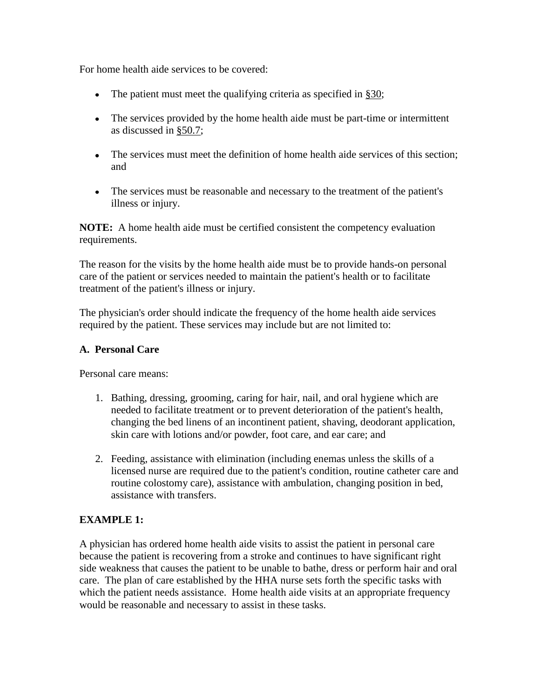For home health aide services to be covered:

- The patient must meet the qualifying criteria as specified in  $\S 30$ ;
- The services provided by the home health aide must be part-time or intermittent as discussed in [§50.7;](#page-81-0)
- The services must meet the definition of home health aide services of this section; and
- The services must be reasonable and necessary to the treatment of the patient's illness or injury.

**NOTE:** A home health aide must be certified consistent the competency evaluation requirements.

The reason for the visits by the home health aide must be to provide hands-on personal care of the patient or services needed to maintain the patient's health or to facilitate treatment of the patient's illness or injury.

The physician's order should indicate the frequency of the home health aide services required by the patient. These services may include but are not limited to:

### **A. Personal Care**

Personal care means:

- 1. Bathing, dressing, grooming, caring for hair, nail, and oral hygiene which are needed to facilitate treatment or to prevent deterioration of the patient's health, changing the bed linens of an incontinent patient, shaving, deodorant application, skin care with lotions and/or powder, foot care, and ear care; and
- 2. Feeding, assistance with elimination (including enemas unless the skills of a licensed nurse are required due to the patient's condition, routine catheter care and routine colostomy care), assistance with ambulation, changing position in bed, assistance with transfers.

### **EXAMPLE 1:**

A physician has ordered home health aide visits to assist the patient in personal care because the patient is recovering from a stroke and continues to have significant right side weakness that causes the patient to be unable to bathe, dress or perform hair and oral care. The plan of care established by the HHA nurse sets forth the specific tasks with which the patient needs assistance. Home health aide visits at an appropriate frequency would be reasonable and necessary to assist in these tasks.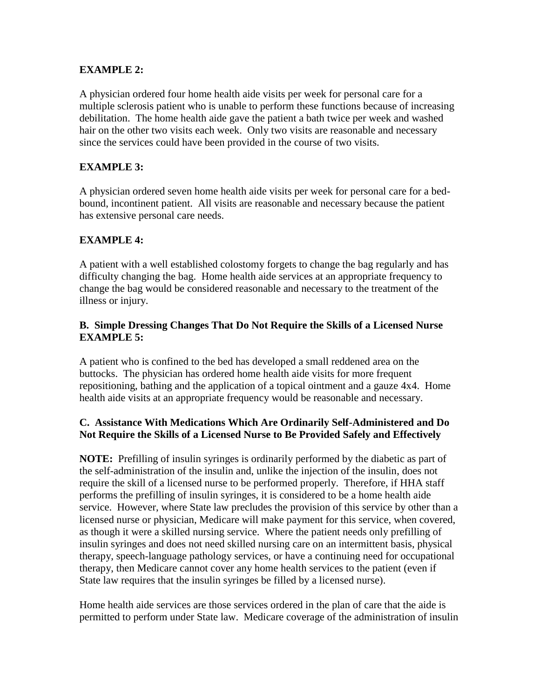### **EXAMPLE 2:**

A physician ordered four home health aide visits per week for personal care for a multiple sclerosis patient who is unable to perform these functions because of increasing debilitation. The home health aide gave the patient a bath twice per week and washed hair on the other two visits each week. Only two visits are reasonable and necessary since the services could have been provided in the course of two visits.

## **EXAMPLE 3:**

A physician ordered seven home health aide visits per week for personal care for a bedbound, incontinent patient. All visits are reasonable and necessary because the patient has extensive personal care needs.

## **EXAMPLE 4:**

A patient with a well established colostomy forgets to change the bag regularly and has difficulty changing the bag. Home health aide services at an appropriate frequency to change the bag would be considered reasonable and necessary to the treatment of the illness or injury.

### **B. Simple Dressing Changes That Do Not Require the Skills of a Licensed Nurse EXAMPLE 5:**

A patient who is confined to the bed has developed a small reddened area on the buttocks. The physician has ordered home health aide visits for more frequent repositioning, bathing and the application of a topical ointment and a gauze 4x4. Home health aide visits at an appropriate frequency would be reasonable and necessary.

### **C. Assistance With Medications Which Are Ordinarily Self-Administered and Do Not Require the Skills of a Licensed Nurse to Be Provided Safely and Effectively**

**NOTE:** Prefilling of insulin syringes is ordinarily performed by the diabetic as part of the self-administration of the insulin and, unlike the injection of the insulin, does not require the skill of a licensed nurse to be performed properly. Therefore, if HHA staff performs the prefilling of insulin syringes, it is considered to be a home health aide service. However, where State law precludes the provision of this service by other than a licensed nurse or physician, Medicare will make payment for this service, when covered, as though it were a skilled nursing service. Where the patient needs only prefilling of insulin syringes and does not need skilled nursing care on an intermittent basis, physical therapy, speech-language pathology services, or have a continuing need for occupational therapy, then Medicare cannot cover any home health services to the patient (even if State law requires that the insulin syringes be filled by a licensed nurse).

Home health aide services are those services ordered in the plan of care that the aide is permitted to perform under State law. Medicare coverage of the administration of insulin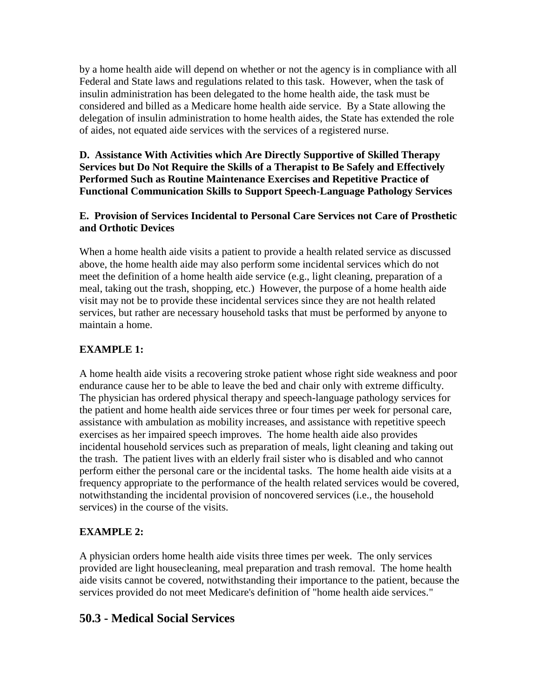by a home health aide will depend on whether or not the agency is in compliance with all Federal and State laws and regulations related to this task. However, when the task of insulin administration has been delegated to the home health aide, the task must be considered and billed as a Medicare home health aide service. By a State allowing the delegation of insulin administration to home health aides, the State has extended the role of aides, not equated aide services with the services of a registered nurse.

### **D. Assistance With Activities which Are Directly Supportive of Skilled Therapy Services but Do Not Require the Skills of a Therapist to Be Safely and Effectively Performed Such as Routine Maintenance Exercises and Repetitive Practice of Functional Communication Skills to Support Speech-Language Pathology Services**

### **E. Provision of Services Incidental to Personal Care Services not Care of Prosthetic and Orthotic Devices**

When a home health aide visits a patient to provide a health related service as discussed above, the home health aide may also perform some incidental services which do not meet the definition of a home health aide service (e.g., light cleaning, preparation of a meal, taking out the trash, shopping, etc.) However, the purpose of a home health aide visit may not be to provide these incidental services since they are not health related services, but rather are necessary household tasks that must be performed by anyone to maintain a home.

## **EXAMPLE 1:**

A home health aide visits a recovering stroke patient whose right side weakness and poor endurance cause her to be able to leave the bed and chair only with extreme difficulty. The physician has ordered physical therapy and speech-language pathology services for the patient and home health aide services three or four times per week for personal care, assistance with ambulation as mobility increases, and assistance with repetitive speech exercises as her impaired speech improves. The home health aide also provides incidental household services such as preparation of meals, light cleaning and taking out the trash. The patient lives with an elderly frail sister who is disabled and who cannot perform either the personal care or the incidental tasks. The home health aide visits at a frequency appropriate to the performance of the health related services would be covered, notwithstanding the incidental provision of noncovered services (i.e., the household services) in the course of the visits.

## **EXAMPLE 2:**

A physician orders home health aide visits three times per week. The only services provided are light housecleaning, meal preparation and trash removal. The home health aide visits cannot be covered, notwithstanding their importance to the patient, because the services provided do not meet Medicare's definition of "home health aide services."

# **50.3 - Medical Social Services**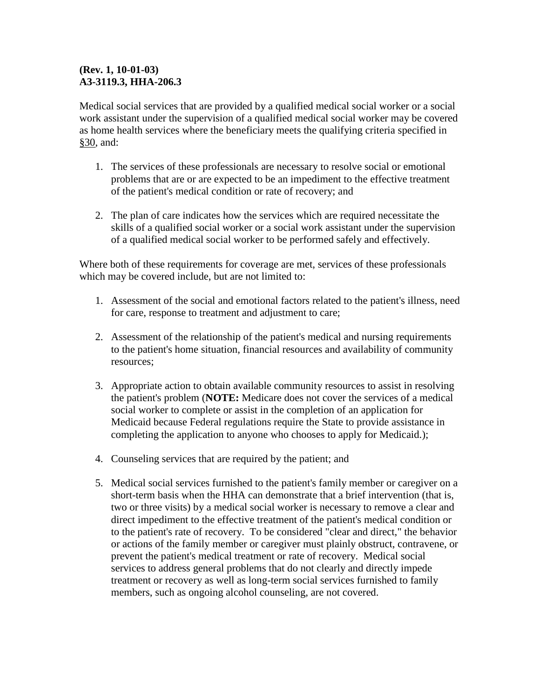### **(Rev. 1, 10-01-03) A3-3119.3, HHA-206.3**

Medical social services that are provided by a qualified medical social worker or a social work assistant under the supervision of a qualified medical social worker may be covered as home health services where the beneficiary meets the qualifying criteria specified in [§30,](#page-18-0) and:

- 1. The services of these professionals are necessary to resolve social or emotional problems that are or are expected to be an impediment to the effective treatment of the patient's medical condition or rate of recovery; and
- 2. The plan of care indicates how the services which are required necessitate the skills of a qualified social worker or a social work assistant under the supervision of a qualified medical social worker to be performed safely and effectively.

Where both of these requirements for coverage are met, services of these professionals which may be covered include, but are not limited to:

- 1. Assessment of the social and emotional factors related to the patient's illness, need for care, response to treatment and adjustment to care;
- 2. Assessment of the relationship of the patient's medical and nursing requirements to the patient's home situation, financial resources and availability of community resources;
- 3. Appropriate action to obtain available community resources to assist in resolving the patient's problem (**NOTE:** Medicare does not cover the services of a medical social worker to complete or assist in the completion of an application for Medicaid because Federal regulations require the State to provide assistance in completing the application to anyone who chooses to apply for Medicaid.);
- 4. Counseling services that are required by the patient; and
- 5. Medical social services furnished to the patient's family member or caregiver on a short-term basis when the HHA can demonstrate that a brief intervention (that is, two or three visits) by a medical social worker is necessary to remove a clear and direct impediment to the effective treatment of the patient's medical condition or to the patient's rate of recovery. To be considered "clear and direct," the behavior or actions of the family member or caregiver must plainly obstruct, contravene, or prevent the patient's medical treatment or rate of recovery. Medical social services to address general problems that do not clearly and directly impede treatment or recovery as well as long-term social services furnished to family members, such as ongoing alcohol counseling, are not covered.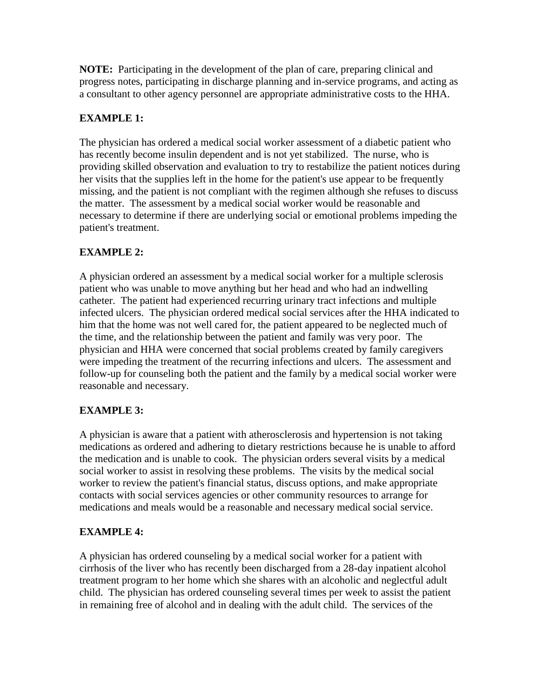**NOTE:** Participating in the development of the plan of care, preparing clinical and progress notes, participating in discharge planning and in-service programs, and acting as a consultant to other agency personnel are appropriate administrative costs to the HHA.

## **EXAMPLE 1:**

The physician has ordered a medical social worker assessment of a diabetic patient who has recently become insulin dependent and is not yet stabilized. The nurse, who is providing skilled observation and evaluation to try to restabilize the patient notices during her visits that the supplies left in the home for the patient's use appear to be frequently missing, and the patient is not compliant with the regimen although she refuses to discuss the matter. The assessment by a medical social worker would be reasonable and necessary to determine if there are underlying social or emotional problems impeding the patient's treatment.

## **EXAMPLE 2:**

A physician ordered an assessment by a medical social worker for a multiple sclerosis patient who was unable to move anything but her head and who had an indwelling catheter. The patient had experienced recurring urinary tract infections and multiple infected ulcers. The physician ordered medical social services after the HHA indicated to him that the home was not well cared for, the patient appeared to be neglected much of the time, and the relationship between the patient and family was very poor. The physician and HHA were concerned that social problems created by family caregivers were impeding the treatment of the recurring infections and ulcers. The assessment and follow-up for counseling both the patient and the family by a medical social worker were reasonable and necessary.

## **EXAMPLE 3:**

A physician is aware that a patient with atherosclerosis and hypertension is not taking medications as ordered and adhering to dietary restrictions because he is unable to afford the medication and is unable to cook. The physician orders several visits by a medical social worker to assist in resolving these problems. The visits by the medical social worker to review the patient's financial status, discuss options, and make appropriate contacts with social services agencies or other community resources to arrange for medications and meals would be a reasonable and necessary medical social service.

## **EXAMPLE 4:**

A physician has ordered counseling by a medical social worker for a patient with cirrhosis of the liver who has recently been discharged from a 28-day inpatient alcohol treatment program to her home which she shares with an alcoholic and neglectful adult child. The physician has ordered counseling several times per week to assist the patient in remaining free of alcohol and in dealing with the adult child. The services of the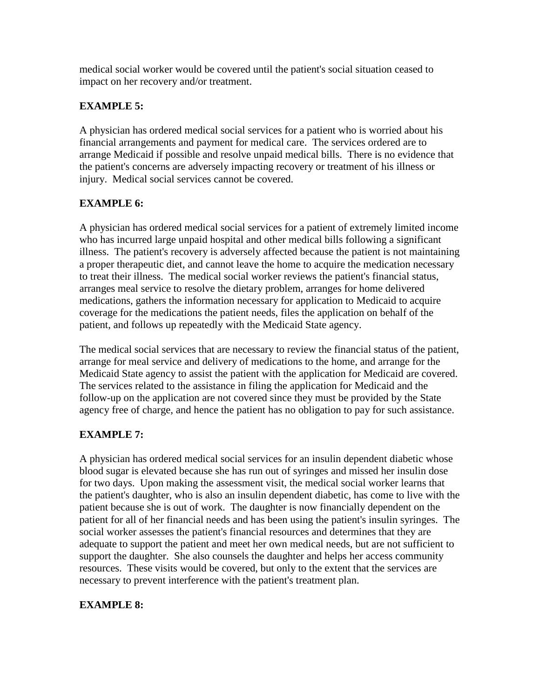medical social worker would be covered until the patient's social situation ceased to impact on her recovery and/or treatment.

## **EXAMPLE 5:**

A physician has ordered medical social services for a patient who is worried about his financial arrangements and payment for medical care. The services ordered are to arrange Medicaid if possible and resolve unpaid medical bills. There is no evidence that the patient's concerns are adversely impacting recovery or treatment of his illness or injury. Medical social services cannot be covered.

## **EXAMPLE 6:**

A physician has ordered medical social services for a patient of extremely limited income who has incurred large unpaid hospital and other medical bills following a significant illness. The patient's recovery is adversely affected because the patient is not maintaining a proper therapeutic diet, and cannot leave the home to acquire the medication necessary to treat their illness. The medical social worker reviews the patient's financial status, arranges meal service to resolve the dietary problem, arranges for home delivered medications, gathers the information necessary for application to Medicaid to acquire coverage for the medications the patient needs, files the application on behalf of the patient, and follows up repeatedly with the Medicaid State agency.

The medical social services that are necessary to review the financial status of the patient, arrange for meal service and delivery of medications to the home, and arrange for the Medicaid State agency to assist the patient with the application for Medicaid are covered. The services related to the assistance in filing the application for Medicaid and the follow-up on the application are not covered since they must be provided by the State agency free of charge, and hence the patient has no obligation to pay for such assistance.

## **EXAMPLE 7:**

A physician has ordered medical social services for an insulin dependent diabetic whose blood sugar is elevated because she has run out of syringes and missed her insulin dose for two days. Upon making the assessment visit, the medical social worker learns that the patient's daughter, who is also an insulin dependent diabetic, has come to live with the patient because she is out of work. The daughter is now financially dependent on the patient for all of her financial needs and has been using the patient's insulin syringes. The social worker assesses the patient's financial resources and determines that they are adequate to support the patient and meet her own medical needs, but are not sufficient to support the daughter. She also counsels the daughter and helps her access community resources. These visits would be covered, but only to the extent that the services are necessary to prevent interference with the patient's treatment plan.

## **EXAMPLE 8:**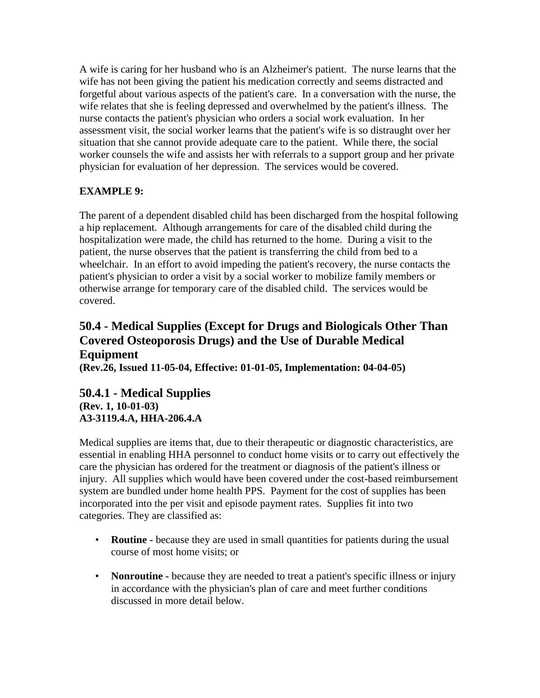A wife is caring for her husband who is an Alzheimer's patient. The nurse learns that the wife has not been giving the patient his medication correctly and seems distracted and forgetful about various aspects of the patient's care. In a conversation with the nurse, the wife relates that she is feeling depressed and overwhelmed by the patient's illness. The nurse contacts the patient's physician who orders a social work evaluation. In her assessment visit, the social worker learns that the patient's wife is so distraught over her situation that she cannot provide adequate care to the patient. While there, the social worker counsels the wife and assists her with referrals to a support group and her private physician for evaluation of her depression. The services would be covered.

## **EXAMPLE 9:**

The parent of a dependent disabled child has been discharged from the hospital following a hip replacement. Although arrangements for care of the disabled child during the hospitalization were made, the child has returned to the home. During a visit to the patient, the nurse observes that the patient is transferring the child from bed to a wheelchair. In an effort to avoid impeding the patient's recovery, the nurse contacts the patient's physician to order a visit by a social worker to mobilize family members or otherwise arrange for temporary care of the disabled child. The services would be covered.

## **50.4 - Medical Supplies (Except for Drugs and Biologicals Other Than Covered Osteoporosis Drugs) and the Use of Durable Medical Equipment**

**(Rev.26, Issued 11-05-04, Effective: 01-01-05, Implementation: 04-04-05)**

**50.4.1 - Medical Supplies (Rev. 1, 10-01-03) A3-3119.4.A, HHA-206.4.A**

Medical supplies are items that, due to their therapeutic or diagnostic characteristics, are essential in enabling HHA personnel to conduct home visits or to carry out effectively the care the physician has ordered for the treatment or diagnosis of the patient's illness or injury. All supplies which would have been covered under the cost-based reimbursement system are bundled under home health PPS. Payment for the cost of supplies has been incorporated into the per visit and episode payment rates. Supplies fit into two categories. They are classified as:

- **Routine -** because they are used in small quantities for patients during the usual course of most home visits; or
- **Nonroutine -** because they are needed to treat a patient's specific illness or injury in accordance with the physician's plan of care and meet further conditions discussed in more detail below.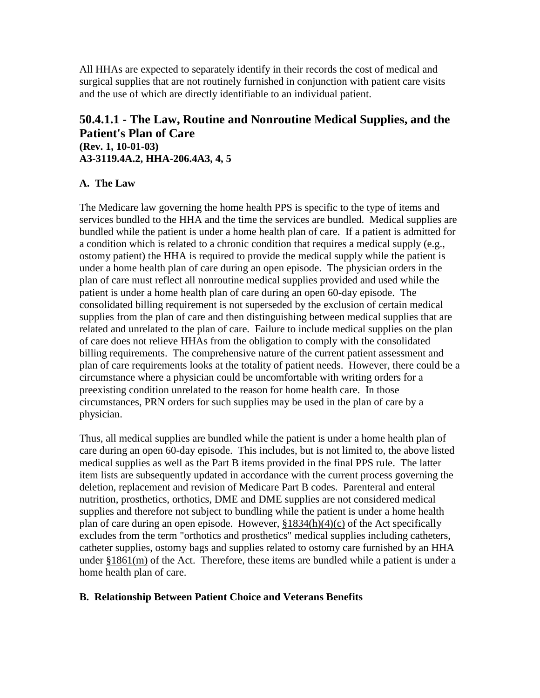All HHAs are expected to separately identify in their records the cost of medical and surgical supplies that are not routinely furnished in conjunction with patient care visits and the use of which are directly identifiable to an individual patient.

## **50.4.1.1 - The Law, Routine and Nonroutine Medical Supplies, and the Patient's Plan of Care (Rev. 1, 10-01-03) A3-3119.4A.2, HHA-206.4A3, 4, 5**

#### **A. The Law**

The Medicare law governing the home health PPS is specific to the type of items and services bundled to the HHA and the time the services are bundled. Medical supplies are bundled while the patient is under a home health plan of care. If a patient is admitted for a condition which is related to a chronic condition that requires a medical supply (e.g., ostomy patient) the HHA is required to provide the medical supply while the patient is under a home health plan of care during an open episode. The physician orders in the plan of care must reflect all nonroutine medical supplies provided and used while the patient is under a home health plan of care during an open 60-day episode. The consolidated billing requirement is not superseded by the exclusion of certain medical supplies from the plan of care and then distinguishing between medical supplies that are related and unrelated to the plan of care. Failure to include medical supplies on the plan of care does not relieve HHAs from the obligation to comply with the consolidated billing requirements. The comprehensive nature of the current patient assessment and plan of care requirements looks at the totality of patient needs. However, there could be a circumstance where a physician could be uncomfortable with writing orders for a preexisting condition unrelated to the reason for home health care. In those circumstances, PRN orders for such supplies may be used in the plan of care by a physician.

Thus, all medical supplies are bundled while the patient is under a home health plan of care during an open 60-day episode. This includes, but is not limited to, the above listed medical supplies as well as the Part B items provided in the final PPS rule. The latter item lists are subsequently updated in accordance with the current process governing the deletion, replacement and revision of Medicare Part B codes. Parenteral and enteral nutrition, prosthetics, orthotics, DME and DME supplies are not considered medical supplies and therefore not subject to bundling while the patient is under a home health plan of care during an open episode. However, [§1834\(h\)\(4\)\(c\)](http://www.cms.hhs.gov/regulations/) of the Act specifically excludes from the term "orthotics and prosthetics" medical supplies including catheters, catheter supplies, ostomy bags and supplies related to ostomy care furnished by an HHA under [§1861\(m\)](http://www.cms.hhs.gov/regulations/) of the Act. Therefore, these items are bundled while a patient is under a home health plan of care.

#### **B. Relationship Between Patient Choice and Veterans Benefits**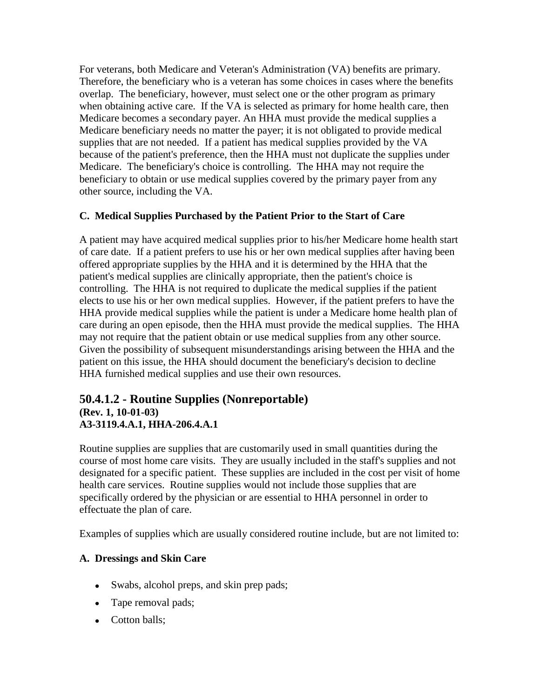For veterans, both Medicare and Veteran's Administration (VA) benefits are primary. Therefore, the beneficiary who is a veteran has some choices in cases where the benefits overlap. The beneficiary, however, must select one or the other program as primary when obtaining active care. If the VA is selected as primary for home health care, then Medicare becomes a secondary payer. An HHA must provide the medical supplies a Medicare beneficiary needs no matter the payer; it is not obligated to provide medical supplies that are not needed. If a patient has medical supplies provided by the VA because of the patient's preference, then the HHA must not duplicate the supplies under Medicare. The beneficiary's choice is controlling. The HHA may not require the beneficiary to obtain or use medical supplies covered by the primary payer from any other source, including the VA.

### **C. Medical Supplies Purchased by the Patient Prior to the Start of Care**

A patient may have acquired medical supplies prior to his/her Medicare home health start of care date. If a patient prefers to use his or her own medical supplies after having been offered appropriate supplies by the HHA and it is determined by the HHA that the patient's medical supplies are clinically appropriate, then the patient's choice is controlling. The HHA is not required to duplicate the medical supplies if the patient elects to use his or her own medical supplies. However, if the patient prefers to have the HHA provide medical supplies while the patient is under a Medicare home health plan of care during an open episode, then the HHA must provide the medical supplies. The HHA may not require that the patient obtain or use medical supplies from any other source. Given the possibility of subsequent misunderstandings arising between the HHA and the patient on this issue, the HHA should document the beneficiary's decision to decline HHA furnished medical supplies and use their own resources.

#### **50.4.1.2 - Routine Supplies (Nonreportable) (Rev. 1, 10-01-03) A3-3119.4.A.1, HHA-206.4.A.1**

Routine supplies are supplies that are customarily used in small quantities during the course of most home care visits. They are usually included in the staff's supplies and not designated for a specific patient. These supplies are included in the cost per visit of home health care services. Routine supplies would not include those supplies that are specifically ordered by the physician or are essential to HHA personnel in order to effectuate the plan of care.

Examples of supplies which are usually considered routine include, but are not limited to:

#### **A. Dressings and Skin Care**

- Swabs, alcohol preps, and skin prep pads;
- Tape removal pads;
- Cotton balls;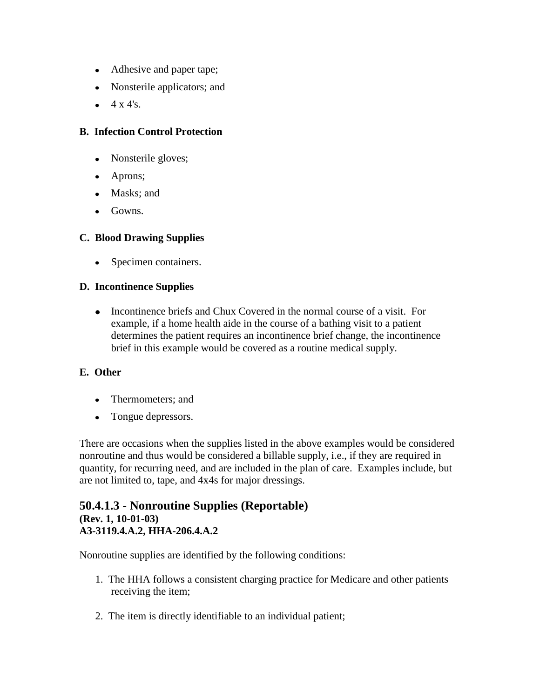- Adhesive and paper tape;
- Nonsterile applicators; and
- $\bullet$  4 x 4's.

#### **B. Infection Control Protection**

- Nonsterile gloves;
- Aprons;
- Masks; and
- Gowns.

### **C. Blood Drawing Supplies**

• Specimen containers.

### **D. Incontinence Supplies**

• Incontinence briefs and Chux Covered in the normal course of a visit. For example, if a home health aide in the course of a bathing visit to a patient determines the patient requires an incontinence brief change, the incontinence brief in this example would be covered as a routine medical supply.

## **E. Other**

- Thermometers: and
- Tongue depressors.

There are occasions when the supplies listed in the above examples would be considered nonroutine and thus would be considered a billable supply, i.e., if they are required in quantity, for recurring need, and are included in the plan of care. Examples include, but are not limited to, tape, and 4x4s for major dressings.

## **50.4.1.3 - Nonroutine Supplies (Reportable) (Rev. 1, 10-01-03) A3-3119.4.A.2, HHA-206.4.A.2**

Nonroutine supplies are identified by the following conditions:

- 1. The HHA follows a consistent charging practice for Medicare and other patients receiving the item;
- 2. The item is directly identifiable to an individual patient;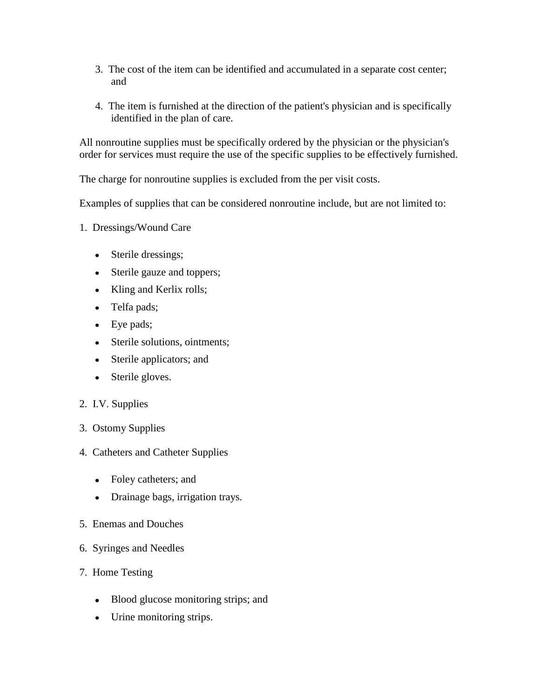- 3. The cost of the item can be identified and accumulated in a separate cost center; and
- 4. The item is furnished at the direction of the patient's physician and is specifically identified in the plan of care.

All nonroutine supplies must be specifically ordered by the physician or the physician's order for services must require the use of the specific supplies to be effectively furnished.

The charge for nonroutine supplies is excluded from the per visit costs.

Examples of supplies that can be considered nonroutine include, but are not limited to:

- 1. Dressings/Wound Care
	- Sterile dressings;
	- Sterile gauze and toppers;
	- Kling and Kerlix rolls;
	- Telfa pads;
	- Eye pads;
	- Sterile solutions, ointments;
	- Sterile applicators; and
	- Sterile gloves.
- 2. I.V. Supplies
- 3. Ostomy Supplies
- 4. Catheters and Catheter Supplies
	- Foley catheters; and
	- Drainage bags, irrigation trays.
- 5. Enemas and Douches
- 6. Syringes and Needles
- 7. Home Testing
	- Blood glucose monitoring strips; and
	- Urine monitoring strips.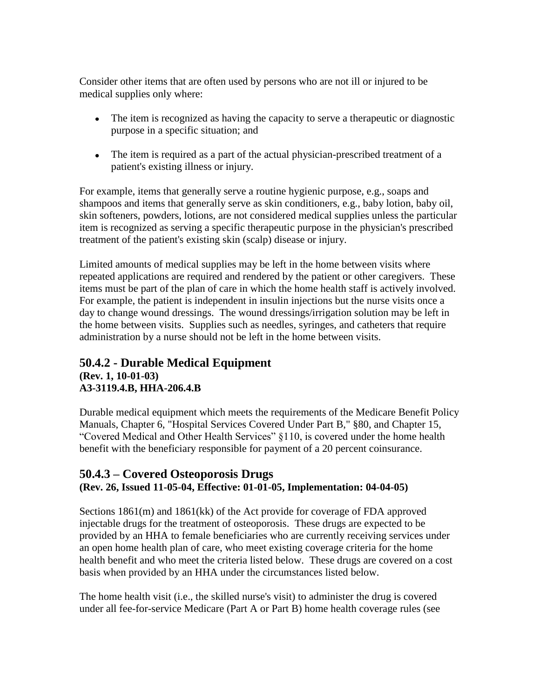Consider other items that are often used by persons who are not ill or injured to be medical supplies only where:

- The item is recognized as having the capacity to serve a therapeutic or diagnostic purpose in a specific situation; and
- The item is required as a part of the actual physician-prescribed treatment of a patient's existing illness or injury.

For example, items that generally serve a routine hygienic purpose, e.g., soaps and shampoos and items that generally serve as skin conditioners, e.g., baby lotion, baby oil, skin softeners, powders, lotions, are not considered medical supplies unless the particular item is recognized as serving a specific therapeutic purpose in the physician's prescribed treatment of the patient's existing skin (scalp) disease or injury.

Limited amounts of medical supplies may be left in the home between visits where repeated applications are required and rendered by the patient or other caregivers. These items must be part of the plan of care in which the home health staff is actively involved. For example, the patient is independent in insulin injections but the nurse visits once a day to change wound dressings. The wound dressings/irrigation solution may be left in the home between visits. Supplies such as needles, syringes, and catheters that require administration by a nurse should not be left in the home between visits.

## **50.4.2 - Durable Medical Equipment (Rev. 1, 10-01-03) A3-3119.4.B, HHA-206.4.B**

Durable medical equipment which meets the requirements of the Medicare Benefit Policy Manuals, Chapter 6, "Hospital Services Covered Under Part B," §80, and Chapter 15, "Covered Medical and Other Health Services" §110, is covered under the home health benefit with the beneficiary responsible for payment of a 20 percent coinsurance.

## **50.4.3 – Covered Osteoporosis Drugs (Rev. 26, Issued 11-05-04, Effective: 01-01-05, Implementation: 04-04-05)**

Sections 1861(m) and 1861(kk) of the Act provide for coverage of FDA approved injectable drugs for the treatment of osteoporosis. These drugs are expected to be provided by an HHA to female beneficiaries who are currently receiving services under an open home health plan of care, who meet existing coverage criteria for the home health benefit and who meet the criteria listed below. These drugs are covered on a cost basis when provided by an HHA under the circumstances listed below.

The home health visit (i.e., the skilled nurse's visit) to administer the drug is covered under all fee-for-service Medicare (Part A or Part B) home health coverage rules (see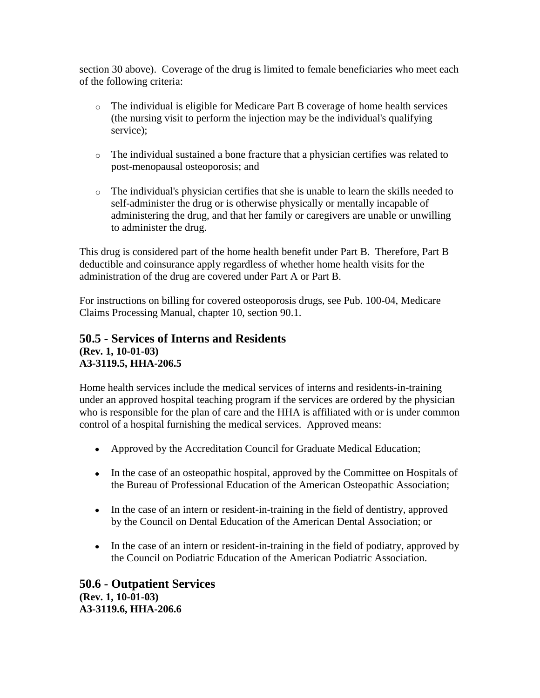section 30 above). Coverage of the drug is limited to female beneficiaries who meet each of the following criteria:

- o The individual is eligible for Medicare Part B coverage of home health services (the nursing visit to perform the injection may be the individual's qualifying service);
- o The individual sustained a bone fracture that a physician certifies was related to post-menopausal osteoporosis; and
- o The individual's physician certifies that she is unable to learn the skills needed to self-administer the drug or is otherwise physically or mentally incapable of administering the drug, and that her family or caregivers are unable or unwilling to administer the drug.

This drug is considered part of the home health benefit under Part B. Therefore, Part B deductible and coinsurance apply regardless of whether home health visits for the administration of the drug are covered under Part A or Part B.

For instructions on billing for covered osteoporosis drugs, see Pub. 100-04, Medicare Claims Processing Manual, chapter 10, section 90.1.

## **50.5 - Services of Interns and Residents (Rev. 1, 10-01-03) A3-3119.5, HHA-206.5**

Home health services include the medical services of interns and residents-in-training under an approved hospital teaching program if the services are ordered by the physician who is responsible for the plan of care and the HHA is affiliated with or is under common control of a hospital furnishing the medical services. Approved means:

- Approved by the Accreditation Council for Graduate Medical Education;
- In the case of an osteopathic hospital, approved by the Committee on Hospitals of the Bureau of Professional Education of the American Osteopathic Association;
- In the case of an intern or resident-in-training in the field of dentistry, approved by the Council on Dental Education of the American Dental Association; or
- In the case of an intern or resident-in-training in the field of podiatry, approved by the Council on Podiatric Education of the American Podiatric Association.

**50.6 - Outpatient Services (Rev. 1, 10-01-03) A3-3119.6, HHA-206.6**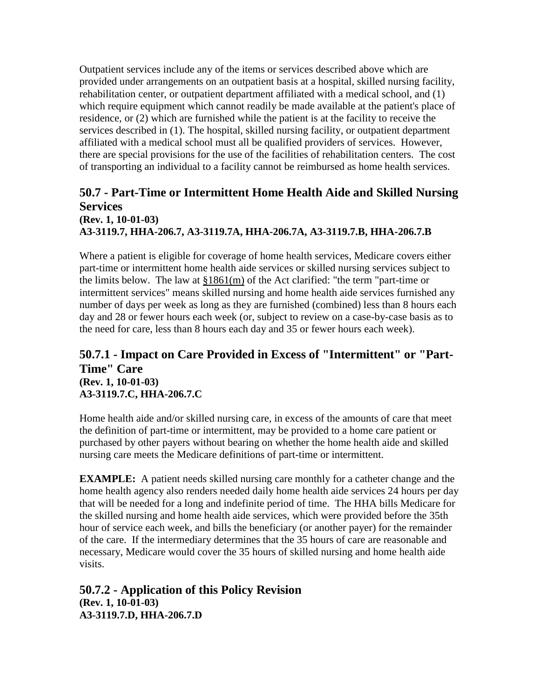Outpatient services include any of the items or services described above which are provided under arrangements on an outpatient basis at a hospital, skilled nursing facility, rehabilitation center, or outpatient department affiliated with a medical school, and (1) which require equipment which cannot readily be made available at the patient's place of residence, or (2) which are furnished while the patient is at the facility to receive the services described in (1). The hospital, skilled nursing facility, or outpatient department affiliated with a medical school must all be qualified providers of services. However, there are special provisions for the use of the facilities of rehabilitation centers. The cost of transporting an individual to a facility cannot be reimbursed as home health services.

## **50.7 - Part-Time or Intermittent Home Health Aide and Skilled Nursing Services (Rev. 1, 10-01-03) A3-3119.7, HHA-206.7, A3-3119.7A, HHA-206.7A, A3-3119.7.B, HHA-206.7.B**

Where a patient is eligible for coverage of home health services, Medicare covers either part-time or intermittent home health aide services or skilled nursing services subject to the limits below. The law at [§1861\(m\)](http://www.cms.hhs.gov/regulations/) of the Act clarified: "the term "part-time or intermittent services" means skilled nursing and home health aide services furnished any number of days per week as long as they are furnished (combined) less than 8 hours each day and 28 or fewer hours each week (or, subject to review on a case-by-case basis as to the need for care, less than 8 hours each day and 35 or fewer hours each week).

### <span id="page-81-0"></span>**50.7.1 - Impact on Care Provided in Excess of "Intermittent" or "Part-Time" Care (Rev. 1, 10-01-03) A3-3119.7.C, HHA-206.7.C**

Home health aide and/or skilled nursing care, in excess of the amounts of care that meet the definition of part-time or intermittent, may be provided to a home care patient or purchased by other payers without bearing on whether the home health aide and skilled nursing care meets the Medicare definitions of part-time or intermittent.

**EXAMPLE:** A patient needs skilled nursing care monthly for a catheter change and the home health agency also renders needed daily home health aide services 24 hours per day that will be needed for a long and indefinite period of time. The HHA bills Medicare for the skilled nursing and home health aide services, which were provided before the 35th hour of service each week, and bills the beneficiary (or another payer) for the remainder of the care. If the intermediary determines that the 35 hours of care are reasonable and necessary, Medicare would cover the 35 hours of skilled nursing and home health aide visits.

**50.7.2 - Application of this Policy Revision (Rev. 1, 10-01-03) A3-3119.7.D, HHA-206.7.D**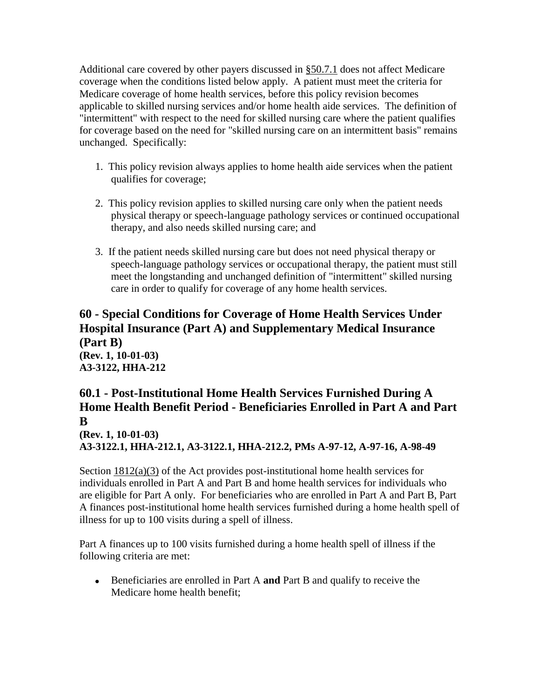Additional care covered by other payers discussed in [§50.7.1](#page-81-0) does not affect Medicare coverage when the conditions listed below apply. A patient must meet the criteria for Medicare coverage of home health services, before this policy revision becomes applicable to skilled nursing services and/or home health aide services. The definition of "intermittent" with respect to the need for skilled nursing care where the patient qualifies for coverage based on the need for "skilled nursing care on an intermittent basis" remains unchanged. Specifically:

- 1. This policy revision always applies to home health aide services when the patient qualifies for coverage;
- 2. This policy revision applies to skilled nursing care only when the patient needs physical therapy or speech-language pathology services or continued occupational therapy, and also needs skilled nursing care; and
- 3. If the patient needs skilled nursing care but does not need physical therapy or speech-language pathology services or occupational therapy, the patient must still meet the longstanding and unchanged definition of "intermittent" skilled nursing care in order to qualify for coverage of any home health services.

<span id="page-82-0"></span>**60 - Special Conditions for Coverage of Home Health Services Under Hospital Insurance (Part A) and Supplementary Medical Insurance (Part B) (Rev. 1, 10-01-03) A3-3122, HHA-212**

## **60.1 - Post-Institutional Home Health Services Furnished During A Home Health Benefit Period - Beneficiaries Enrolled in Part A and Part B**

**(Rev. 1, 10-01-03) A3-3122.1, HHA-212.1, A3-3122.1, HHA-212.2, PMs A-97-12, A-97-16, A-98-49** 

Section [1812\(a\)\(3\)](http://www.cms.hhs.gov/regulations/) of the Act provides post-institutional home health services for individuals enrolled in Part A and Part B and home health services for individuals who are eligible for Part A only. For beneficiaries who are enrolled in Part A and Part B, Part A finances post-institutional home health services furnished during a home health spell of illness for up to 100 visits during a spell of illness.

Part A finances up to 100 visits furnished during a home health spell of illness if the following criteria are met:

Beneficiaries are enrolled in Part A **and** Part B and qualify to receive the Medicare home health benefit;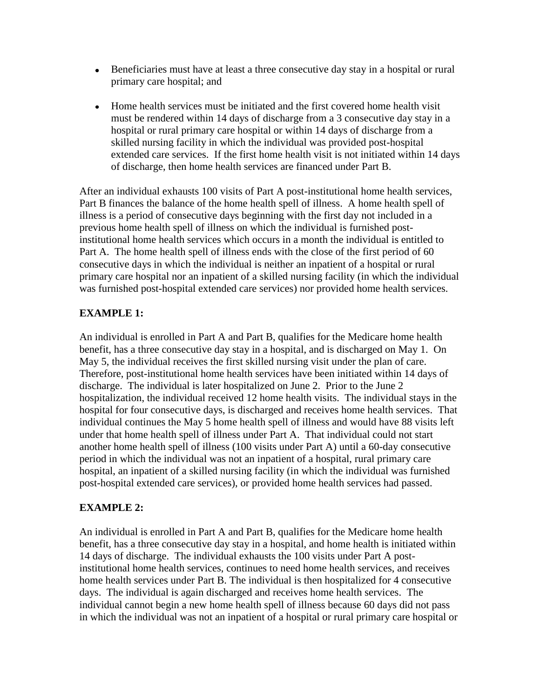- Beneficiaries must have at least a three consecutive day stay in a hospital or rural primary care hospital; and
- Home health services must be initiated and the first covered home health visit must be rendered within 14 days of discharge from a 3 consecutive day stay in a hospital or rural primary care hospital or within 14 days of discharge from a skilled nursing facility in which the individual was provided post-hospital extended care services. If the first home health visit is not initiated within 14 days of discharge, then home health services are financed under Part B.

After an individual exhausts 100 visits of Part A post-institutional home health services, Part B finances the balance of the home health spell of illness. A home health spell of illness is a period of consecutive days beginning with the first day not included in a previous home health spell of illness on which the individual is furnished postinstitutional home health services which occurs in a month the individual is entitled to Part A. The home health spell of illness ends with the close of the first period of 60 consecutive days in which the individual is neither an inpatient of a hospital or rural primary care hospital nor an inpatient of a skilled nursing facility (in which the individual was furnished post-hospital extended care services) nor provided home health services.

### **EXAMPLE 1:**

An individual is enrolled in Part A and Part B, qualifies for the Medicare home health benefit, has a three consecutive day stay in a hospital, and is discharged on May 1. On May 5, the individual receives the first skilled nursing visit under the plan of care. Therefore, post-institutional home health services have been initiated within 14 days of discharge. The individual is later hospitalized on June 2. Prior to the June 2 hospitalization, the individual received 12 home health visits. The individual stays in the hospital for four consecutive days, is discharged and receives home health services. That individual continues the May 5 home health spell of illness and would have 88 visits left under that home health spell of illness under Part A. That individual could not start another home health spell of illness (100 visits under Part A) until a 60-day consecutive period in which the individual was not an inpatient of a hospital, rural primary care hospital, an inpatient of a skilled nursing facility (in which the individual was furnished post-hospital extended care services), or provided home health services had passed.

#### **EXAMPLE 2:**

An individual is enrolled in Part A and Part B, qualifies for the Medicare home health benefit, has a three consecutive day stay in a hospital, and home health is initiated within 14 days of discharge. The individual exhausts the 100 visits under Part A postinstitutional home health services, continues to need home health services, and receives home health services under Part B. The individual is then hospitalized for 4 consecutive days. The individual is again discharged and receives home health services. The individual cannot begin a new home health spell of illness because 60 days did not pass in which the individual was not an inpatient of a hospital or rural primary care hospital or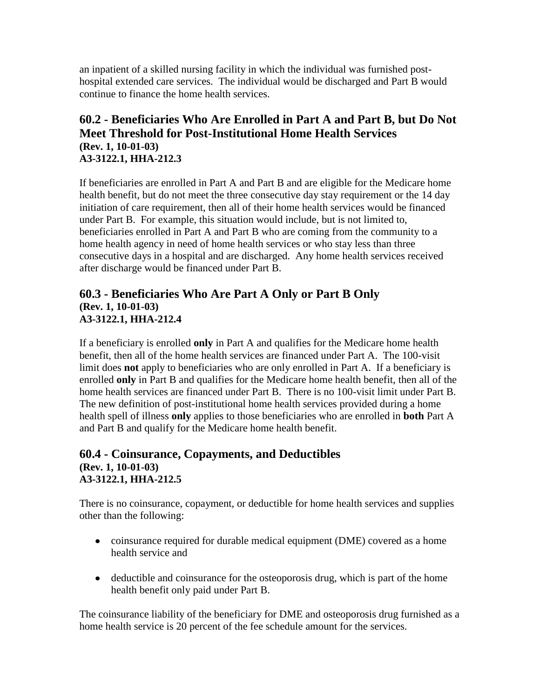an inpatient of a skilled nursing facility in which the individual was furnished posthospital extended care services. The individual would be discharged and Part B would continue to finance the home health services.

## **60.2 - Beneficiaries Who Are Enrolled in Part A and Part B, but Do Not Meet Threshold for Post-Institutional Home Health Services (Rev. 1, 10-01-03) A3-3122.1, HHA-212.3**

If beneficiaries are enrolled in Part A and Part B and are eligible for the Medicare home health benefit, but do not meet the three consecutive day stay requirement or the 14 day initiation of care requirement, then all of their home health services would be financed under Part B. For example, this situation would include, but is not limited to, beneficiaries enrolled in Part A and Part B who are coming from the community to a home health agency in need of home health services or who stay less than three consecutive days in a hospital and are discharged. Any home health services received after discharge would be financed under Part B.

#### **60.3 - Beneficiaries Who Are Part A Only or Part B Only (Rev. 1, 10-01-03) A3-3122.1, HHA-212.4**

If a beneficiary is enrolled **only** in Part A and qualifies for the Medicare home health benefit, then all of the home health services are financed under Part A. The 100-visit limit does **not** apply to beneficiaries who are only enrolled in Part A. If a beneficiary is enrolled **only** in Part B and qualifies for the Medicare home health benefit, then all of the home health services are financed under Part B. There is no 100-visit limit under Part B. The new definition of post-institutional home health services provided during a home health spell of illness **only** applies to those beneficiaries who are enrolled in **both** Part A and Part B and qualify for the Medicare home health benefit.

#### **60.4 - Coinsurance, Copayments, and Deductibles (Rev. 1, 10-01-03) A3-3122.1, HHA-212.5**

There is no coinsurance, copayment, or deductible for home health services and supplies other than the following:

- coinsurance required for durable medical equipment (DME) covered as a home health service and
- deductible and coinsurance for the osteoporosis drug, which is part of the home health benefit only paid under Part B.

The coinsurance liability of the beneficiary for DME and osteoporosis drug furnished as a home health service is 20 percent of the fee schedule amount for the services.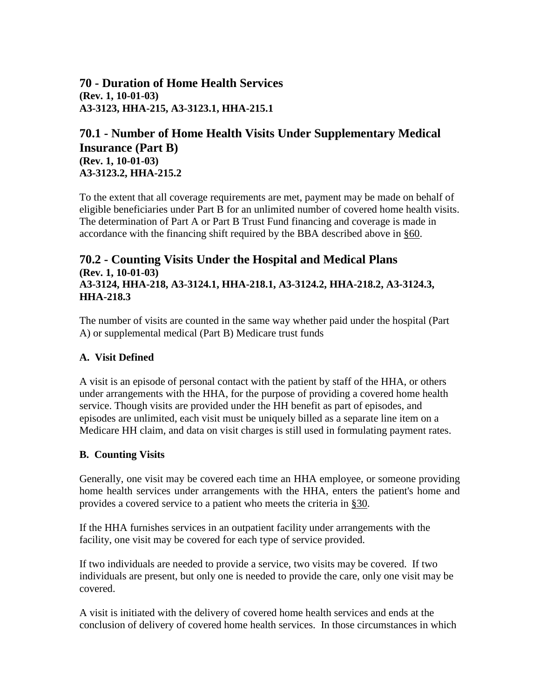**70 - Duration of Home Health Services (Rev. 1, 10-01-03) A3-3123, HHA-215, A3-3123.1, HHA-215.1**

## **70.1 - Number of Home Health Visits Under Supplementary Medical Insurance (Part B) (Rev. 1, 10-01-03) A3-3123.2, HHA-215.2**

To the extent that all coverage requirements are met, payment may be made on behalf of eligible beneficiaries under Part B for an unlimited number of covered home health visits. The determination of Part A or Part B Trust Fund financing and coverage is made in accordance with the financing shift required by the BBA described above in [§60.](#page-82-0)

#### **70.2 - Counting Visits Under the Hospital and Medical Plans (Rev. 1, 10-01-03) A3-3124, HHA-218, A3-3124.1, HHA-218.1, A3-3124.2, HHA-218.2, A3-3124.3, HHA-218.3**

The number of visits are counted in the same way whether paid under the hospital (Part A) or supplemental medical (Part B) Medicare trust funds

#### **A. Visit Defined**

A visit is an episode of personal contact with the patient by staff of the HHA, or others under arrangements with the HHA, for the purpose of providing a covered home health service. Though visits are provided under the HH benefit as part of episodes, and episodes are unlimited, each visit must be uniquely billed as a separate line item on a Medicare HH claim, and data on visit charges is still used in formulating payment rates.

#### **B. Counting Visits**

Generally, one visit may be covered each time an HHA employee, or someone providing home health services under arrangements with the HHA, enters the patient's home and provides a covered service to a patient who meets the criteria in [§30.](#page-18-0)

If the HHA furnishes services in an outpatient facility under arrangements with the facility, one visit may be covered for each type of service provided.

If two individuals are needed to provide a service, two visits may be covered. If two individuals are present, but only one is needed to provide the care, only one visit may be covered.

A visit is initiated with the delivery of covered home health services and ends at the conclusion of delivery of covered home health services. In those circumstances in which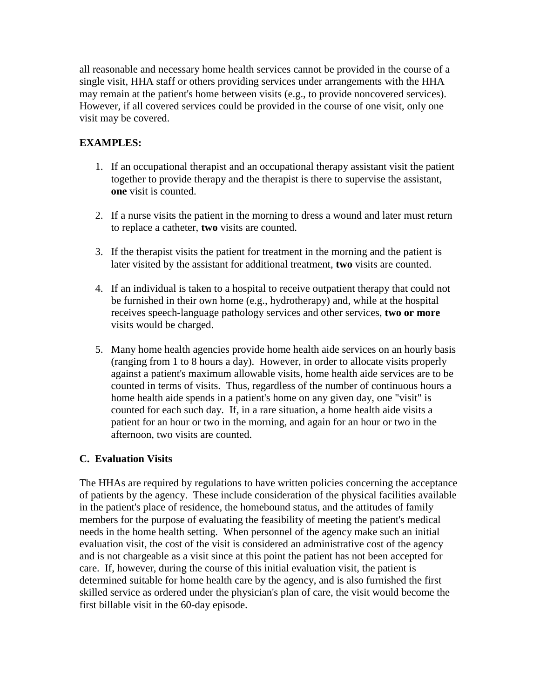all reasonable and necessary home health services cannot be provided in the course of a single visit, HHA staff or others providing services under arrangements with the HHA may remain at the patient's home between visits (e.g., to provide noncovered services). However, if all covered services could be provided in the course of one visit, only one visit may be covered.

## **EXAMPLES:**

- 1. If an occupational therapist and an occupational therapy assistant visit the patient together to provide therapy and the therapist is there to supervise the assistant, **one** visit is counted.
- 2. If a nurse visits the patient in the morning to dress a wound and later must return to replace a catheter, **two** visits are counted.
- 3. If the therapist visits the patient for treatment in the morning and the patient is later visited by the assistant for additional treatment, **two** visits are counted.
- 4. If an individual is taken to a hospital to receive outpatient therapy that could not be furnished in their own home (e.g., hydrotherapy) and, while at the hospital receives speech-language pathology services and other services, **two or more**  visits would be charged.
- 5. Many home health agencies provide home health aide services on an hourly basis (ranging from 1 to 8 hours a day). However, in order to allocate visits properly against a patient's maximum allowable visits, home health aide services are to be counted in terms of visits. Thus, regardless of the number of continuous hours a home health aide spends in a patient's home on any given day, one "visit" is counted for each such day. If, in a rare situation, a home health aide visits a patient for an hour or two in the morning, and again for an hour or two in the afternoon, two visits are counted.

#### **C. Evaluation Visits**

The HHAs are required by regulations to have written policies concerning the acceptance of patients by the agency. These include consideration of the physical facilities available in the patient's place of residence, the homebound status, and the attitudes of family members for the purpose of evaluating the feasibility of meeting the patient's medical needs in the home health setting. When personnel of the agency make such an initial evaluation visit, the cost of the visit is considered an administrative cost of the agency and is not chargeable as a visit since at this point the patient has not been accepted for care. If, however, during the course of this initial evaluation visit, the patient is determined suitable for home health care by the agency, and is also furnished the first skilled service as ordered under the physician's plan of care, the visit would become the first billable visit in the 60-day episode.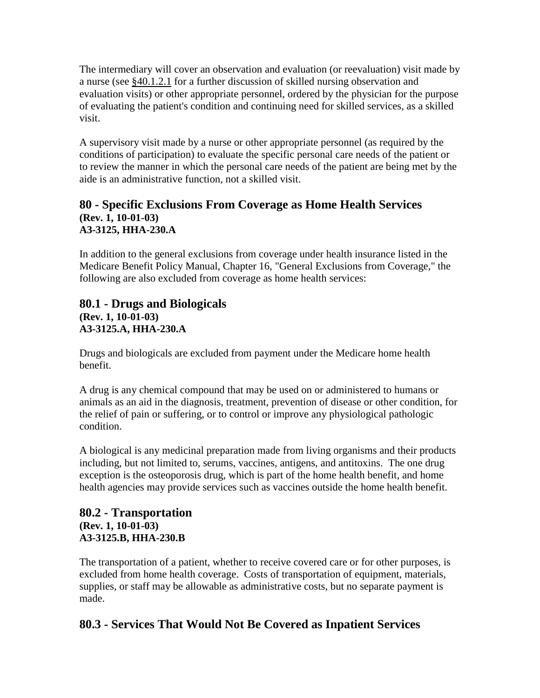The intermediary will cover an observation and evaluation (or reevaluation) visit made by a nurse (see [§40.1.2.1](#page-38-0) for a further discussion of skilled nursing observation and evaluation visits) or other appropriate personnel, ordered by the physician for the purpose of evaluating the patient's condition and continuing need for skilled services, as a skilled visit.

A supervisory visit made by a nurse or other appropriate personnel (as required by the conditions of participation) to evaluate the specific personal care needs of the patient or to review the manner in which the personal care needs of the patient are being met by the aide is an administrative function, not a skilled visit.

#### **80 - Specific Exclusions From Coverage as Home Health Services (Rev. 1, 10-01-03) A3-3125, HHA-230.A**

In addition to the general exclusions from coverage under health insurance listed in the Medicare Benefit Policy Manual, Chapter 16, "General Exclusions from Coverage," the following are also excluded from coverage as home health services:

## **80.1 - Drugs and Biologicals (Rev. 1, 10-01-03) A3-3125.A, HHA-230.A**

Drugs and biologicals are excluded from payment under the Medicare home health benefit.

A drug is any chemical compound that may be used on or administered to humans or animals as an aid in the diagnosis, treatment, prevention of disease or other condition, for the relief of pain or suffering, or to control or improve any physiological pathologic condition.

A biological is any medicinal preparation made from living organisms and their products including, but not limited to, serums, vaccines, antigens, and antitoxins. The one drug exception is the osteoporosis drug, which is part of the home health benefit, and home health agencies may provide services such as vaccines outside the home health benefit.

## **80.2 - Transportation (Rev. 1, 10-01-03) A3-3125.B, HHA-230.B**

The transportation of a patient, whether to receive covered care or for other purposes, is excluded from home health coverage. Costs of transportation of equipment, materials, supplies, or staff may be allowable as administrative costs, but no separate payment is made.

## **80.3 - Services That Would Not Be Covered as Inpatient Services**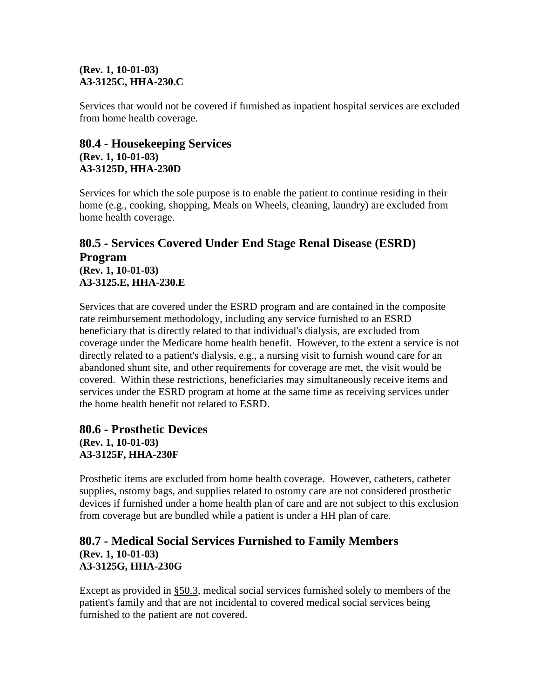#### **(Rev. 1, 10-01-03) A3-3125C, HHA-230.C**

Services that would not be covered if furnished as inpatient hospital services are excluded from home health coverage.

## **80.4 - Housekeeping Services (Rev. 1, 10-01-03) A3-3125D, HHA-230D**

Services for which the sole purpose is to enable the patient to continue residing in their home (e.g., cooking, shopping, Meals on Wheels, cleaning, laundry) are excluded from home health coverage.

## **80.5 - Services Covered Under End Stage Renal Disease (ESRD) Program (Rev. 1, 10-01-03) A3-3125.E, HHA-230.E**

Services that are covered under the ESRD program and are contained in the composite rate reimbursement methodology, including any service furnished to an ESRD beneficiary that is directly related to that individual's dialysis, are excluded from coverage under the Medicare home health benefit. However, to the extent a service is not directly related to a patient's dialysis, e.g., a nursing visit to furnish wound care for an abandoned shunt site, and other requirements for coverage are met, the visit would be covered. Within these restrictions, beneficiaries may simultaneously receive items and services under the ESRD program at home at the same time as receiving services under the home health benefit not related to ESRD.

## **80.6 - Prosthetic Devices (Rev. 1, 10-01-03) A3-3125F, HHA-230F**

Prosthetic items are excluded from home health coverage. However, catheters, catheter supplies, ostomy bags, and supplies related to ostomy care are not considered prosthetic devices if furnished under a home health plan of care and are not subject to this exclusion from coverage but are bundled while a patient is under a HH plan of care.

#### **80.7 - Medical Social Services Furnished to Family Members (Rev. 1, 10-01-03) A3-3125G, HHA-230G**

Except as provided in [§50.3,](#page-70-0) medical social services furnished solely to members of the patient's family and that are not incidental to covered medical social services being furnished to the patient are not covered.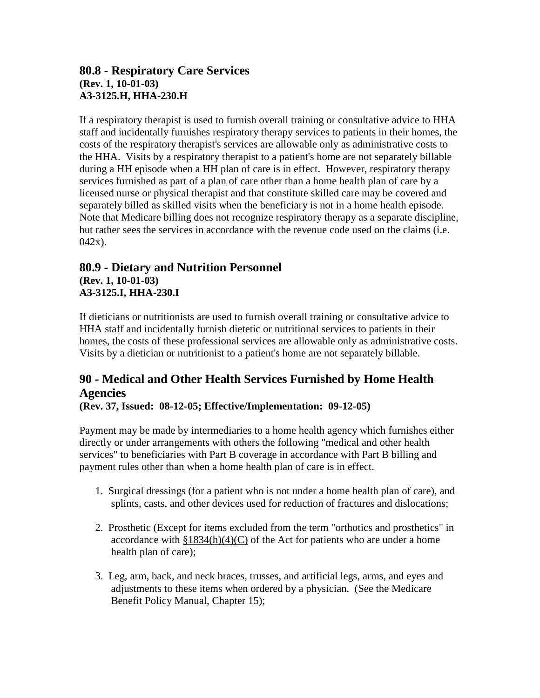## **80.8 - Respiratory Care Services (Rev. 1, 10-01-03) A3-3125.H, HHA-230.H**

If a respiratory therapist is used to furnish overall training or consultative advice to HHA staff and incidentally furnishes respiratory therapy services to patients in their homes, the costs of the respiratory therapist's services are allowable only as administrative costs to the HHA. Visits by a respiratory therapist to a patient's home are not separately billable during a HH episode when a HH plan of care is in effect. However, respiratory therapy services furnished as part of a plan of care other than a home health plan of care by a licensed nurse or physical therapist and that constitute skilled care may be covered and separately billed as skilled visits when the beneficiary is not in a home health episode. Note that Medicare billing does not recognize respiratory therapy as a separate discipline, but rather sees the services in accordance with the revenue code used on the claims (i.e.  $042x$ ).

#### **80.9 - Dietary and Nutrition Personnel (Rev. 1, 10-01-03) A3-3125.I, HHA-230.I**

If dieticians or nutritionists are used to furnish overall training or consultative advice to HHA staff and incidentally furnish dietetic or nutritional services to patients in their homes, the costs of these professional services are allowable only as administrative costs. Visits by a dietician or nutritionist to a patient's home are not separately billable.

# **90 - Medical and Other Health Services Furnished by Home Health Agencies**

**(Rev. 37, Issued: 08-12-05; Effective/Implementation: 09-12-05)**

Payment may be made by intermediaries to a home health agency which furnishes either directly or under arrangements with others the following "medical and other health services" to beneficiaries with Part B coverage in accordance with Part B billing and payment rules other than when a home health plan of care is in effect.

- 1. Surgical dressings (for a patient who is not under a home health plan of care), and splints, casts, and other devices used for reduction of fractures and dislocations;
- 2. Prosthetic (Except for items excluded from the term "orthotics and prosthetics" in accordance with  $$1834(h)(4)(C)$  of the Act for patients who are under a home health plan of care);
- 3. Leg, arm, back, and neck braces, trusses, and artificial legs, arms, and eyes and adjustments to these items when ordered by a physician. (See the Medicare Benefit Policy Manual, Chapter 15);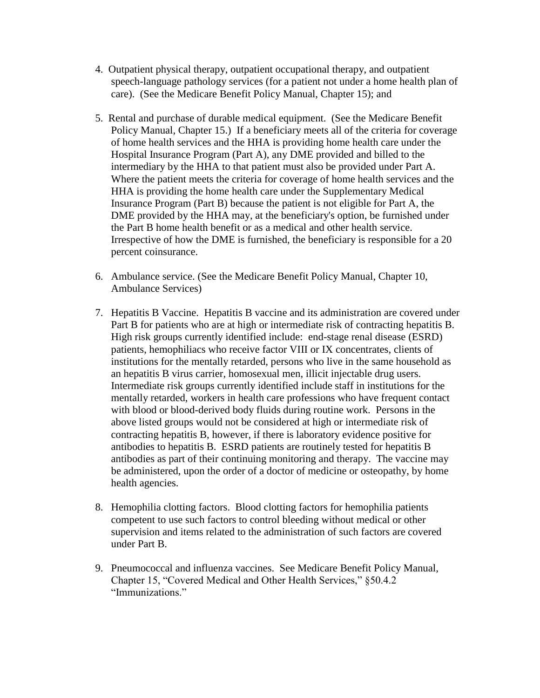- 4. Outpatient physical therapy, outpatient occupational therapy, and outpatient speech-language pathology services (for a patient not under a home health plan of care). (See the Medicare Benefit Policy Manual, Chapter 15); and
- 5. Rental and purchase of durable medical equipment. (See the Medicare Benefit Policy Manual, Chapter 15.) If a beneficiary meets all of the criteria for coverage of home health services and the HHA is providing home health care under the Hospital Insurance Program (Part A), any DME provided and billed to the intermediary by the HHA to that patient must also be provided under Part A. Where the patient meets the criteria for coverage of home health services and the HHA is providing the home health care under the Supplementary Medical Insurance Program (Part B) because the patient is not eligible for Part A, the DME provided by the HHA may, at the beneficiary's option, be furnished under the Part B home health benefit or as a medical and other health service. Irrespective of how the DME is furnished, the beneficiary is responsible for a 20 percent coinsurance.
- 6. Ambulance service. (See the Medicare Benefit Policy Manual, Chapter 10, Ambulance Services)
- 7. Hepatitis B Vaccine. Hepatitis B vaccine and its administration are covered under Part B for patients who are at high or intermediate risk of contracting hepatitis B. High risk groups currently identified include: end-stage renal disease (ESRD) patients, hemophiliacs who receive factor VIII or IX concentrates, clients of institutions for the mentally retarded, persons who live in the same household as an hepatitis B virus carrier, homosexual men, illicit injectable drug users. Intermediate risk groups currently identified include staff in institutions for the mentally retarded, workers in health care professions who have frequent contact with blood or blood-derived body fluids during routine work. Persons in the above listed groups would not be considered at high or intermediate risk of contracting hepatitis B, however, if there is laboratory evidence positive for antibodies to hepatitis B. ESRD patients are routinely tested for hepatitis B antibodies as part of their continuing monitoring and therapy. The vaccine may be administered, upon the order of a doctor of medicine or osteopathy, by home health agencies.
- 8. Hemophilia clotting factors. Blood clotting factors for hemophilia patients competent to use such factors to control bleeding without medical or other supervision and items related to the administration of such factors are covered under Part B.
- 9. Pneumococcal and influenza vaccines. See Medicare Benefit Policy Manual, Chapter 15, "Covered Medical and Other Health Services," §50.4.2 "Immunizations."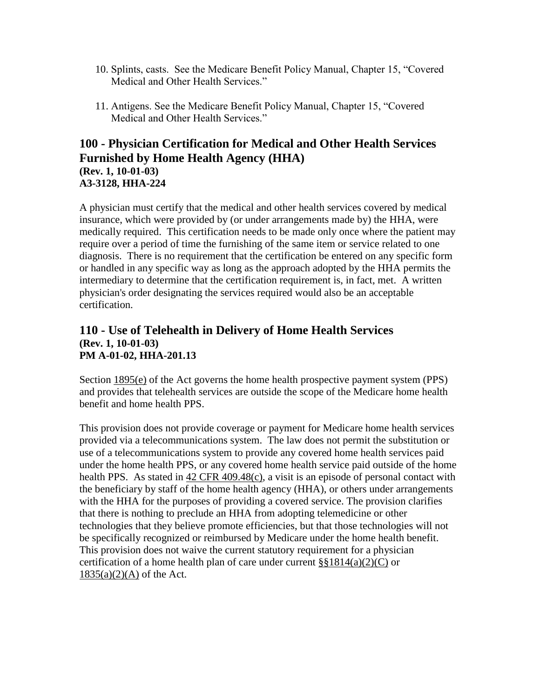- 10. Splints, casts. See the Medicare Benefit Policy Manual, Chapter 15, "Covered Medical and Other Health Services."
- 11. Antigens. See the Medicare Benefit Policy Manual, Chapter 15, "Covered Medical and Other Health Services."

### **100 - Physician Certification for Medical and Other Health Services Furnished by Home Health Agency (HHA) (Rev. 1, 10-01-03) A3-3128, HHA-224**

A physician must certify that the medical and other health services covered by medical insurance, which were provided by (or under arrangements made by) the HHA, were medically required. This certification needs to be made only once where the patient may require over a period of time the furnishing of the same item or service related to one diagnosis. There is no requirement that the certification be entered on any specific form or handled in any specific way as long as the approach adopted by the HHA permits the intermediary to determine that the certification requirement is, in fact, met. A written physician's order designating the services required would also be an acceptable certification.

#### **110 - Use of Telehealth in Delivery of Home Health Services (Rev. 1, 10-01-03) PM A-01-02, HHA-201.13**

Section [1895\(e\)](http://www.cms.hhs.gov/regulations/) of the Act governs the home health prospective payment system (PPS) and provides that telehealth services are outside the scope of the Medicare home health benefit and home health PPS.

This provision does not provide coverage or payment for Medicare home health services provided via a telecommunications system. The law does not permit the substitution or use of a telecommunications system to provide any covered home health services paid under the home health PPS, or any covered home health service paid outside of the home health PPS. As stated in [42 CFR 409.48\(c\),](http://www.cms.hhs.gov/regulations/) a visit is an episode of personal contact with the beneficiary by staff of the home health agency (HHA), or others under arrangements with the HHA for the purposes of providing a covered service. The provision clarifies that there is nothing to preclude an HHA from adopting telemedicine or other technologies that they believe promote efficiencies, but that those technologies will not be specifically recognized or reimbursed by Medicare under the home health benefit. This provision does not waive the current statutory requirement for a physician certification of a home health plan of care under current  $\S$ §1814(a)(2)(C) or  $1835(a)(2)(A)$  of the Act.